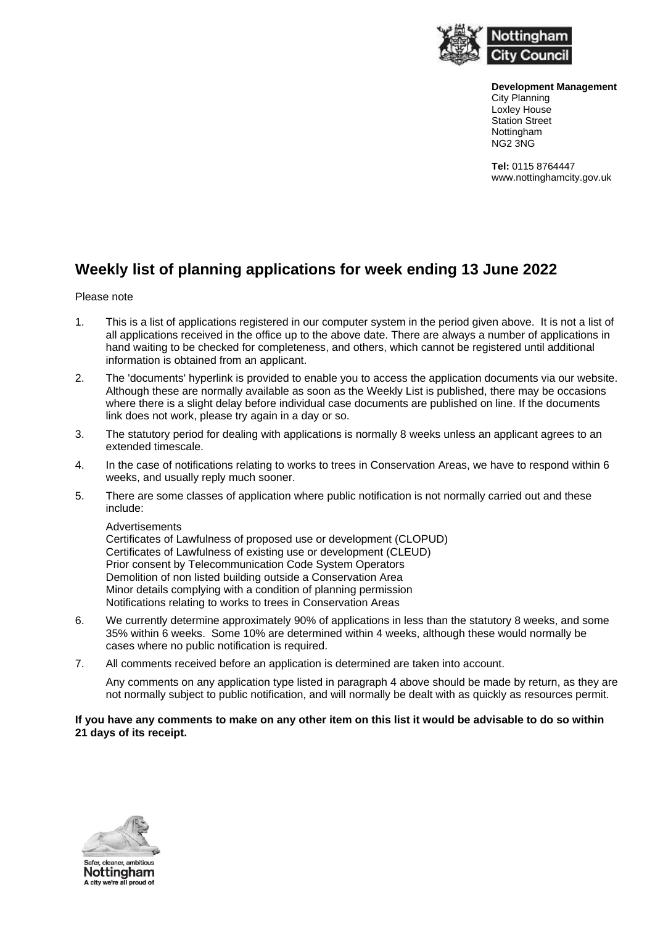

**Development Management** City Planning Loxley House Station Street **Nottingham** NG2 3NG

**Tel:** 0115 8764447 www.nottinghamcity.gov.uk

## **Weekly list of planning applications for week ending 13 June 2022**

## Please note

- 1. This is a list of applications registered in our computer system in the period given above. It is not a list of all applications received in the office up to the above date. There are always a number of applications in hand waiting to be checked for completeness, and others, which cannot be registered until additional information is obtained from an applicant.
- 2. The 'documents' hyperlink is provided to enable you to access the application documents via our website. Although these are normally available as soon as the Weekly List is published, there may be occasions where there is a slight delay before individual case documents are published on line. If the documents link does not work, please try again in a day or so.
- 3. The statutory period for dealing with applications is normally 8 weeks unless an applicant agrees to an extended timescale.
- 4. In the case of notifications relating to works to trees in Conservation Areas, we have to respond within 6 weeks, and usually reply much sooner.
- 5. There are some classes of application where public notification is not normally carried out and these include:

Advertisements

Certificates of Lawfulness of proposed use or development (CLOPUD) Certificates of Lawfulness of existing use or development (CLEUD) Prior consent by Telecommunication Code System Operators Demolition of non listed building outside a Conservation Area Minor details complying with a condition of planning permission Notifications relating to works to trees in Conservation Areas

- 6. We currently determine approximately 90% of applications in less than the statutory 8 weeks, and some 35% within 6 weeks. Some 10% are determined within 4 weeks, although these would normally be cases where no public notification is required.
- 7. All comments received before an application is determined are taken into account.

Any comments on any application type listed in paragraph 4 above should be made by return, as they are not normally subject to public notification, and will normally be dealt with as quickly as resources permit.

## **If you have any comments to make on any other item on this list it would be advisable to do so within 21 days of its receipt.**

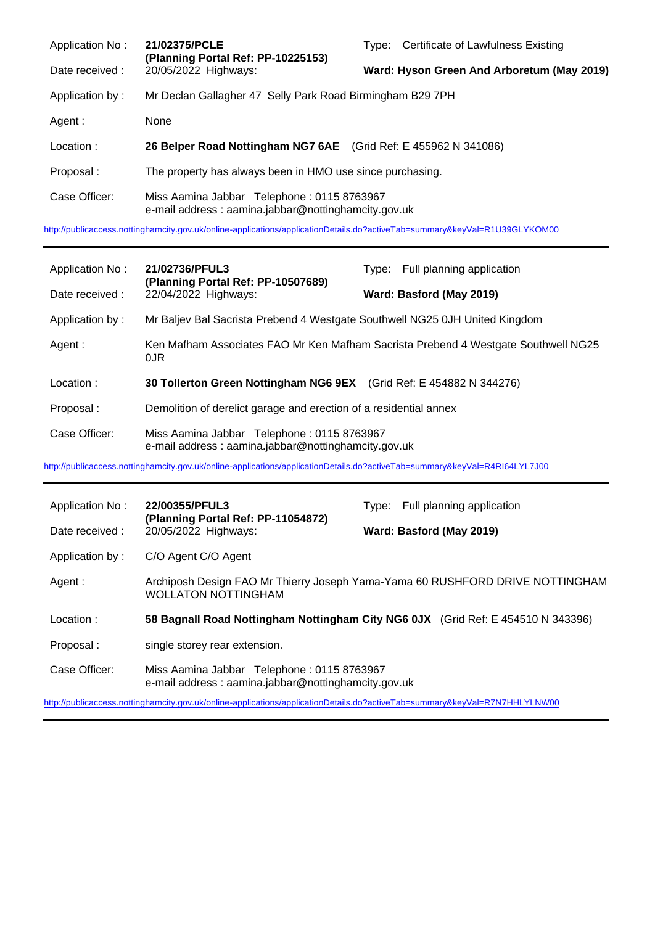| Application No: | 21/02375/PCLE<br>(Planning Portal Ref: PP-10225153)<br>20/05/2022 Highways:                       | Type: Certificate of Lawfulness Existing   |
|-----------------|---------------------------------------------------------------------------------------------------|--------------------------------------------|
| Date received : |                                                                                                   | Ward: Hyson Green And Arboretum (May 2019) |
| Application by: | Mr Declan Gallagher 47 Selly Park Road Birmingham B29 7PH                                         |                                            |
| Agent:          | None                                                                                              |                                            |
| Location:       | 26 Belper Road Nottingham NG7 6AE (Grid Ref: E 455962 N 341086)                                   |                                            |
| Proposal:       | The property has always been in HMO use since purchasing.                                         |                                            |
| Case Officer:   | Miss Aamina Jabbar Telephone: 0115 8763967<br>e-mail address: aamina.jabbar@nottinghamcity.gov.uk |                                            |

<http://publicaccess.nottinghamcity.gov.uk/online-applications/applicationDetails.do?activeTab=summary&keyVal=R1U39GLYKOM00>

| Application No: | 21/02736/PFUL3<br>(Planning Portal Ref: PP-10507689)                                              | Type: Full planning application                                                    |
|-----------------|---------------------------------------------------------------------------------------------------|------------------------------------------------------------------------------------|
| Date received : | 22/04/2022 Highways:                                                                              | Ward: Basford (May 2019)                                                           |
| Application by: | Mr Baljev Bal Sacrista Prebend 4 Westgate Southwell NG25 0JH United Kingdom                       |                                                                                    |
| Agent :         | 0JR                                                                                               | Ken Mafham Associates FAO Mr Ken Mafham Sacrista Prebend 4 Westgate Southwell NG25 |
| Location:       | 30 Tollerton Green Nottingham NG6 9EX (Grid Ref: E 454882 N 344276)                               |                                                                                    |
| Proposal:       | Demolition of derelict garage and erection of a residential annex                                 |                                                                                    |
| Case Officer:   | Miss Aamina Jabbar Telephone: 0115 8763967<br>e-mail address: aamina.jabbar@nottinghamcity.gov.uk |                                                                                    |

<http://publicaccess.nottinghamcity.gov.uk/online-applications/applicationDetails.do?activeTab=summary&keyVal=R4RI64LYL7J00>

| Application No: | 22/00355/PFUL3<br>(Planning Portal Ref: PP-11054872)                                                                       | Type: Full planning application                                                  |
|-----------------|----------------------------------------------------------------------------------------------------------------------------|----------------------------------------------------------------------------------|
| Date received : | 20/05/2022 Highways:                                                                                                       | Ward: Basford (May 2019)                                                         |
| Application by: | C/O Agent C/O Agent                                                                                                        |                                                                                  |
| Agent :         | <b>WOLLATON NOTTINGHAM</b>                                                                                                 | Archiposh Design FAO Mr Thierry Joseph Yama-Yama 60 RUSHFORD DRIVE NOTTINGHAM    |
| Location:       |                                                                                                                            | 58 Bagnall Road Nottingham Nottingham City NG6 0JX (Grid Ref: E 454510 N 343396) |
| Proposal:       | single storey rear extension.                                                                                              |                                                                                  |
| Case Officer:   | Miss Aamina Jabbar Telephone: 0115 8763967<br>e-mail address: aamina.jabbar@nottinghamcity.gov.uk                          |                                                                                  |
|                 | http://publicaccess.nottinghamcity.gov.uk/online-applications/applicationDetails.do?activeTab=summary&keyVal=R7N7HHLYLNW00 |                                                                                  |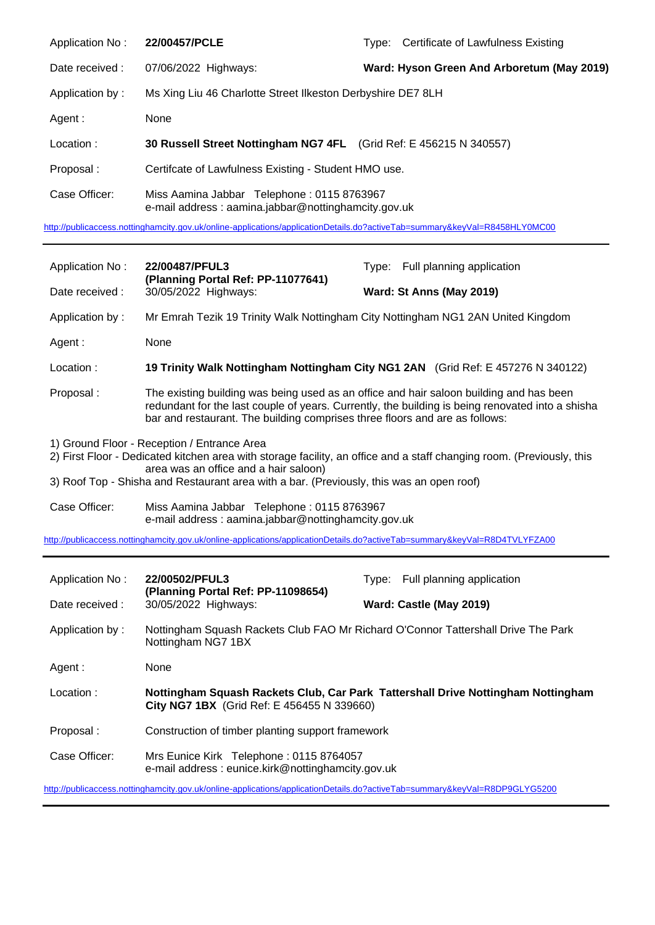| Application No: | 22/00457/PCLE                                                                                     | Type: Certificate of Lawfulness Existing   |
|-----------------|---------------------------------------------------------------------------------------------------|--------------------------------------------|
| Date received : | 07/06/2022 Highways:                                                                              | Ward: Hyson Green And Arboretum (May 2019) |
| Application by: | Ms Xing Liu 46 Charlotte Street Ilkeston Derbyshire DE7 8LH                                       |                                            |
| Agent :         | None                                                                                              |                                            |
| Location:       | 30 Russell Street Nottingham NG7 4FL (Grid Ref: E 456215 N 340557)                                |                                            |
| Proposal:       | Certifcate of Lawfulness Existing - Student HMO use.                                              |                                            |
| Case Officer:   | Miss Aamina Jabbar Telephone: 0115 8763967<br>e-mail address: aamina.jabbar@nottinghamcity.gov.uk |                                            |

<http://publicaccess.nottinghamcity.gov.uk/online-applications/applicationDetails.do?activeTab=summary&keyVal=R8458HLY0MC00>

| Application No:                                                                                                                                                                                                                                                                                           | 22/00487/PFUL3<br>(Planning Portal Ref: PP-11077641)                                                                                                                                                                            | Type: Full planning application                                                                                                                                                             |
|-----------------------------------------------------------------------------------------------------------------------------------------------------------------------------------------------------------------------------------------------------------------------------------------------------------|---------------------------------------------------------------------------------------------------------------------------------------------------------------------------------------------------------------------------------|---------------------------------------------------------------------------------------------------------------------------------------------------------------------------------------------|
| Date received:                                                                                                                                                                                                                                                                                            | 30/05/2022 Highways:                                                                                                                                                                                                            | Ward: St Anns (May 2019)                                                                                                                                                                    |
| Application by:                                                                                                                                                                                                                                                                                           |                                                                                                                                                                                                                                 | Mr Emrah Tezik 19 Trinity Walk Nottingham City Nottingham NG1 2AN United Kingdom                                                                                                            |
| Agent :                                                                                                                                                                                                                                                                                                   | None                                                                                                                                                                                                                            |                                                                                                                                                                                             |
| Location:                                                                                                                                                                                                                                                                                                 |                                                                                                                                                                                                                                 | 19 Trinity Walk Nottingham Nottingham City NG1 2AN (Grid Ref: E 457276 N 340122)                                                                                                            |
| Proposal:                                                                                                                                                                                                                                                                                                 | bar and restaurant. The building comprises three floors and are as follows:                                                                                                                                                     | The existing building was being used as an office and hair saloon building and has been<br>redundant for the last couple of years. Currently, the building is being renovated into a shisha |
| 1) Ground Floor - Reception / Entrance Area<br>2) First Floor - Dedicated kitchen area with storage facility, an office and a staff changing room. (Previously, this<br>area was an office and a hair saloon)<br>3) Roof Top - Shisha and Restaurant area with a bar. (Previously, this was an open roof) |                                                                                                                                                                                                                                 |                                                                                                                                                                                             |
| Case Officer:                                                                                                                                                                                                                                                                                             | Miss Aamina Jabbar Telephone: 0115 8763967<br>e-mail address: aamina.jabbar@nottinghamcity.gov.uk<br>http://publicaccess.nottinghamcity.gov.uk/online-applications/applicationDetails.do?activeTab=summary&keyVal=R8D4TVLYFZA00 |                                                                                                                                                                                             |
|                                                                                                                                                                                                                                                                                                           |                                                                                                                                                                                                                                 |                                                                                                                                                                                             |
| Application No:                                                                                                                                                                                                                                                                                           | 22/00502/PFUL3                                                                                                                                                                                                                  | Type: Full planning application                                                                                                                                                             |
| Date received:                                                                                                                                                                                                                                                                                            | (Planning Portal Ref: PP-11098654)<br>30/05/2022 Highways:                                                                                                                                                                      | Ward: Castle (May 2019)                                                                                                                                                                     |
| Application by:                                                                                                                                                                                                                                                                                           | Nottingham NG7 1BX                                                                                                                                                                                                              | Nottingham Squash Rackets Club FAO Mr Richard O'Connor Tattershall Drive The Park                                                                                                           |

Agent : None

j.

- Location : **Nottingham Squash Rackets Club, Car Park Tattershall Drive Nottingham Nottingham City NG7 1BX** (Grid Ref: E 456455 N 339660)
- Proposal : Construction of timber planting support framework

Case Officer: Mrs Eunice Kirk Telephone : 0115 8764057 e-mail address : eunice.kirk@nottinghamcity.gov.uk

<http://publicaccess.nottinghamcity.gov.uk/online-applications/applicationDetails.do?activeTab=summary&keyVal=R8DP9GLYG5200>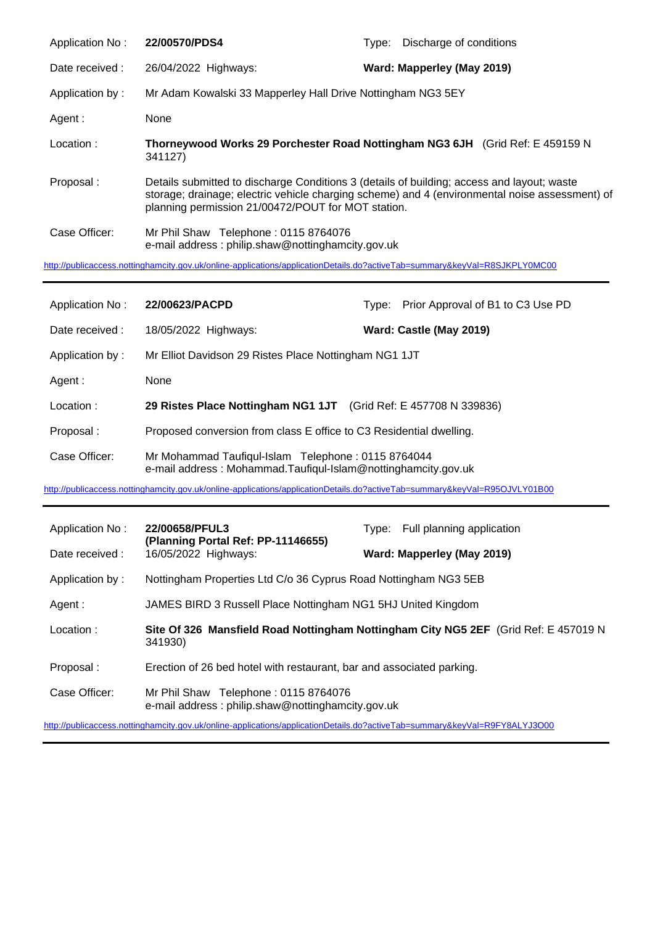| Application No: | 22/00570/PDS4                                                                                                                                    | Discharge of conditions<br>Type:                                                               |
|-----------------|--------------------------------------------------------------------------------------------------------------------------------------------------|------------------------------------------------------------------------------------------------|
| Date received : | 26/04/2022 Highways:                                                                                                                             | Ward: Mapperley (May 2019)                                                                     |
| Application by: | Mr Adam Kowalski 33 Mapperley Hall Drive Nottingham NG3 5EY                                                                                      |                                                                                                |
| Agent:          | None                                                                                                                                             |                                                                                                |
| Location:       | 341127)                                                                                                                                          | Thorneywood Works 29 Porchester Road Nottingham NG3 6JH (Grid Ref: E 459159 N)                 |
| Proposal:       | Details submitted to discharge Conditions 3 (details of building; access and layout; waste<br>planning permission 21/00472/POUT for MOT station. | storage; drainage; electric vehicle charging scheme) and 4 (environmental noise assessment) of |
| Case Officer:   | Mr Phil Shaw Telephone: 0115 8764076<br>e-mail address: philip.shaw@nottinghamcity.gov.uk                                                        |                                                                                                |

<http://publicaccess.nottinghamcity.gov.uk/online-applications/applicationDetails.do?activeTab=summary&keyVal=R8SJKPLY0MC00>

| Application No: | 22/00623/PACPD                                                                                                      | Type: | Prior Approval of B1 to C3 Use PD |
|-----------------|---------------------------------------------------------------------------------------------------------------------|-------|-----------------------------------|
| Date received : | 18/05/2022 Highways:                                                                                                |       | Ward: Castle (May 2019)           |
| Application by: | Mr Elliot Davidson 29 Ristes Place Nottingham NG1 1JT                                                               |       |                                   |
| Agent :         | None                                                                                                                |       |                                   |
| Location:       | 29 Ristes Place Nottingham NG1 1JT (Grid Ref: E 457708 N 339836)                                                    |       |                                   |
| Proposal:       | Proposed conversion from class E office to C3 Residential dwelling.                                                 |       |                                   |
| Case Officer:   | Mr Mohammad Taufiqul-Islam Telephone: 0115 8764044<br>e-mail address: Mohammad.Taufiqul-Islam@nottinghamcity.gov.uk |       |                                   |

<http://publicaccess.nottinghamcity.gov.uk/online-applications/applicationDetails.do?activeTab=summary&keyVal=R95OJVLY01B00>

| Application No: | 22/00658/PFUL3<br>(Planning Portal Ref: PP-11146655)                                      | Type: Full planning application                                                     |
|-----------------|-------------------------------------------------------------------------------------------|-------------------------------------------------------------------------------------|
| Date received : | 16/05/2022 Highways:                                                                      | Ward: Mapperley (May 2019)                                                          |
| Application by: | Nottingham Properties Ltd C/o 36 Cyprus Road Nottingham NG3 5EB                           |                                                                                     |
| Agent :         | JAMES BIRD 3 Russell Place Nottingham NG1 5HJ United Kingdom                              |                                                                                     |
| Location:       | 341930)                                                                                   | Site Of 326 Mansfield Road Nottingham Nottingham City NG5 2EF (Grid Ref: E 457019 N |
| Proposal:       | Erection of 26 bed hotel with restaurant, bar and associated parking.                     |                                                                                     |
| Case Officer:   | Mr Phil Shaw Telephone: 0115 8764076<br>e-mail address: philip.shaw@nottinghamcity.gov.uk |                                                                                     |

<http://publicaccess.nottinghamcity.gov.uk/online-applications/applicationDetails.do?activeTab=summary&keyVal=R9FY8ALYJ3O00>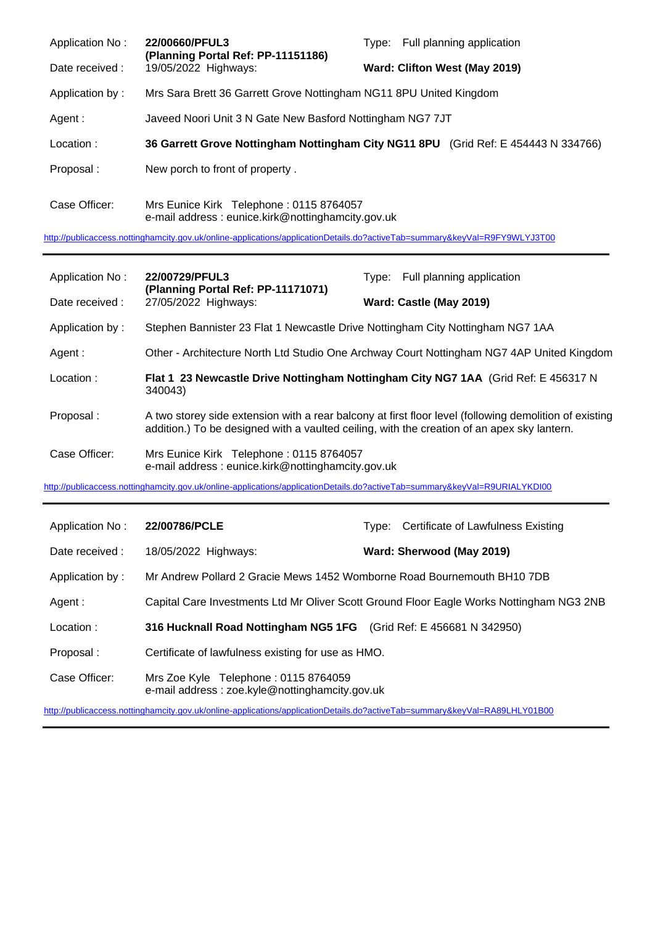| Application No: | 22/00660/PFUL3<br>(Planning Portal Ref: PP-11151186)                                         | Type: Full planning application                                                    |
|-----------------|----------------------------------------------------------------------------------------------|------------------------------------------------------------------------------------|
| Date received:  | 19/05/2022 Highways:                                                                         | Ward: Clifton West (May 2019)                                                      |
| Application by: | Mrs Sara Brett 36 Garrett Grove Nottingham NG11 8PU United Kingdom                           |                                                                                    |
| Agent:          | Javeed Noori Unit 3 N Gate New Basford Nottingham NG7 7JT                                    |                                                                                    |
| Location:       |                                                                                              | 36 Garrett Grove Nottingham Nottingham City NG11 8PU (Grid Ref: E 454443 N 334766) |
| Proposal:       | New porch to front of property.                                                              |                                                                                    |
| Case Officer:   | Mrs Eunice Kirk Telephone: 0115 8764057<br>e-mail address: eunice.kirk@nottinghamcity.gov.uk |                                                                                    |

<http://publicaccess.nottinghamcity.gov.uk/online-applications/applicationDetails.do?activeTab=summary&keyVal=R9FY9WLYJ3T00>

| Application No: | 22/00729/PFUL3                                                                                                                                                                                        | Type: Full planning application                                                           |
|-----------------|-------------------------------------------------------------------------------------------------------------------------------------------------------------------------------------------------------|-------------------------------------------------------------------------------------------|
| Date received : | (Planning Portal Ref: PP-11171071)<br>27/05/2022 Highways:                                                                                                                                            | Ward: Castle (May 2019)                                                                   |
| Application by: | Stephen Bannister 23 Flat 1 Newcastle Drive Nottingham City Nottingham NG7 1AA                                                                                                                        |                                                                                           |
| Agent :         |                                                                                                                                                                                                       | Other - Architecture North Ltd Studio One Archway Court Nottingham NG7 4AP United Kingdom |
| Location:       | Flat 1 23 Newcastle Drive Nottingham Nottingham City NG7 1AA (Grid Ref: E 456317 N<br>340043)                                                                                                         |                                                                                           |
| Proposal:       | A two storey side extension with a rear balcony at first floor level (following demolition of existing<br>addition.) To be designed with a vaulted ceiling, with the creation of an apex sky lantern. |                                                                                           |
| Case Officer:   | Mrs Eunice Kirk Telephone: 0115 8764057<br>e-mail address: eunice.kirk@nottinghamcity.gov.uk                                                                                                          |                                                                                           |
|                 | http://publicaccess.nottinghamcity.gov.uk/online-applications/applicationDetails.do?activeTab=summary&keyVal=R9URIALYKDI00                                                                            |                                                                                           |
| Application No: | 22/00786/PCLE                                                                                                                                                                                         | Type: Certificate of Lawfulness Existing                                                  |
| Date received : | 18/05/2022 Highways:                                                                                                                                                                                  | Ward: Sherwood (May 2019)                                                                 |
| Application by: | Mr Andrew Pollard 2 Gracie Mews 1452 Womborne Road Bournemouth BH10 7DB                                                                                                                               |                                                                                           |
| Agent:          | Capital Care Investments Ltd Mr Oliver Scott Ground Floor Eagle Works Nottingham NG3 2NB                                                                                                              |                                                                                           |
| Location:       | 316 Hucknall Road Nottingham NG5 1FG (Grid Ref: E 456681 N 342950)                                                                                                                                    |                                                                                           |
| Proposal:       | Certificate of lawfulness existing for use as HMO.                                                                                                                                                    |                                                                                           |
| Case Officer:   | Mrs Zoe Kyle Telephone: 0115 8764059<br>e-mail address: zoe.kyle@nottinghamcity.gov.uk                                                                                                                |                                                                                           |

<http://publicaccess.nottinghamcity.gov.uk/online-applications/applicationDetails.do?activeTab=summary&keyVal=RA89LHLY01B00>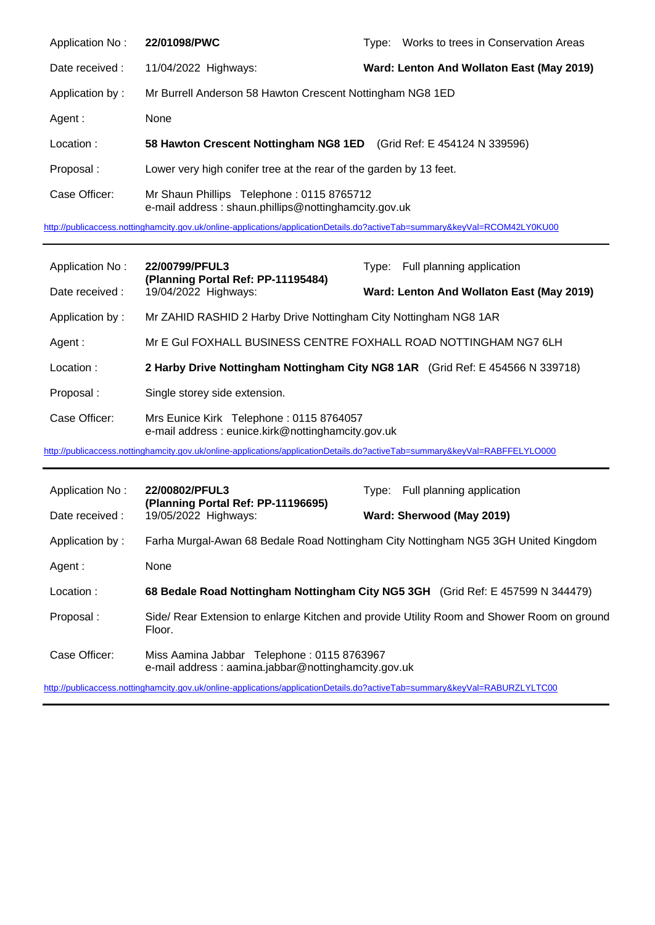| Application No: | 22/01098/PWC                                                                                      | Type: | Works to trees in Conservation Areas      |
|-----------------|---------------------------------------------------------------------------------------------------|-------|-------------------------------------------|
| Date received:  | 11/04/2022 Highways:                                                                              |       | Ward: Lenton And Wollaton East (May 2019) |
| Application by: | Mr Burrell Anderson 58 Hawton Crescent Nottingham NG8 1ED                                         |       |                                           |
| Agent :         | None                                                                                              |       |                                           |
| Location:       | 58 Hawton Crescent Nottingham NG8 1ED (Grid Ref: E 454124 N 339596)                               |       |                                           |
| Proposal:       | Lower very high conifer tree at the rear of the garden by 13 feet.                                |       |                                           |
| Case Officer:   | Mr Shaun Phillips Telephone: 0115 8765712<br>e-mail address: shaun.phillips@nottinghamcity.gov.uk |       |                                           |

<http://publicaccess.nottinghamcity.gov.uk/online-applications/applicationDetails.do?activeTab=summary&keyVal=RCOM42LY0KU00>

| Application No: | 22/00799/PFUL3                                                                                                             | Type: Full planning application                                                |
|-----------------|----------------------------------------------------------------------------------------------------------------------------|--------------------------------------------------------------------------------|
| Date received:  | (Planning Portal Ref: PP-11195484)<br>19/04/2022 Highways:                                                                 | Ward: Lenton And Wollaton East (May 2019)                                      |
| Application by: | Mr ZAHID RASHID 2 Harby Drive Nottingham City Nottingham NG8 1AR                                                           |                                                                                |
| Agent:          | Mr E Gul FOXHALL BUSINESS CENTRE FOXHALL ROAD NOTTINGHAM NG7 6LH                                                           |                                                                                |
| Location:       |                                                                                                                            | 2 Harby Drive Nottingham Nottingham City NG8 1AR (Grid Ref: E 454566 N 339718) |
| Proposal:       | Single storey side extension.                                                                                              |                                                                                |
| Case Officer:   | Mrs Eunice Kirk Telephone: 0115 8764057<br>e-mail address: eunice.kirk@nottinghamcity.gov.uk                               |                                                                                |
|                 | http://publicaccess.nottinghamcity.gov.uk/online-applications/applicationDetails.do?activeTab=summary&keyVal=RABFFELYLO000 |                                                                                |

Application No: **22/00802/PFUL3** Type: Full planning application **(Planning Portal Ref: PP-11196695)** Date received : 19/05/2022 Highways: **Ward: Sherwood (May 2019)** Application by : Farha Murgal-Awan 68 Bedale Road Nottingham City Nottingham NG5 3GH United Kingdom Agent : None Location : **68 Bedale Road Nottingham Nottingham City NG5 3GH** (Grid Ref: E 457599 N 344479) Proposal : Side/ Rear Extension to enlarge Kitchen and provide Utility Room and Shower Room on ground Floor. Case Officer: Miss Aamina Jabbar Telephone : 0115 8763967 e-mail address : aamina.jabbar@nottinghamcity.gov.uk

<http://publicaccess.nottinghamcity.gov.uk/online-applications/applicationDetails.do?activeTab=summary&keyVal=RABURZLYLTC00>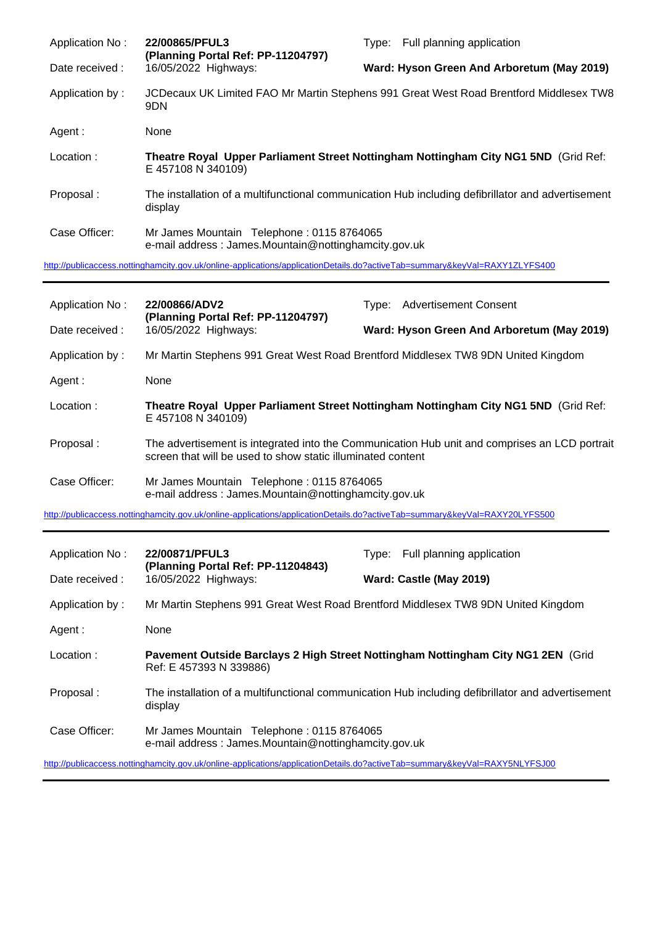| Application No: | 22/00865/PFUL3<br>(Planning Portal Ref: PP-11204797)                                                                       | Type: Full planning application                                                                   |
|-----------------|----------------------------------------------------------------------------------------------------------------------------|---------------------------------------------------------------------------------------------------|
| Date received:  | 16/05/2022 Highways:                                                                                                       | Ward: Hyson Green And Arboretum (May 2019)                                                        |
| Application by: | 9DN                                                                                                                        | JCDecaux UK Limited FAO Mr Martin Stephens 991 Great West Road Brentford Middlesex TW8            |
| Agent :         | None                                                                                                                       |                                                                                                   |
| Location:       | E 457108 N 340109)                                                                                                         | Theatre Royal Upper Parliament Street Nottingham Nottingham City NG1 5ND (Grid Ref:               |
| Proposal:       | display                                                                                                                    | The installation of a multifunctional communication Hub including defibrillator and advertisement |
| Case Officer:   | Mr James Mountain Telephone: 0115 8764065<br>e-mail address: James.Mountain@nottinghamcity.gov.uk                          |                                                                                                   |
|                 | http://publicaccess.nottinghamcity.gov.uk/online-applications/applicationDetails.do?activeTab=summary&keyVal=RAXY1ZLYFS400 |                                                                                                   |

| Application No: | 22/00866/ADV2<br>(Planning Portal Ref: PP-11204797)                                                                                                          | Type: Advertisement Consent                                                                       |  |
|-----------------|--------------------------------------------------------------------------------------------------------------------------------------------------------------|---------------------------------------------------------------------------------------------------|--|
| Date received : | 16/05/2022 Highways:                                                                                                                                         | Ward: Hyson Green And Arboretum (May 2019)                                                        |  |
| Application by: |                                                                                                                                                              | Mr Martin Stephens 991 Great West Road Brentford Middlesex TW8 9DN United Kingdom                 |  |
| Agent:          | None                                                                                                                                                         |                                                                                                   |  |
| Location:       | E 457108 N 340109)                                                                                                                                           | Theatre Royal Upper Parliament Street Nottingham Nottingham City NG1 5ND (Grid Ref:               |  |
| Proposal:       | The advertisement is integrated into the Communication Hub unit and comprises an LCD portrait<br>screen that will be used to show static illuminated content |                                                                                                   |  |
| Case Officer:   | Mr James Mountain Telephone: 0115 8764065<br>e-mail address: James.Mountain@nottinghamcity.gov.uk                                                            |                                                                                                   |  |
|                 |                                                                                                                                                              |                                                                                                   |  |
|                 | http://publicaccess.nottinghamcity.gov.uk/online-applications/applicationDetails.do?activeTab=summary&keyVal=RAXY20LYFS500                                   |                                                                                                   |  |
| Application No: | 22/00871/PFUL3                                                                                                                                               | Type: Full planning application                                                                   |  |
| Date received : | (Planning Portal Ref: PP-11204843)<br>16/05/2022 Highways:                                                                                                   | Ward: Castle (May 2019)                                                                           |  |
| Application by: |                                                                                                                                                              | Mr Martin Stephens 991 Great West Road Brentford Middlesex TW8 9DN United Kingdom                 |  |
| Agent:          | None                                                                                                                                                         |                                                                                                   |  |
| Location:       | Ref: E 457393 N 339886)                                                                                                                                      | Pavement Outside Barclays 2 High Street Nottingham Nottingham City NG1 2EN (Grid                  |  |
| Proposal:       | display                                                                                                                                                      | The installation of a multifunctional communication Hub including defibrillator and advertisement |  |
| Case Officer:   | Mr James Mountain Telephone: 0115 8764065<br>e-mail address: James.Mountain@nottinghamcity.gov.uk                                                            |                                                                                                   |  |

<http://publicaccess.nottinghamcity.gov.uk/online-applications/applicationDetails.do?activeTab=summary&keyVal=RAXY5NLYFSJ00>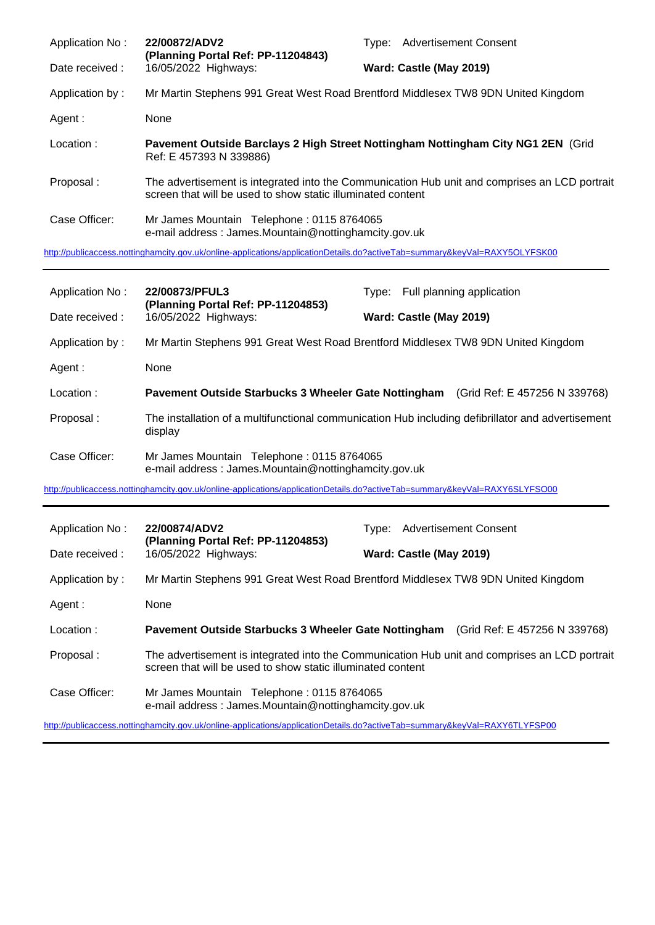| Application No: | 22/00872/ADV2<br>(Planning Portal Ref: PP-11204843)                                                                        | Type: Advertisement Consent                                                                   |
|-----------------|----------------------------------------------------------------------------------------------------------------------------|-----------------------------------------------------------------------------------------------|
| Date received : | 16/05/2022 Highways:                                                                                                       | Ward: Castle (May 2019)                                                                       |
| Application by: |                                                                                                                            | Mr Martin Stephens 991 Great West Road Brentford Middlesex TW8 9DN United Kingdom             |
| Agent :         | None                                                                                                                       |                                                                                               |
| Location:       | Ref: E 457393 N 339886)                                                                                                    | Pavement Outside Barclays 2 High Street Nottingham Nottingham City NG1 2EN (Grid              |
| Proposal:       | screen that will be used to show static illuminated content                                                                | The advertisement is integrated into the Communication Hub unit and comprises an LCD portrait |
| Case Officer:   | Mr James Mountain Telephone: 0115 8764065<br>e-mail address: James.Mountain@nottinghamcity.gov.uk                          |                                                                                               |
|                 | http://publicaccess.nottinghamcity.gov.uk/online-applications/applicationDetails.do?activeTab=summary&keyVal=RAXY5OLYFSK00 |                                                                                               |
|                 |                                                                                                                            |                                                                                               |

| Application No: | 22/00873/PFUL3<br>(Planning Portal Ref: PP-11204853)                                              | Type: Full planning application                                                                   |
|-----------------|---------------------------------------------------------------------------------------------------|---------------------------------------------------------------------------------------------------|
| Date received:  | 16/05/2022 Highways:                                                                              | Ward: Castle (May 2019)                                                                           |
| Application by: |                                                                                                   | Mr Martin Stephens 991 Great West Road Brentford Middlesex TW8 9DN United Kingdom                 |
| Agent :         | None                                                                                              |                                                                                                   |
| Location:       | <b>Pavement Outside Starbucks 3 Wheeler Gate Nottingham</b>                                       | (Grid Ref: E 457256 N 339768)                                                                     |
| Proposal:       | display                                                                                           | The installation of a multifunctional communication Hub including defibrillator and advertisement |
| Case Officer:   | Mr James Mountain Telephone: 0115 8764065<br>e-mail address: James.Mountain@nottinghamcity.gov.uk |                                                                                                   |

<http://publicaccess.nottinghamcity.gov.uk/online-applications/applicationDetails.do?activeTab=summary&keyVal=RAXY6SLYFSO00>

| Application No: | 22/00874/ADV2<br>(Planning Portal Ref: PP-11204853)         | <b>Advertisement Consent</b><br>Tvpe:                                                         |
|-----------------|-------------------------------------------------------------|-----------------------------------------------------------------------------------------------|
| Date received:  | 16/05/2022 Highways:                                        | Ward: Castle (May 2019)                                                                       |
| Application by: |                                                             | Mr Martin Stephens 991 Great West Road Brentford Middlesex TW8 9DN United Kingdom             |
| Agent:          | None                                                        |                                                                                               |
| Location:       |                                                             | <b>Pavement Outside Starbucks 3 Wheeler Gate Nottingham</b> (Grid Ref: E 457256 N 339768)     |
|                 |                                                             |                                                                                               |
| Proposal:       | screen that will be used to show static illuminated content | The advertisement is integrated into the Communication Hub unit and comprises an LCD portrait |

<http://publicaccess.nottinghamcity.gov.uk/online-applications/applicationDetails.do?activeTab=summary&keyVal=RAXY6TLYFSP00>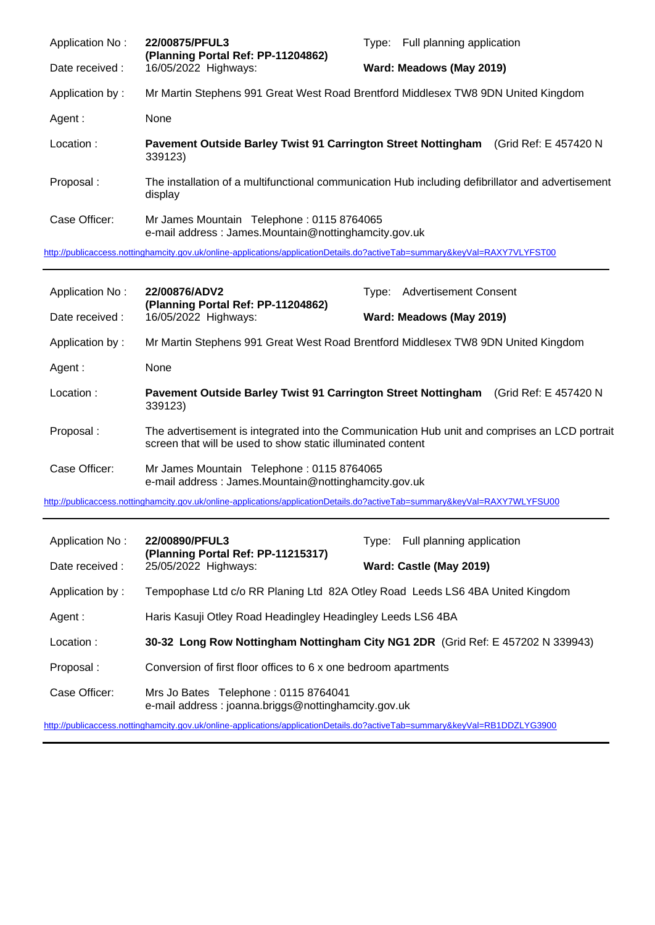| Application No: | 22/00875/PFUL3<br>(Planning Portal Ref: PP-11204862)                                                         | Type: Full planning application |  |                       |  |
|-----------------|--------------------------------------------------------------------------------------------------------------|---------------------------------|--|-----------------------|--|
| Date received:  | 16/05/2022 Highways:                                                                                         | Ward: Meadows (May 2019)        |  |                       |  |
| Application by: | Mr Martin Stephens 991 Great West Road Brentford Middlesex TW8 9DN United Kingdom                            |                                 |  |                       |  |
| Agent :         | None                                                                                                         |                                 |  |                       |  |
| Location:       | Pavement Outside Barley Twist 91 Carrington Street Nottingham<br>339123)                                     |                                 |  | (Grid Ref: E 457420 N |  |
| Proposal:       | The installation of a multifunctional communication Hub including defibrillator and advertisement<br>display |                                 |  |                       |  |
| Case Officer:   | Mr James Mountain Telephone: 0115 8764065<br>e-mail address: James.Mountain@nottinghamcity.gov.uk            |                                 |  |                       |  |

<http://publicaccess.nottinghamcity.gov.uk/online-applications/applicationDetails.do?activeTab=summary&keyVal=RAXY7VLYFST00>

| Application No: | 22/00876/ADV2<br>(Planning Portal Ref: PP-11204862)                                               | Type: Advertisement Consent                                                                   |  |  |
|-----------------|---------------------------------------------------------------------------------------------------|-----------------------------------------------------------------------------------------------|--|--|
| Date received:  | 16/05/2022 Highways:                                                                              | Ward: Meadows (May 2019)                                                                      |  |  |
| Application by: |                                                                                                   | Mr Martin Stephens 991 Great West Road Brentford Middlesex TW8 9DN United Kingdom             |  |  |
| Agent:          | None                                                                                              |                                                                                               |  |  |
| Location:       | Pavement Outside Barley Twist 91 Carrington Street Nottingham<br>339123)                          | (Grid Ref: E 457420 N                                                                         |  |  |
| Proposal:       | screen that will be used to show static illuminated content                                       | The advertisement is integrated into the Communication Hub unit and comprises an LCD portrait |  |  |
| Case Officer:   | Mr James Mountain Telephone: 0115 8764065<br>e-mail address: James.Mountain@nottinghamcity.gov.uk |                                                                                               |  |  |

<http://publicaccess.nottinghamcity.gov.uk/online-applications/applicationDetails.do?activeTab=summary&keyVal=RAXY7WLYFSU00>

| Application No: | 22/00890/PFUL3<br>(Planning Portal Ref: PP-11215317)<br>25/05/2022 Highways:                |  | Type: Full planning application |
|-----------------|---------------------------------------------------------------------------------------------|--|---------------------------------|
| Date received : |                                                                                             |  | Ward: Castle (May 2019)         |
| Application by: | Tempophase Ltd c/o RR Planing Ltd 82A Otley Road Leeds LS6 4BA United Kingdom               |  |                                 |
| Agent :         | Haris Kasuji Otley Road Headingley Headingley Leeds LS6 4BA                                 |  |                                 |
| Location:       | 30-32 Long Row Nottingham Nottingham City NG1 2DR (Grid Ref: E 457202 N 339943)             |  |                                 |
| Proposal:       | Conversion of first floor offices to 6 x one bedroom apartments                             |  |                                 |
| Case Officer:   | Mrs Jo Bates Telephone: 0115 8764041<br>e-mail address: joanna.briggs@nottinghamcity.gov.uk |  |                                 |

<http://publicaccess.nottinghamcity.gov.uk/online-applications/applicationDetails.do?activeTab=summary&keyVal=RB1DDZLYG3900>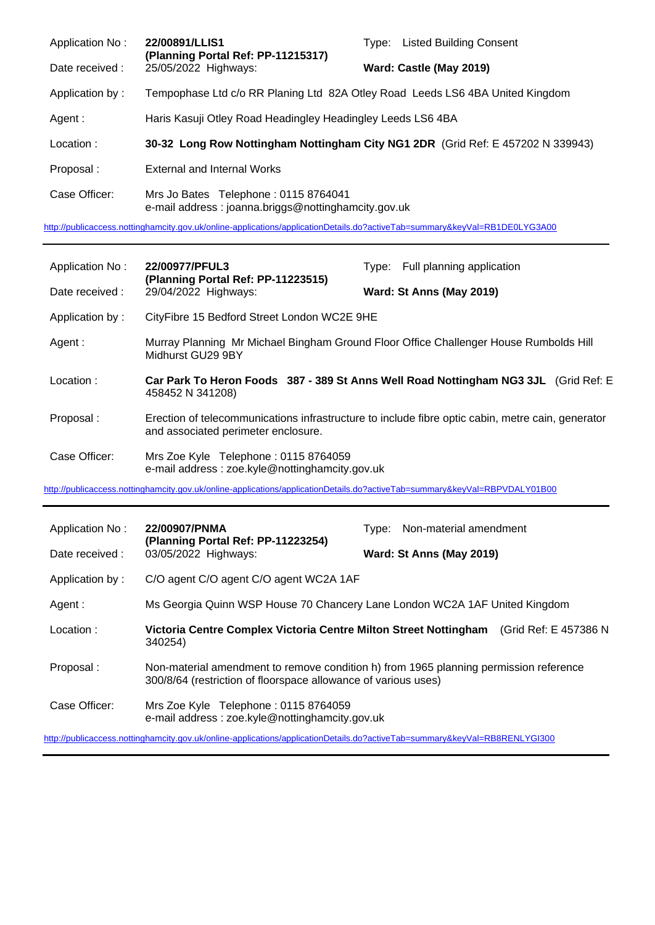| Application No: | 22/00891/LLIS1<br>(Planning Portal Ref: PP-11215317)<br>25/05/2022 Highways:                | <b>Listed Building Consent</b><br>Tvpe:                                         |
|-----------------|---------------------------------------------------------------------------------------------|---------------------------------------------------------------------------------|
| Date received:  |                                                                                             | Ward: Castle (May 2019)                                                         |
| Application by: | Tempophase Ltd c/o RR Planing Ltd 82A Otley Road Leeds LS6 4BA United Kingdom               |                                                                                 |
| Agent :         | Haris Kasuji Otley Road Headingley Headingley Leeds LS6 4BA                                 |                                                                                 |
| Location:       |                                                                                             | 30-32 Long Row Nottingham Nottingham City NG1 2DR (Grid Ref: E 457202 N 339943) |
| Proposal:       | External and Internal Works                                                                 |                                                                                 |
| Case Officer:   | Mrs Jo Bates Telephone: 0115 8764041<br>e-mail address: joanna.briggs@nottinghamcity.gov.uk |                                                                                 |

<http://publicaccess.nottinghamcity.gov.uk/online-applications/applicationDetails.do?activeTab=summary&keyVal=RB1DE0LYG3A00>

| Application No: | 22/00977/PFUL3                                                                                                             | Type: Full planning application                                                                   |  |
|-----------------|----------------------------------------------------------------------------------------------------------------------------|---------------------------------------------------------------------------------------------------|--|
| Date received:  | (Planning Portal Ref: PP-11223515)<br>29/04/2022 Highways:                                                                 | Ward: St Anns (May 2019)                                                                          |  |
| Application by: | CityFibre 15 Bedford Street London WC2E 9HE                                                                                |                                                                                                   |  |
| Agent:          | Midhurst GU29 9BY                                                                                                          | Murray Planning Mr Michael Bingham Ground Floor Office Challenger House Rumbolds Hill             |  |
| Location:       | Car Park To Heron Foods 387 - 389 St Anns Well Road Nottingham NG3 3JL (Grid Ref: E<br>458452 N 341208)                    |                                                                                                   |  |
| Proposal:       | and associated perimeter enclosure.                                                                                        | Erection of telecommunications infrastructure to include fibre optic cabin, metre cain, generator |  |
| Case Officer:   | Mrs Zoe Kyle Telephone: 0115 8764059<br>e-mail address: zoe.kyle@nottinghamcity.gov.uk                                     |                                                                                                   |  |
|                 | http://publicaccess.nottinghamcity.gov.uk/online-applications/applicationDetails.do?activeTab=summary&keyVal=RBPVDALY01B00 |                                                                                                   |  |
| Application No: | 22/00907/PNMA                                                                                                              | Non-material amendment<br>Type:                                                                   |  |
|                 | (Planning Portal Ref: PP-11223254)                                                                                         |                                                                                                   |  |
| Date received:  | 03/05/2022 Highways:                                                                                                       | Ward: St Anns (May 2019)                                                                          |  |
| Application by: | C/O agent C/O agent C/O agent WC2A 1AF                                                                                     |                                                                                                   |  |
| Agent :         |                                                                                                                            | Ms Georgia Quinn WSP House 70 Chancery Lane London WC2A 1AF United Kingdom                        |  |

- Location : **Victoria Centre Complex Victoria Centre Milton Street Nottingham** (Grid Ref: E 457386 N 340254)
- Proposal : Non-material amendment to remove condition h) from 1965 planning permission reference 300/8/64 (restriction of floorspace allowance of various uses)
- Case Officer: Mrs Zoe Kyle Telephone : 0115 8764059 e-mail address : zoe.kyle@nottinghamcity.gov.uk

<http://publicaccess.nottinghamcity.gov.uk/online-applications/applicationDetails.do?activeTab=summary&keyVal=RB8RENLYGI300>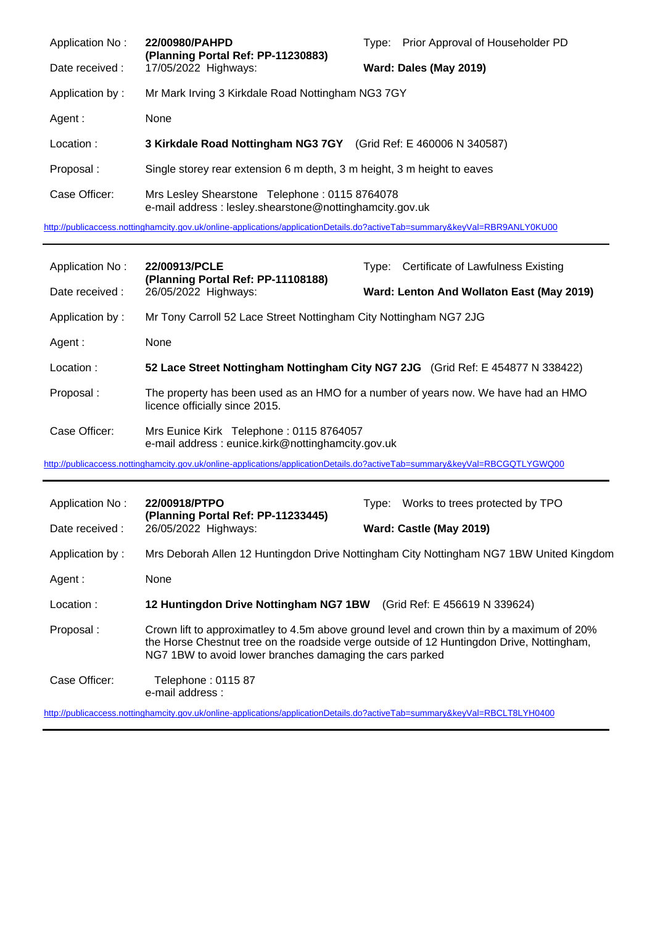| Application No: | 22/00980/PAHPD<br>(Planning Portal Ref: PP-11230883)                                                     | Prior Approval of Householder PD<br>Type: |  |
|-----------------|----------------------------------------------------------------------------------------------------------|-------------------------------------------|--|
| Date received:  | 17/05/2022 Highways:                                                                                     | Ward: Dales (May 2019)                    |  |
| Application by: | Mr Mark Irving 3 Kirkdale Road Nottingham NG3 7GY                                                        |                                           |  |
| Agent :         | None                                                                                                     |                                           |  |
| Location:       | 3 Kirkdale Road Nottingham NG3 7GY (Grid Ref: E 460006 N 340587)                                         |                                           |  |
| Proposal:       | Single storey rear extension 6 m depth, 3 m height, 3 m height to eaves                                  |                                           |  |
| Case Officer:   | Mrs Lesley Shearstone Telephone: 0115 8764078<br>e-mail address: lesley.shearstone@nottinghamcity.gov.uk |                                           |  |

<http://publicaccess.nottinghamcity.gov.uk/online-applications/applicationDetails.do?activeTab=summary&keyVal=RBR9ANLY0KU00>

| Application No: | 22/00913/PCLE<br>(Planning Portal Ref: PP-11108188)<br>26/05/2022 Highways:                                          |  | Type: Certificate of Lawfulness Existing  |
|-----------------|----------------------------------------------------------------------------------------------------------------------|--|-------------------------------------------|
| Date received:  |                                                                                                                      |  | Ward: Lenton And Wollaton East (May 2019) |
| Application by: | Mr Tony Carroll 52 Lace Street Nottingham City Nottingham NG7 2JG                                                    |  |                                           |
| Agent :         | None                                                                                                                 |  |                                           |
| Location:       | 52 Lace Street Nottingham Nottingham City NG7 2JG (Grid Ref: E 454877 N 338422)                                      |  |                                           |
| Proposal:       | The property has been used as an HMO for a number of years now. We have had an HMO<br>licence officially since 2015. |  |                                           |
| Case Officer:   | Mrs Eunice Kirk Telephone: 0115 8764057<br>e-mail address: eunice.kirk@nottinghamcity.gov.uk                         |  |                                           |

<http://publicaccess.nottinghamcity.gov.uk/online-applications/applicationDetails.do?activeTab=summary&keyVal=RBCGQTLYGWQ00>

| Application No: | 22/00918/PTPO<br>(Planning Portal Ref: PP-11233445)                  | Works to trees protected by TPO<br>Type:                                                                                                                                               |
|-----------------|----------------------------------------------------------------------|----------------------------------------------------------------------------------------------------------------------------------------------------------------------------------------|
| Date received : | 26/05/2022 Highways:                                                 | Ward: Castle (May 2019)                                                                                                                                                                |
| Application by: |                                                                      | Mrs Deborah Allen 12 Huntingdon Drive Nottingham City Nottingham NG7 1BW United Kingdom                                                                                                |
| Agent :         | None                                                                 |                                                                                                                                                                                        |
| Location:       | 12 Huntingdon Drive Nottingham NG7 1BW (Grid Ref: E 456619 N 339624) |                                                                                                                                                                                        |
| Proposal:       | NG7 1BW to avoid lower branches damaging the cars parked             | Crown lift to approximatley to 4.5m above ground level and crown thin by a maximum of 20%<br>the Horse Chestnut tree on the roadside verge outside of 12 Huntingdon Drive, Nottingham, |
| Case Officer:   | Telephone : 0115 87<br>e-mail address :                              |                                                                                                                                                                                        |

<http://publicaccess.nottinghamcity.gov.uk/online-applications/applicationDetails.do?activeTab=summary&keyVal=RBCLT8LYH0400>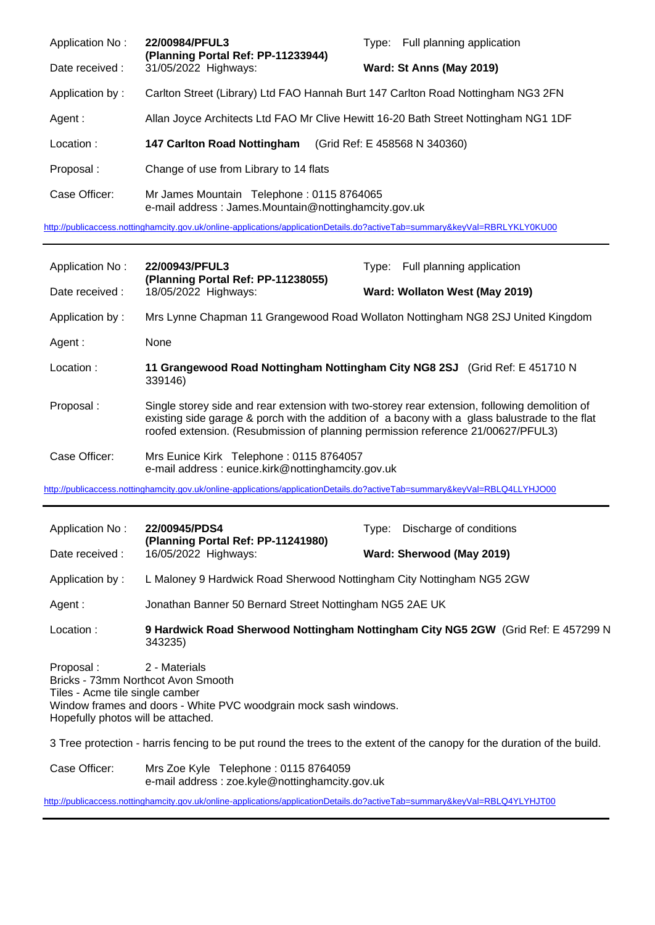| Application No: | 22/00984/PFUL3<br>(Planning Portal Ref: PP-11233944)                                              | Type: Full planning application                                                     |
|-----------------|---------------------------------------------------------------------------------------------------|-------------------------------------------------------------------------------------|
| Date received : | 31/05/2022 Highways:                                                                              | Ward: St Anns (May 2019)                                                            |
| Application by: | Carlton Street (Library) Ltd FAO Hannah Burt 147 Carlton Road Nottingham NG3 2FN                  |                                                                                     |
| Agent :         |                                                                                                   | Allan Joyce Architects Ltd FAO Mr Clive Hewitt 16-20 Bath Street Nottingham NG1 1DF |
| Location:       | <b>147 Carlton Road Nottingham</b>                                                                | (Grid Ref: E 458568 N 340360)                                                       |
| Proposal:       | Change of use from Library to 14 flats                                                            |                                                                                     |
| Case Officer:   | Mr James Mountain Telephone: 0115 8764065<br>e-mail address: James.Mountain@nottinghamcity.gov.uk |                                                                                     |

<http://publicaccess.nottinghamcity.gov.uk/online-applications/applicationDetails.do?activeTab=summary&keyVal=RBRLYKLY0KU00>

| Application No: | 22/00943/PFUL3                                                                               | Type: Full planning application                                                                                                                                                                 |
|-----------------|----------------------------------------------------------------------------------------------|-------------------------------------------------------------------------------------------------------------------------------------------------------------------------------------------------|
| Date received:  | (Planning Portal Ref: PP-11238055)<br>18/05/2022 Highways:                                   | Ward: Wollaton West (May 2019)                                                                                                                                                                  |
| Application by: |                                                                                              | Mrs Lynne Chapman 11 Grangewood Road Wollaton Nottingham NG8 2SJ United Kingdom                                                                                                                 |
| Agent:          | None                                                                                         |                                                                                                                                                                                                 |
| Location:       | 339146)                                                                                      | 11 Grangewood Road Nottingham Nottingham City NG8 2SJ (Grid Ref: E 451710 N                                                                                                                     |
| Proposal:       | roofed extension. (Resubmission of planning permission reference 21/00627/PFUL3)             | Single storey side and rear extension with two-storey rear extension, following demolition of<br>existing side garage & porch with the addition of a bacony with a glass balustrade to the flat |
| Case Officer:   | Mrs Eunice Kirk Telephone: 0115 8764057<br>e-mail address: eunice.kirk@nottinghamcity.gov.uk |                                                                                                                                                                                                 |

<http://publicaccess.nottinghamcity.gov.uk/online-applications/applicationDetails.do?activeTab=summary&keyVal=RBLQ4LLYHJO00>

| Application No:                                                                                                          | 22/00945/PDS4<br>(Planning Portal Ref: PP-11241980)                               | Discharge of conditions<br>Type:                                                  |
|--------------------------------------------------------------------------------------------------------------------------|-----------------------------------------------------------------------------------|-----------------------------------------------------------------------------------|
| Date received:                                                                                                           | 16/05/2022 Highways:                                                              | Ward: Sherwood (May 2019)                                                         |
| Application by:                                                                                                          | L Maloney 9 Hardwick Road Sherwood Nottingham City Nottingham NG5 2GW             |                                                                                   |
| Agent:                                                                                                                   | Jonathan Banner 50 Bernard Street Nottingham NG5 2AE UK                           |                                                                                   |
| Location:                                                                                                                | 343235)                                                                           | 9 Hardwick Road Sherwood Nottingham Nottingham City NG5 2GW (Grid Ref: E 457299 N |
| Proposal:<br>Bricks - 73mm Northcot Avon Smooth<br>Tiles - Acme tile single camber<br>Hopefully photos will be attached. | 2 - Materials<br>Window frames and doors - White PVC woodgrain mock sash windows. |                                                                                   |

3 Tree protection - harris fencing to be put round the trees to the extent of the canopy for the duration of the build.

Case Officer: Mrs Zoe Kyle Telephone : 0115 8764059 e-mail address : zoe.kyle@nottinghamcity.gov.uk

<http://publicaccess.nottinghamcity.gov.uk/online-applications/applicationDetails.do?activeTab=summary&keyVal=RBLQ4YLYHJT00>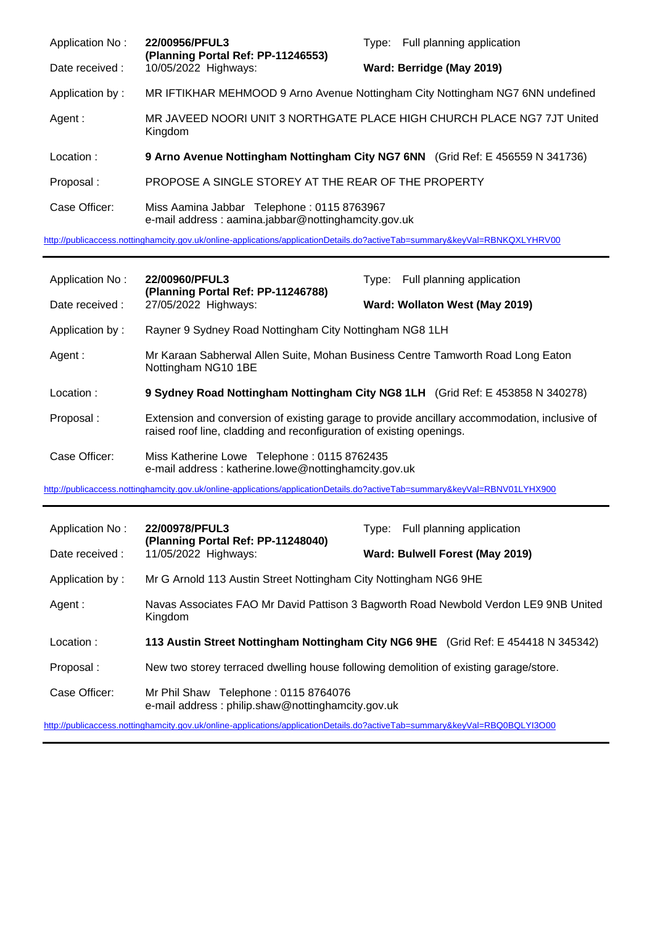| Application No: | 22/00956/PFUL3<br>(Planning Portal Ref: PP-11246553)                                              | Type: Full planning application |
|-----------------|---------------------------------------------------------------------------------------------------|---------------------------------|
| Date received : | 10/05/2022 Highways:                                                                              | Ward: Berridge (May 2019)       |
| Application by: | MR IFTIKHAR MEHMOOD 9 Arno Avenue Nottingham City Nottingham NG7 6NN undefined                    |                                 |
| Agent:          | MR JAVEED NOORI UNIT 3 NORTHGATE PLACE HIGH CHURCH PLACE NG7 7JT United<br>Kingdom                |                                 |
| Location:       | 9 Arno Avenue Nottingham Nottingham City NG7 6NN (Grid Ref: E 456559 N 341736)                    |                                 |
| Proposal:       | PROPOSE A SINGLE STOREY AT THE REAR OF THE PROPERTY                                               |                                 |
| Case Officer:   | Miss Aamina Jabbar Telephone: 0115 8763967<br>e-mail address: aamina.jabbar@nottinghamcity.gov.uk |                                 |

<http://publicaccess.nottinghamcity.gov.uk/online-applications/applicationDetails.do?activeTab=summary&keyVal=RBNKQXLYHRV00>

| Application No:                                                                                                            | 22/00960/PFUL3<br>(Planning Portal Ref: PP-11246788)                                                | Type: Full planning application                                                              |  |
|----------------------------------------------------------------------------------------------------------------------------|-----------------------------------------------------------------------------------------------------|----------------------------------------------------------------------------------------------|--|
| Date received :                                                                                                            | 27/05/2022 Highways:                                                                                | Ward: Wollaton West (May 2019)                                                               |  |
| Application by:                                                                                                            | Rayner 9 Sydney Road Nottingham City Nottingham NG8 1LH                                             |                                                                                              |  |
| Agent:                                                                                                                     | Nottingham NG10 1BE                                                                                 | Mr Karaan Sabherwal Allen Suite, Mohan Business Centre Tamworth Road Long Eaton              |  |
| Location:                                                                                                                  |                                                                                                     | 9 Sydney Road Nottingham Nottingham City NG8 1LH (Grid Ref: E 453858 N 340278)               |  |
| Proposal:                                                                                                                  | raised roof line, cladding and reconfiguration of existing openings.                                | Extension and conversion of existing garage to provide ancillary accommodation, inclusive of |  |
| Case Officer:                                                                                                              | Miss Katherine Lowe Telephone: 0115 8762435<br>e-mail address: katherine.lowe@nottinghamcity.gov.uk |                                                                                              |  |
| http://publicaccess.nottinghamcity.gov.uk/online-applications/applicationDetails.do?activeTab=summary&keyVal=RBNV01LYHX900 |                                                                                                     |                                                                                              |  |
|                                                                                                                            |                                                                                                     |                                                                                              |  |
| Application No:                                                                                                            | 22/00978/PFUL3                                                                                      | Type: Full planning application                                                              |  |
| Date received :                                                                                                            | (Planning Portal Ref: PP-11248040)<br>11/05/2022 Highways:                                          | Ward: Bulwell Forest (May 2019)                                                              |  |
| Application by:                                                                                                            | Mr G Arnold 113 Austin Street Nottingham City Nottingham NG6 9HE                                    |                                                                                              |  |
| Agent:                                                                                                                     | Kingdom                                                                                             | Navas Associates FAO Mr David Pattison 3 Bagworth Road Newbold Verdon LE9 9NB United         |  |
| Location:                                                                                                                  |                                                                                                     | 113 Austin Street Nottingham Nottingham City NG6 9HE (Grid Ref: E 454418 N 345342)           |  |
| Proposal:                                                                                                                  |                                                                                                     | New two storey terraced dwelling house following demolition of existing garage/store.        |  |

<http://publicaccess.nottinghamcity.gov.uk/online-applications/applicationDetails.do?activeTab=summary&keyVal=RBQ0BQLYI3O00>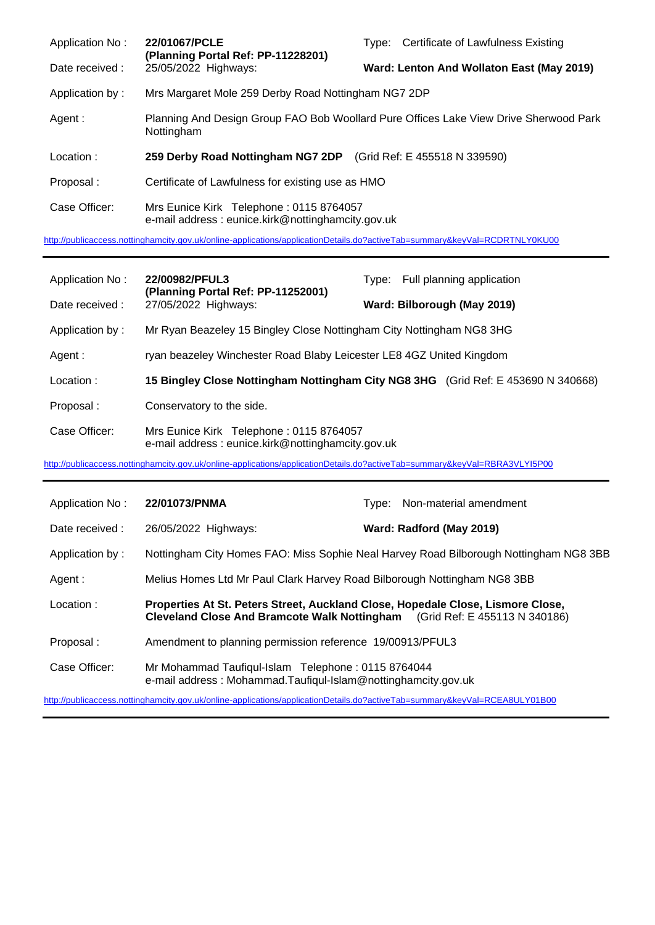| Application No: | 22/01067/PCLE<br>(Planning Portal Ref: PP-11228201)                                                 |                                           | Type: Certificate of Lawfulness Existing |  |
|-----------------|-----------------------------------------------------------------------------------------------------|-------------------------------------------|------------------------------------------|--|
| Date received:  | 25/05/2022 Highways:                                                                                | Ward: Lenton And Wollaton East (May 2019) |                                          |  |
| Application by: | Mrs Margaret Mole 259 Derby Road Nottingham NG7 2DP                                                 |                                           |                                          |  |
| Agent:          | Planning And Design Group FAO Bob Woollard Pure Offices Lake View Drive Sherwood Park<br>Nottingham |                                           |                                          |  |
| Location:       | 259 Derby Road Nottingham NG7 2DP (Grid Ref: E 455518 N 339590)                                     |                                           |                                          |  |
| Proposal:       | Certificate of Lawfulness for existing use as HMO                                                   |                                           |                                          |  |
| Case Officer:   | Mrs Eunice Kirk Telephone: 0115 8764057<br>e-mail address: eunice.kirk@nottinghamcity.gov.uk        |                                           |                                          |  |

<http://publicaccess.nottinghamcity.gov.uk/online-applications/applicationDetails.do?activeTab=summary&keyVal=RCDRTNLY0KU00>

| Application No: | 22/00982/PFUL3<br>(Planning Portal Ref: PP-11252001)<br>27/05/2022 Highways:                 | Type: Full planning application |  |
|-----------------|----------------------------------------------------------------------------------------------|---------------------------------|--|
| Date received : |                                                                                              | Ward: Bilborough (May 2019)     |  |
| Application by: | Mr Ryan Beazeley 15 Bingley Close Nottingham City Nottingham NG8 3HG                         |                                 |  |
| Agent :         | ryan beazeley Winchester Road Blaby Leicester LE8 4GZ United Kingdom                         |                                 |  |
| Location:       | 15 Bingley Close Nottingham Nottingham City NG8 3HG (Grid Ref: E 453690 N 340668)            |                                 |  |
| Proposal:       | Conservatory to the side.                                                                    |                                 |  |
| Case Officer:   | Mrs Eunice Kirk Telephone: 0115 8764057<br>e-mail address: eunice.kirk@nottinghamcity.gov.uk |                                 |  |

<http://publicaccess.nottinghamcity.gov.uk/online-applications/applicationDetails.do?activeTab=summary&keyVal=RBRA3VLYI5P00>

| Application No: | 22/01073/PNMA                                                                                                                                                 | Non-material amendment<br>Type:                                                       |
|-----------------|---------------------------------------------------------------------------------------------------------------------------------------------------------------|---------------------------------------------------------------------------------------|
| Date received : | 26/05/2022 Highways:                                                                                                                                          | Ward: Radford (May 2019)                                                              |
| Application by: |                                                                                                                                                               | Nottingham City Homes FAO: Miss Sophie Neal Harvey Road Bilborough Nottingham NG8 3BB |
| Agent :         | Melius Homes Ltd Mr Paul Clark Harvey Road Bilborough Nottingham NG8 3BB                                                                                      |                                                                                       |
| Location:       | Properties At St. Peters Street, Auckland Close, Hopedale Close, Lismore Close,<br>Cleveland Close And Bramcote Walk Nottingham (Grid Ref: E 455113 N 340186) |                                                                                       |
| Proposal:       | Amendment to planning permission reference 19/00913/PFUL3                                                                                                     |                                                                                       |
| Case Officer:   | Mr Mohammad Taufiqul-Islam Telephone: 0115 8764044<br>e-mail address: Mohammad.Taufiqul-Islam@nottinghamcity.gov.uk                                           |                                                                                       |

<http://publicaccess.nottinghamcity.gov.uk/online-applications/applicationDetails.do?activeTab=summary&keyVal=RCEA8ULY01B00>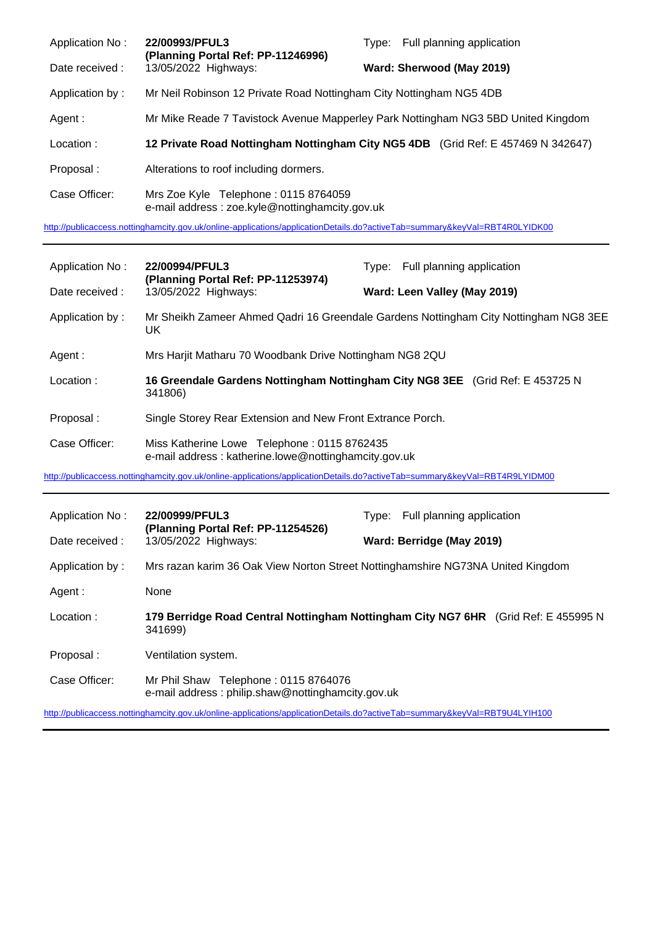| Application No: | 22/00993/PFUL3<br>(Planning Portal Ref: PP-11246996)                                   | Full planning application<br>Type:                                                |
|-----------------|----------------------------------------------------------------------------------------|-----------------------------------------------------------------------------------|
| Date received : | 13/05/2022 Highways:                                                                   | Ward: Sherwood (May 2019)                                                         |
| Application by: | Mr Neil Robinson 12 Private Road Nottingham City Nottingham NG5 4DB                    |                                                                                   |
| Agent :         |                                                                                        | Mr Mike Reade 7 Tavistock Avenue Mapperley Park Nottingham NG3 5BD United Kingdom |
| Location:       |                                                                                        | 12 Private Road Nottingham Nottingham City NG5 4DB (Grid Ref: E 457469 N 342647)  |
| Proposal:       | Alterations to roof including dormers.                                                 |                                                                                   |
| Case Officer:   | Mrs Zoe Kyle Telephone: 0115 8764059<br>e-mail address: zoe.kyle@nottinghamcity.gov.uk |                                                                                   |

<http://publicaccess.nottinghamcity.gov.uk/online-applications/applicationDetails.do?activeTab=summary&keyVal=RBT4R0LYIDK00>

| Application No:                                                                                                            | 22/00994/PFUL3                                                                                      | Full planning application<br>Type:                                            |  |
|----------------------------------------------------------------------------------------------------------------------------|-----------------------------------------------------------------------------------------------------|-------------------------------------------------------------------------------|--|
| Date received:                                                                                                             | (Planning Portal Ref: PP-11253974)<br>13/05/2022 Highways:                                          | Ward: Leen Valley (May 2019)                                                  |  |
| Application by:                                                                                                            | Mr Sheikh Zameer Ahmed Qadri 16 Greendale Gardens Nottingham City Nottingham NG8 3EE<br>UK.         |                                                                               |  |
| Agent :                                                                                                                    | Mrs Harjit Matharu 70 Woodbank Drive Nottingham NG8 2QU                                             |                                                                               |  |
| Location:                                                                                                                  | 341806)                                                                                             | 16 Greendale Gardens Nottingham Nottingham City NG8 3EE (Grid Ref: E 453725 N |  |
| Proposal:                                                                                                                  | Single Storey Rear Extension and New Front Extrance Porch.                                          |                                                                               |  |
| Case Officer:                                                                                                              | Miss Katherine Lowe Telephone: 0115 8762435<br>e-mail address: katherine.lowe@nottinghamcity.gov.uk |                                                                               |  |
| http://publicaccess.nottinghamcity.gov.uk/online-applications/applicationDetails.do?activeTab=summary&keyVal=RBT4R9LYIDM00 |                                                                                                     |                                                                               |  |
| Application No:                                                                                                            | 22/00999/PFUL3                                                                                      | Full planning application<br>Type:                                            |  |

| Date received : | (Planning Portal Ref: PP-11254526)<br>13/05/2022 Highways:                                    | Ward: Berridge (May 2019) |  |
|-----------------|-----------------------------------------------------------------------------------------------|---------------------------|--|
| Application by: | Mrs razan karim 36 Oak View Norton Street Nottinghamshire NG73NA United Kingdom               |                           |  |
| Agent :         | None                                                                                          |                           |  |
| Location:       | 179 Berridge Road Central Nottingham Nottingham City NG7 6HR (Grid Ref: E 455995 N<br>341699) |                           |  |
| Proposal:       | Ventilation system.                                                                           |                           |  |
| Case Officer:   | Mr Phil Shaw Telephone: 0115 8764076<br>e-mail address: philip.shaw@nottinghamcity.gov.uk     |                           |  |

<http://publicaccess.nottinghamcity.gov.uk/online-applications/applicationDetails.do?activeTab=summary&keyVal=RBT9U4LYIH100>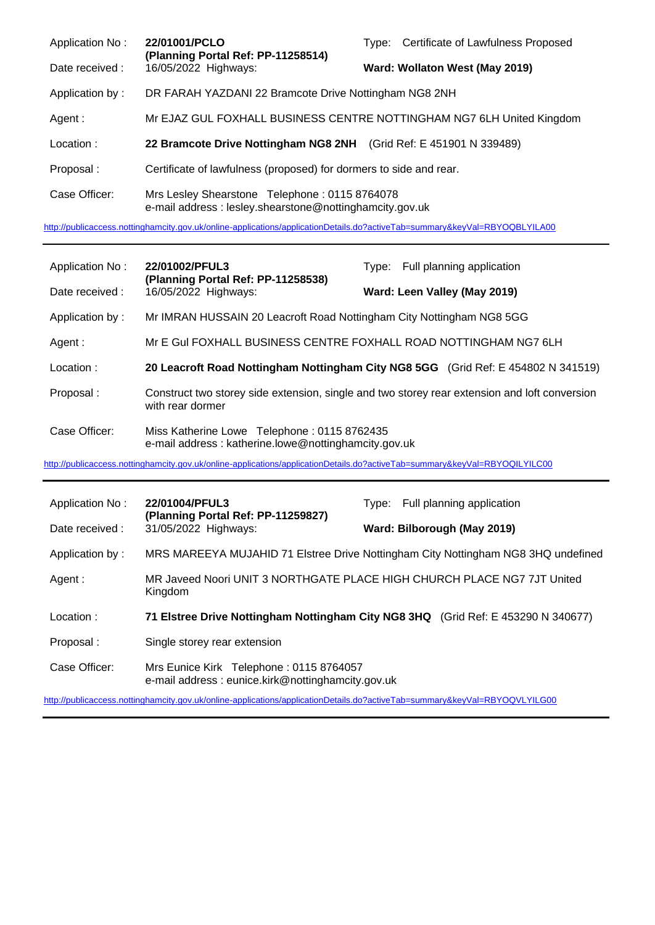| Application No: | 22/01001/PCLO<br>(Planning Portal Ref: PP-11258514)                                                      | Type: Certificate of Lawfulness Proposed                              |
|-----------------|----------------------------------------------------------------------------------------------------------|-----------------------------------------------------------------------|
| Date received : | 16/05/2022 Highways:                                                                                     | Ward: Wollaton West (May 2019)                                        |
| Application by: | DR FARAH YAZDANI 22 Bramcote Drive Nottingham NG8 2NH                                                    |                                                                       |
| Agent :         |                                                                                                          | Mr EJAZ GUL FOXHALL BUSINESS CENTRE NOTTINGHAM NG7 6LH United Kingdom |
| Location:       | 22 Bramcote Drive Nottingham NG8 2NH                                                                     | (Grid Ref: E 451901 N 339489)                                         |
| Proposal:       | Certificate of lawfulness (proposed) for dormers to side and rear.                                       |                                                                       |
| Case Officer:   | Mrs Lesley Shearstone Telephone: 0115 8764078<br>e-mail address: lesley.shearstone@nottinghamcity.gov.uk |                                                                       |

<http://publicaccess.nottinghamcity.gov.uk/online-applications/applicationDetails.do?activeTab=summary&keyVal=RBYOQBLYILA00>

| Application No: | 22/01002/PFUL3                                                                                      | Type: Full planning application                                                               |
|-----------------|-----------------------------------------------------------------------------------------------------|-----------------------------------------------------------------------------------------------|
| Date received : | (Planning Portal Ref: PP-11258538)<br>16/05/2022 Highways:                                          | Ward: Leen Valley (May 2019)                                                                  |
| Application by: | Mr IMRAN HUSSAIN 20 Leacroft Road Nottingham City Nottingham NG8 5GG                                |                                                                                               |
| Agent :         | Mr E Gul FOXHALL BUSINESS CENTRE FOXHALL ROAD NOTTINGHAM NG7 6LH                                    |                                                                                               |
| Location:       |                                                                                                     | 20 Leacroft Road Nottingham Nottingham City NG8 5GG (Grid Ref: E 454802 N 341519)             |
| Proposal:       | with rear dormer                                                                                    | Construct two storey side extension, single and two storey rear extension and loft conversion |
| Case Officer:   | Miss Katherine Lowe Telephone: 0115 8762435<br>e-mail address: katherine.lowe@nottinghamcity.gov.uk |                                                                                               |

<http://publicaccess.nottinghamcity.gov.uk/online-applications/applicationDetails.do?activeTab=summary&keyVal=RBYOQILYILC00>

| Application No: | 22/01004/PFUL3<br>(Planning Portal Ref: PP-11259827)                                         | Type: Full planning application                                                   |
|-----------------|----------------------------------------------------------------------------------------------|-----------------------------------------------------------------------------------|
| Date received : | 31/05/2022 Highways:                                                                         | Ward: Bilborough (May 2019)                                                       |
| Application by: |                                                                                              | MRS MAREEYA MUJAHID 71 Elstree Drive Nottingham City Nottingham NG8 3HQ undefined |
| Agent :         | Kingdom                                                                                      | MR Javeed Noori UNIT 3 NORTHGATE PLACE HIGH CHURCH PLACE NG7 7JT United           |
| Location:       |                                                                                              | 71 Elstree Drive Nottingham Nottingham City NG8 3HQ (Grid Ref: E 453290 N 340677) |
| Proposal:       | Single storey rear extension                                                                 |                                                                                   |
| Case Officer:   | Mrs Eunice Kirk Telephone: 0115 8764057<br>e-mail address: eunice.kirk@nottinghamcity.gov.uk |                                                                                   |

<http://publicaccess.nottinghamcity.gov.uk/online-applications/applicationDetails.do?activeTab=summary&keyVal=RBYOQVLYILG00>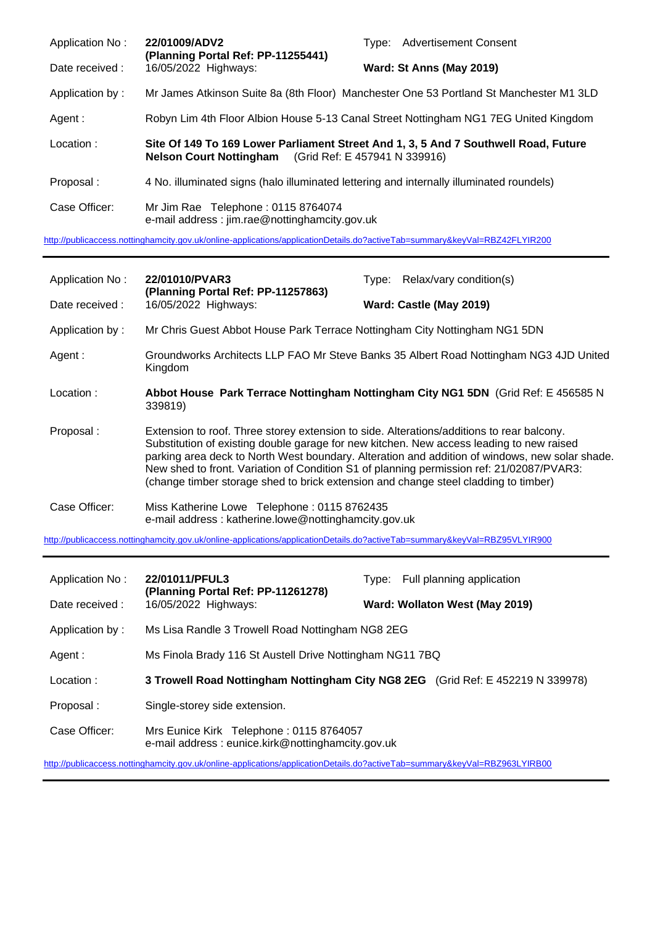| Application No: | 22/01009/ADV2<br>(Planning Portal Ref: PP-11255441)                                      | <b>Advertisement Consent</b><br>Type:                                                  |
|-----------------|------------------------------------------------------------------------------------------|----------------------------------------------------------------------------------------|
| Date received:  | 16/05/2022 Highways:                                                                     | Ward: St Anns (May 2019)                                                               |
| Application by: |                                                                                          | Mr James Atkinson Suite 8a (8th Floor) Manchester One 53 Portland St Manchester M1 3LD |
| Agent :         |                                                                                          | Robyn Lim 4th Floor Albion House 5-13 Canal Street Nottingham NG1 7EG United Kingdom   |
| Location:       | <b>Nelson Court Nottingham</b> (Grid Ref: E 457941 N 339916)                             | Site Of 149 To 169 Lower Parliament Street And 1, 3, 5 And 7 Southwell Road, Future    |
| Proposal:       | 4 No. illuminated signs (halo illuminated lettering and internally illuminated roundels) |                                                                                        |
| Case Officer:   | Mr Jim Rae Telephone: 0115 8764074<br>e-mail address: jim.rae@nottinghamcity.gov.uk      |                                                                                        |

<http://publicaccess.nottinghamcity.gov.uk/online-applications/applicationDetails.do?activeTab=summary&keyVal=RBZ42FLYIR200>

| Application No: | 22/01010/PVAR3<br>(Planning Portal Ref: PP-11257863)                                                                                                                                                                                                                                                                                                                                                                                                                       | Relax/vary condition(s)<br>Type:                                                       |
|-----------------|----------------------------------------------------------------------------------------------------------------------------------------------------------------------------------------------------------------------------------------------------------------------------------------------------------------------------------------------------------------------------------------------------------------------------------------------------------------------------|----------------------------------------------------------------------------------------|
| Date received:  | 16/05/2022 Highways:                                                                                                                                                                                                                                                                                                                                                                                                                                                       | Ward: Castle (May 2019)                                                                |
| Application by: | Mr Chris Guest Abbot House Park Terrace Nottingham City Nottingham NG1 5DN                                                                                                                                                                                                                                                                                                                                                                                                 |                                                                                        |
| Agent :         | Kingdom                                                                                                                                                                                                                                                                                                                                                                                                                                                                    | Groundworks Architects LLP FAO Mr Steve Banks 35 Albert Road Nottingham NG3 4JD United |
| Location:       | 339819)                                                                                                                                                                                                                                                                                                                                                                                                                                                                    | Abbot House Park Terrace Nottingham Nottingham City NG1 5DN (Grid Ref: E 456585 N      |
| Proposal:       | Extension to roof. Three storey extension to side. Alterations/additions to rear balcony.<br>Substitution of existing double garage for new kitchen. New access leading to new raised<br>parking area deck to North West boundary. Alteration and addition of windows, new solar shade.<br>New shed to front. Variation of Condition S1 of planning permission ref: 21/02087/PVAR3:<br>(change timber storage shed to brick extension and change steel cladding to timber) |                                                                                        |
| Case Officer:   | Miss Katherine Lowe Telephone: 0115 8762435<br>e-mail address: katherine.lowe@nottinghamcity.gov.uk                                                                                                                                                                                                                                                                                                                                                                        |                                                                                        |

<http://publicaccess.nottinghamcity.gov.uk/online-applications/applicationDetails.do?activeTab=summary&keyVal=RBZ95VLYIR900>

| Application No: | 22/01011/PFUL3                                                                               | Full planning application<br>Tvpe:                                              |
|-----------------|----------------------------------------------------------------------------------------------|---------------------------------------------------------------------------------|
| Date received:  | (Planning Portal Ref: PP-11261278)<br>16/05/2022 Highways:                                   | Ward: Wollaton West (May 2019)                                                  |
| Application by: | Ms Lisa Randle 3 Trowell Road Nottingham NG8 2EG                                             |                                                                                 |
| Agent :         | Ms Finola Brady 116 St Austell Drive Nottingham NG11 7BQ                                     |                                                                                 |
| Location:       |                                                                                              | 3 Trowell Road Nottingham Nottingham City NG8 2EG (Grid Ref: E 452219 N 339978) |
| Proposal:       | Single-storey side extension.                                                                |                                                                                 |
| Case Officer:   | Mrs Eunice Kirk Telephone: 0115 8764057<br>e-mail address: eunice.kirk@nottinghamcity.gov.uk |                                                                                 |

<http://publicaccess.nottinghamcity.gov.uk/online-applications/applicationDetails.do?activeTab=summary&keyVal=RBZ963LYIRB00>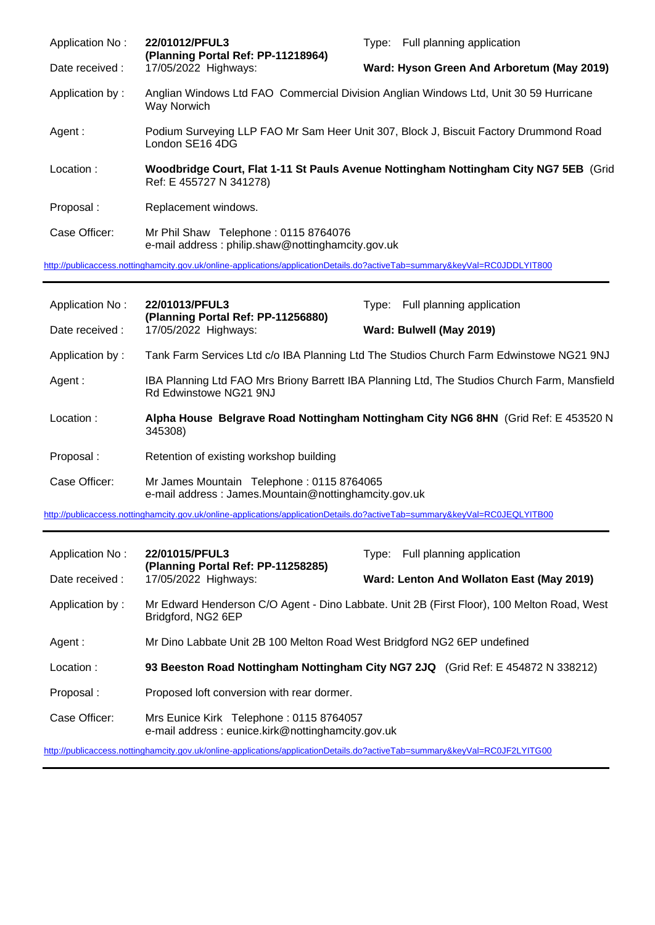| Application No: | 22/01012/PFUL3<br>(Planning Portal Ref: PP-11218964)                                                                       | Full planning application<br>Type:                                                    |
|-----------------|----------------------------------------------------------------------------------------------------------------------------|---------------------------------------------------------------------------------------|
| Date received : | 17/05/2022 Highways:                                                                                                       | Ward: Hyson Green And Arboretum (May 2019)                                            |
| Application by: | Way Norwich                                                                                                                | Anglian Windows Ltd FAO Commercial Division Anglian Windows Ltd, Unit 30 59 Hurricane |
| Agent :         | London SE16 4DG                                                                                                            | Podium Surveying LLP FAO Mr Sam Heer Unit 307, Block J, Biscuit Factory Drummond Road |
| Location:       | Ref: E 455727 N 341278)                                                                                                    | Woodbridge Court, Flat 1-11 St Pauls Avenue Nottingham Nottingham City NG7 5EB (Grid  |
| Proposal:       | Replacement windows.                                                                                                       |                                                                                       |
| Case Officer:   | Mr Phil Shaw Telephone: 0115 8764076<br>e-mail address: philip.shaw@nottinghamcity.gov.uk                                  |                                                                                       |
|                 | http://publicaccess.nottinghamcity.gov.uk/online-applications/applicationDetails.do?activeTab=summary&keyVal=RC0JDDLYIT800 |                                                                                       |

| Application No: | 22/01013/PFUL3                                                                                                             | Type: Full planning application                                                              |
|-----------------|----------------------------------------------------------------------------------------------------------------------------|----------------------------------------------------------------------------------------------|
| Date received : | (Planning Portal Ref: PP-11256880)<br>17/05/2022 Highways:                                                                 | Ward: Bulwell (May 2019)                                                                     |
| Application by: |                                                                                                                            | Tank Farm Services Ltd c/o IBA Planning Ltd The Studios Church Farm Edwinstowe NG21 9NJ      |
| Agent:          | Rd Edwinstowe NG21 9NJ                                                                                                     | IBA Planning Ltd FAO Mrs Briony Barrett IBA Planning Ltd, The Studios Church Farm, Mansfield |
| Location:       | Alpha House Belgrave Road Nottingham Nottingham City NG6 8HN (Grid Ref: E 453520 N<br>345308)                              |                                                                                              |
| Proposal:       | Retention of existing workshop building                                                                                    |                                                                                              |
| Case Officer:   | Mr James Mountain Telephone: 0115 8764065<br>e-mail address: James.Mountain@nottinghamcity.gov.uk                          |                                                                                              |
|                 | http://publicaccess.nottinghamcity.gov.uk/online-applications/applicationDetails.do?activeTab=summary&keyVal=RC0JEQLYITB00 |                                                                                              |
|                 |                                                                                                                            |                                                                                              |
| Application No: | 22/01015/PFUL3<br>(Planning Portal Ref: PP-11258285)                                                                       | Type: Full planning application                                                              |
| Date received : | 17/05/2022 Highways:                                                                                                       | Ward: Lenton And Wollaton East (May 2019)                                                    |
| Application by: | Bridgford, NG2 6EP                                                                                                         | Mr Edward Henderson C/O Agent - Dino Labbate. Unit 2B (First Floor), 100 Melton Road, West   |
| Agent:          | Mr Dino Labbate Unit 2B 100 Melton Road West Bridgford NG2 6EP undefined                                                   |                                                                                              |
| Location:       |                                                                                                                            | 93 Beeston Road Nottingham Nottingham City NG7 2JQ (Grid Ref: E 454872 N 338212)             |
| Proposal:       | Proposed loft conversion with rear dormer.                                                                                 |                                                                                              |
| Case Officer:   | Mrs Eunice Kirk Telephone: 0115 8764057<br>e-mail address: eunice.kirk@nottinghamcity.gov.uk                               |                                                                                              |
|                 | http://publicaccess.nottinghamcity.gov.uk/online-applications/applicationDetails.do?activeTab=summary&keyVal=RC0JF2LYITG00 |                                                                                              |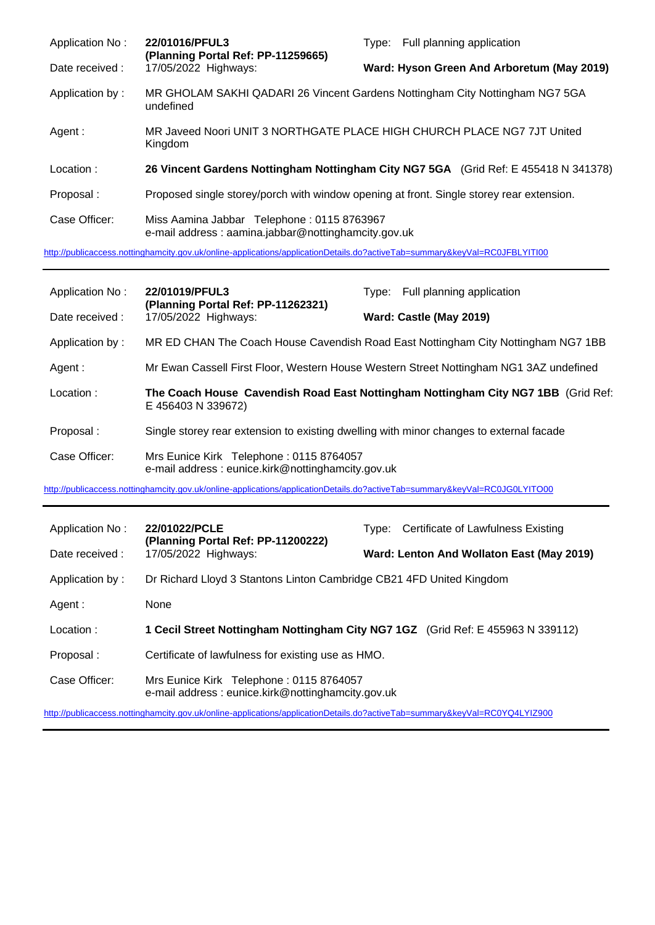| Application No: | 22/01016/PFUL3<br>(Planning Portal Ref: PP-11259665)                                                                       | Type: Full planning application                                                          |
|-----------------|----------------------------------------------------------------------------------------------------------------------------|------------------------------------------------------------------------------------------|
| Date received:  | 17/05/2022 Highways:                                                                                                       | Ward: Hyson Green And Arboretum (May 2019)                                               |
| Application by: | undefined                                                                                                                  | MR GHOLAM SAKHI QADARI 26 Vincent Gardens Nottingham City Nottingham NG7 5GA             |
| Agent :         | Kingdom                                                                                                                    | MR Javeed Noori UNIT 3 NORTHGATE PLACE HIGH CHURCH PLACE NG7 7JT United                  |
| Location:       |                                                                                                                            | 26 Vincent Gardens Nottingham Nottingham City NG7 5GA (Grid Ref: E 455418 N 341378)      |
| Proposal:       |                                                                                                                            | Proposed single storey/porch with window opening at front. Single storey rear extension. |
| Case Officer:   | Miss Aamina Jabbar Telephone: 0115 8763967<br>e-mail address: aamina.jabbar@nottinghamcity.gov.uk                          |                                                                                          |
|                 | http://publicaccess.nottinghamcity.gov.uk/online-applications/applicationDetails.do?activeTab=summary&keyVal=RC0JFBLYITI00 |                                                                                          |

| Application No: | 22/01019/PFUL3                                                                               | Type: Full planning application                                                        |
|-----------------|----------------------------------------------------------------------------------------------|----------------------------------------------------------------------------------------|
| Date received : | (Planning Portal Ref: PP-11262321)<br>17/05/2022 Highways:                                   | Ward: Castle (May 2019)                                                                |
| Application by: |                                                                                              | MR ED CHAN The Coach House Cavendish Road East Nottingham City Nottingham NG7 1BB      |
| Agent:          |                                                                                              | Mr Ewan Cassell First Floor, Western House Western Street Nottingham NG1 3AZ undefined |
| Location:       | E 456403 N 339672)                                                                           | The Coach House Cavendish Road East Nottingham Nottingham City NG7 1BB (Grid Ref:      |
| Proposal:       | Single storey rear extension to existing dwelling with minor changes to external facade      |                                                                                        |
| Case Officer:   | Mrs Eunice Kirk Telephone: 0115 8764057<br>e-mail address: eunice.kirk@nottinghamcity.gov.uk |                                                                                        |

<http://publicaccess.nottinghamcity.gov.uk/online-applications/applicationDetails.do?activeTab=summary&keyVal=RC0JG0LYITO00>

| Application No: | 22/01022/PCLE                                                                                | Type: Certificate of Lawfulness Existing                                        |
|-----------------|----------------------------------------------------------------------------------------------|---------------------------------------------------------------------------------|
| Date received : | (Planning Portal Ref: PP-11200222)<br>17/05/2022 Highways:                                   | Ward: Lenton And Wollaton East (May 2019)                                       |
| Application by: | Dr Richard Lloyd 3 Stantons Linton Cambridge CB21 4FD United Kingdom                         |                                                                                 |
| Agent :         | None                                                                                         |                                                                                 |
| Location:       |                                                                                              | 1 Cecil Street Nottingham Nottingham City NG7 1GZ (Grid Ref: E 455963 N 339112) |
| Proposal:       | Certificate of lawfulness for existing use as HMO.                                           |                                                                                 |
| Case Officer:   | Mrs Eunice Kirk Telephone: 0115 8764057<br>e-mail address: eunice.kirk@nottinghamcity.gov.uk |                                                                                 |

<http://publicaccess.nottinghamcity.gov.uk/online-applications/applicationDetails.do?activeTab=summary&keyVal=RC0YQ4LYIZ900>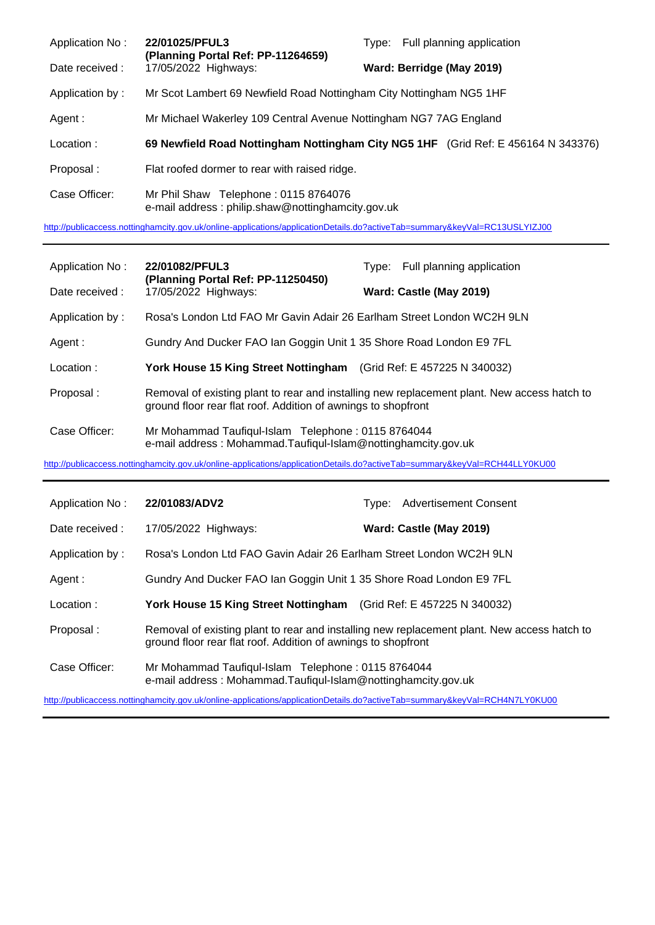| Application No: | 22/01025/PFUL3<br>(Planning Portal Ref: PP-11264659)                                      | Type: Full planning application                                                   |
|-----------------|-------------------------------------------------------------------------------------------|-----------------------------------------------------------------------------------|
| Date received : | 17/05/2022 Highways:                                                                      | Ward: Berridge (May 2019)                                                         |
| Application by: | Mr Scot Lambert 69 Newfield Road Nottingham City Nottingham NG5 1HF                       |                                                                                   |
| Agent:          | Mr Michael Wakerley 109 Central Avenue Nottingham NG7 7AG England                         |                                                                                   |
| Location:       |                                                                                           | 69 Newfield Road Nottingham Nottingham City NG5 1HF (Grid Ref: E 456164 N 343376) |
| Proposal:       | Flat roofed dormer to rear with raised ridge.                                             |                                                                                   |
| Case Officer:   | Mr Phil Shaw Telephone: 0115 8764076<br>e-mail address: philip.shaw@nottinghamcity.gov.uk |                                                                                   |

<http://publicaccess.nottinghamcity.gov.uk/online-applications/applicationDetails.do?activeTab=summary&keyVal=RC13USLYIZJ00>

| Application No: | 22/01082/PFUL3<br>(Planning Portal Ref: PP-11250450)<br>17/05/2022 Highways:                                        | Type: Full planning application                                                             |
|-----------------|---------------------------------------------------------------------------------------------------------------------|---------------------------------------------------------------------------------------------|
| Date received : |                                                                                                                     | Ward: Castle (May 2019)                                                                     |
| Application by: | Rosa's London Ltd FAO Mr Gavin Adair 26 Earlham Street London WC2H 9LN                                              |                                                                                             |
| Agent:          | Gundry And Ducker FAO lan Goggin Unit 1 35 Shore Road London E9 7FL                                                 |                                                                                             |
| Location:       | York House 15 King Street Nottingham (Grid Ref: E 457225 N 340032)                                                  |                                                                                             |
| Proposal:       | ground floor rear flat roof. Addition of awnings to shopfront                                                       | Removal of existing plant to rear and installing new replacement plant. New access hatch to |
| Case Officer:   | Mr Mohammad Taufiqul-Islam Telephone: 0115 8764044<br>e-mail address: Mohammad.Taufiqul-Islam@nottinghamcity.gov.uk |                                                                                             |

<http://publicaccess.nottinghamcity.gov.uk/online-applications/applicationDetails.do?activeTab=summary&keyVal=RCH44LLY0KU00>

| Application No: | 22/01083/ADV2                                                                                                                                                | Tvpe: | <b>Advertisement Consent</b> |
|-----------------|--------------------------------------------------------------------------------------------------------------------------------------------------------------|-------|------------------------------|
| Date received : | 17/05/2022 Highways:                                                                                                                                         |       | Ward: Castle (May 2019)      |
| Application by: | Rosa's London Ltd FAO Gavin Adair 26 Earlham Street London WC2H 9LN                                                                                          |       |                              |
| Agent :         | Gundry And Ducker FAO lan Goggin Unit 1 35 Shore Road London E9 7FL                                                                                          |       |                              |
| Location:       | York House 15 King Street Nottingham (Grid Ref: E 457225 N 340032)                                                                                           |       |                              |
| Proposal:       | Removal of existing plant to rear and installing new replacement plant. New access hatch to<br>ground floor rear flat roof. Addition of awnings to shopfront |       |                              |
| Case Officer:   | Mr Mohammad Taufiqul-Islam Telephone: 0115 8764044<br>e-mail address: Mohammad.Taufiqul-Islam@nottinghamcity.gov.uk                                          |       |                              |

<http://publicaccess.nottinghamcity.gov.uk/online-applications/applicationDetails.do?activeTab=summary&keyVal=RCH4N7LY0KU00>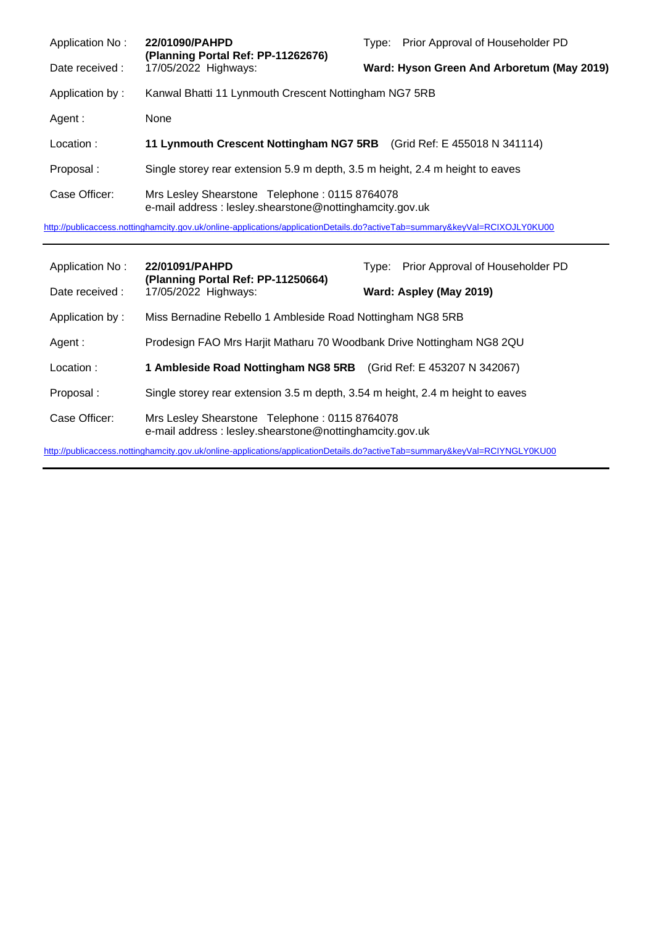| Application No: | 22/01090/PAHPD<br>(Planning Portal Ref: PP-11262676)                                                      | Type: Prior Approval of Householder PD     |
|-----------------|-----------------------------------------------------------------------------------------------------------|--------------------------------------------|
| Date received : | 17/05/2022 Highways:                                                                                      | Ward: Hyson Green And Arboretum (May 2019) |
| Application by: | Kanwal Bhatti 11 Lynmouth Crescent Nottingham NG7 5RB                                                     |                                            |
| Agent:          | None                                                                                                      |                                            |
| Location:       | 11 Lynmouth Crescent Nottingham NG7 5RB (Grid Ref: E 455018 N 341114)                                     |                                            |
| Proposal:       | Single storey rear extension 5.9 m depth, 3.5 m height, 2.4 m height to eaves                             |                                            |
| Case Officer:   | Mrs Lesley Shearstone Telephone: 0115 8764078<br>e-mail address : lesley.shearstone@nottinghamcity.gov.uk |                                            |

<http://publicaccess.nottinghamcity.gov.uk/online-applications/applicationDetails.do?activeTab=summary&keyVal=RCIXOJLY0KU00>

| Application No: | 22/01091/PAHPD<br>(Planning Portal Ref: PP-11250664)<br>17/05/2022 Highways:                             | Tvpe: | Prior Approval of Householder PD |
|-----------------|----------------------------------------------------------------------------------------------------------|-------|----------------------------------|
| Date received:  |                                                                                                          |       | Ward: Aspley (May 2019)          |
| Application by: | Miss Bernadine Rebello 1 Ambleside Road Nottingham NG8 5RB                                               |       |                                  |
| Agent :         | Prodesign FAO Mrs Harjit Matharu 70 Woodbank Drive Nottingham NG8 2QU                                    |       |                                  |
| Location:       | 1 Ambleside Road Nottingham NG8 5RB (Grid Ref: E 453207 N 342067)                                        |       |                                  |
| Proposal:       | Single storey rear extension 3.5 m depth, 3.54 m height, 2.4 m height to eaves                           |       |                                  |
| Case Officer:   | Mrs Lesley Shearstone Telephone: 0115 8764078<br>e-mail address: lesley.shearstone@nottinghamcity.gov.uk |       |                                  |
|                 |                                                                                                          |       |                                  |

<http://publicaccess.nottinghamcity.gov.uk/online-applications/applicationDetails.do?activeTab=summary&keyVal=RCIYNGLY0KU00>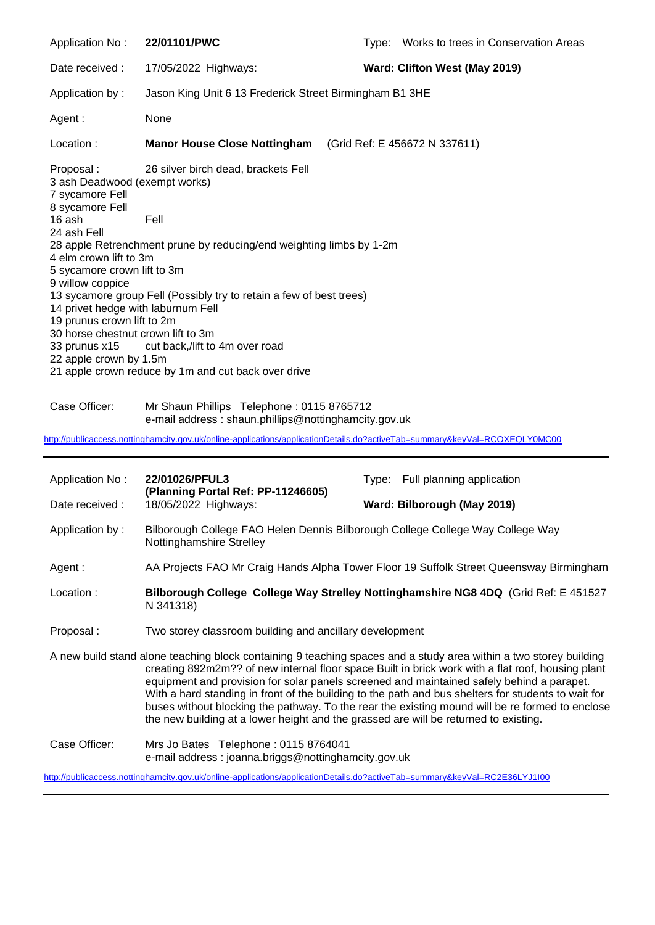Application No : **22/01101/PWC** Type: Works to trees in Conservation Areas Date received : 17/05/2022 Highways: **Ward: Clifton West (May 2019)** Application by : Jason King Unit 6 13 Frederick Street Birmingham B1 3HE Agent : None Location : **Manor House Close Nottingham** (Grid Ref: E 456672 N 337611) Proposal : 26 silver birch dead, brackets Fell 3 ash Deadwood (exempt works) 7 sycamore Fell 8 sycamore Fell 16 ash Fell 24 ash Fell 28 apple Retrenchment prune by reducing/end weighting limbs by 1-2m 4 elm crown lift to 3m 5 sycamore crown lift to 3m 9 willow coppice 13 sycamore group Fell (Possibly try to retain a few of best trees) 14 privet hedge with laburnum Fell 19 prunus crown lift to 2m 30 horse chestnut crown lift to 3m 33 prunus x15 cut back,/lift to 4m over road 22 apple crown by 1.5m 21 apple crown reduce by 1m and cut back over drive

Case Officer: Mr Shaun Phillips Telephone : 0115 8765712 e-mail address : shaun.phillips@nottinghamcity.gov.uk

<http://publicaccess.nottinghamcity.gov.uk/online-applications/applicationDetails.do?activeTab=summary&keyVal=RCOXEQLY0MC00>

| Application No:                                                                                                                                                                                                                                                                                                                                                                                                                                                                                                                                                                                                       | 22/01026/PFUL3                                                                                                             | Type: Full planning application                                                     |
|-----------------------------------------------------------------------------------------------------------------------------------------------------------------------------------------------------------------------------------------------------------------------------------------------------------------------------------------------------------------------------------------------------------------------------------------------------------------------------------------------------------------------------------------------------------------------------------------------------------------------|----------------------------------------------------------------------------------------------------------------------------|-------------------------------------------------------------------------------------|
| Date received :                                                                                                                                                                                                                                                                                                                                                                                                                                                                                                                                                                                                       | (Planning Portal Ref: PP-11246605)<br>18/05/2022 Highways:                                                                 | Ward: Bilborough (May 2019)                                                         |
| Application by:                                                                                                                                                                                                                                                                                                                                                                                                                                                                                                                                                                                                       | Bilborough College FAO Helen Dennis Bilborough College College Way College Way<br>Nottinghamshire Strelley                 |                                                                                     |
| Agent :                                                                                                                                                                                                                                                                                                                                                                                                                                                                                                                                                                                                               | AA Projects FAO Mr Craig Hands Alpha Tower Floor 19 Suffolk Street Queensway Birmingham                                    |                                                                                     |
| Location:                                                                                                                                                                                                                                                                                                                                                                                                                                                                                                                                                                                                             | N 341318)                                                                                                                  | Bilborough College College Way Strelley Nottinghamshire NG8 4DQ (Grid Ref: E 451527 |
| Proposal:                                                                                                                                                                                                                                                                                                                                                                                                                                                                                                                                                                                                             | Two storey classroom building and ancillary development                                                                    |                                                                                     |
| A new build stand alone teaching block containing 9 teaching spaces and a study area within a two storey building<br>creating 892m2m?? of new internal floor space Built in brick work with a flat roof, housing plant<br>equipment and provision for solar panels screened and maintained safely behind a parapet.<br>With a hard standing in front of the building to the path and bus shelters for students to wait for<br>buses without blocking the pathway. To the rear the existing mound will be re formed to enclose<br>the new building at a lower height and the grassed are will be returned to existing. |                                                                                                                            |                                                                                     |
| Case Officer:                                                                                                                                                                                                                                                                                                                                                                                                                                                                                                                                                                                                         | Mrs Jo Bates Telephone: 0115 8764041<br>e-mail address: joanna.briggs@nottinghamcity.gov.uk                                |                                                                                     |
|                                                                                                                                                                                                                                                                                                                                                                                                                                                                                                                                                                                                                       | http://publicaccess.nottinghamcity.gov.uk/online-applications/applicationDetails.do?activeTab=summary&keyVal=RC2E36LYJ1100 |                                                                                     |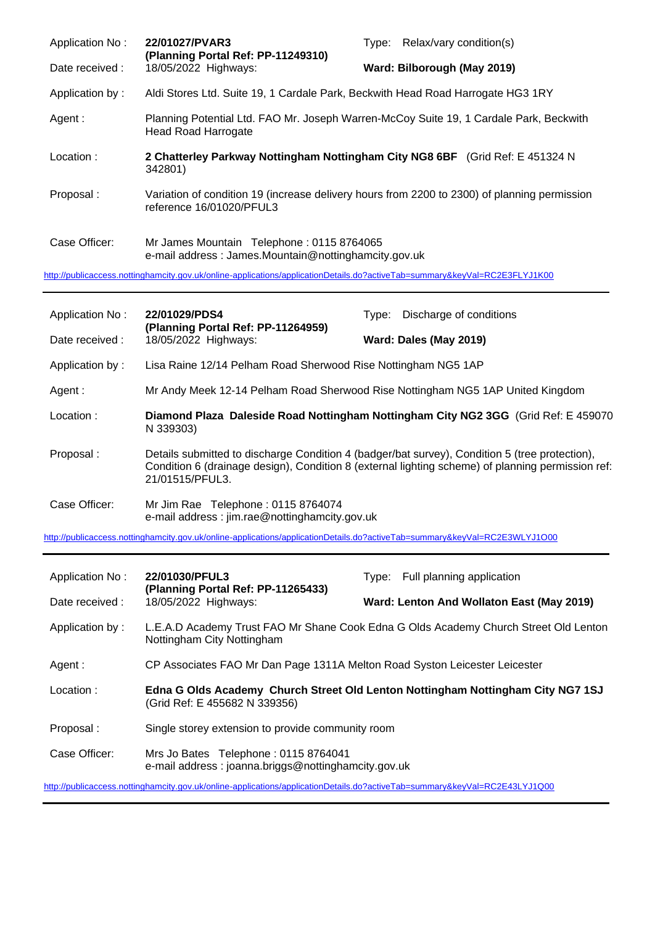| Application No: | 22/01027/PVAR3<br>(Planning Portal Ref: PP-11249310)                                                                       | Type: Relax/vary condition(s)                                                                |
|-----------------|----------------------------------------------------------------------------------------------------------------------------|----------------------------------------------------------------------------------------------|
| Date received : | 18/05/2022 Highways:                                                                                                       | Ward: Bilborough (May 2019)                                                                  |
| Application by: | Aldi Stores Ltd. Suite 19, 1 Cardale Park, Beckwith Head Road Harrogate HG3 1RY                                            |                                                                                              |
| Agent :         | <b>Head Road Harrogate</b>                                                                                                 | Planning Potential Ltd. FAO Mr. Joseph Warren-McCoy Suite 19, 1 Cardale Park, Beckwith       |
| Location:       | 342801)                                                                                                                    | 2 Chatterley Parkway Nottingham Nottingham City NG8 6BF (Grid Ref: E 451324 N)               |
| Proposal:       | reference 16/01020/PFUL3                                                                                                   | Variation of condition 19 (increase delivery hours from 2200 to 2300) of planning permission |
| Case Officer:   | Mr James Mountain Telephone: 0115 8764065<br>e-mail address: James.Mountain@nottinghamcity.gov.uk                          |                                                                                              |
|                 | http://publicaccess.nottinghamcity.gov.uk/online-applications/applicationDetails.do?activeTab=summary&keyVal=RC2E3FLYJ1K00 |                                                                                              |

| Application No: | 22/01029/PDS4<br>(Planning Portal Ref: PP-11264959)                                 | Discharge of conditions<br>Tvpe:                                                                                                                                                                    |
|-----------------|-------------------------------------------------------------------------------------|-----------------------------------------------------------------------------------------------------------------------------------------------------------------------------------------------------|
| Date received:  | 18/05/2022 Highways:                                                                | Ward: Dales (May 2019)                                                                                                                                                                              |
| Application by: | Lisa Raine 12/14 Pelham Road Sherwood Rise Nottingham NG5 1AP                       |                                                                                                                                                                                                     |
| Agent :         |                                                                                     | Mr Andy Meek 12-14 Pelham Road Sherwood Rise Nottingham NG5 1AP United Kingdom                                                                                                                      |
| Location:       | N 339303)                                                                           | Diamond Plaza Daleside Road Nottingham Nottingham City NG2 3GG (Grid Ref: E 459070)                                                                                                                 |
| Proposal:       | 21/01515/PFUL3.                                                                     | Details submitted to discharge Condition 4 (badger/bat survey), Condition 5 (tree protection),<br>Condition 6 (drainage design), Condition 8 (external lighting scheme) of planning permission ref: |
| Case Officer:   | Mr Jim Rae Telephone: 0115 8764074<br>e-mail address: jim.rae@nottinghamcity.gov.uk |                                                                                                                                                                                                     |

<http://publicaccess.nottinghamcity.gov.uk/online-applications/applicationDetails.do?activeTab=summary&keyVal=RC2E3WLYJ1O00>

| Application No: | 22/01030/PFUL3<br>(Planning Portal Ref: PP-11265433)                                                                       | Type: Full planning application                                                      |
|-----------------|----------------------------------------------------------------------------------------------------------------------------|--------------------------------------------------------------------------------------|
| Date received:  | 18/05/2022 Highways:                                                                                                       | Ward: Lenton And Wollaton East (May 2019)                                            |
| Application by: | Nottingham City Nottingham                                                                                                 | L.E.A.D Academy Trust FAO Mr Shane Cook Edna G Olds Academy Church Street Old Lenton |
| Agent :         | CP Associates FAO Mr Dan Page 1311A Melton Road Syston Leicester Leicester                                                 |                                                                                      |
| Location:       | (Grid Ref: E 455682 N 339356)                                                                                              | Edna G Olds Academy Church Street Old Lenton Nottingham Nottingham City NG7 1SJ      |
| Proposal:       | Single storey extension to provide community room                                                                          |                                                                                      |
| Case Officer:   | Mrs Jo Bates Telephone: 0115 8764041<br>e-mail address: joanna.briggs@nottinghamcity.gov.uk                                |                                                                                      |
|                 | http://publicaccess.nottinghamcity.gov.uk/online-applications/applicationDetails.do?activeTab=summary&keyVal=RC2E43LYJ1Q00 |                                                                                      |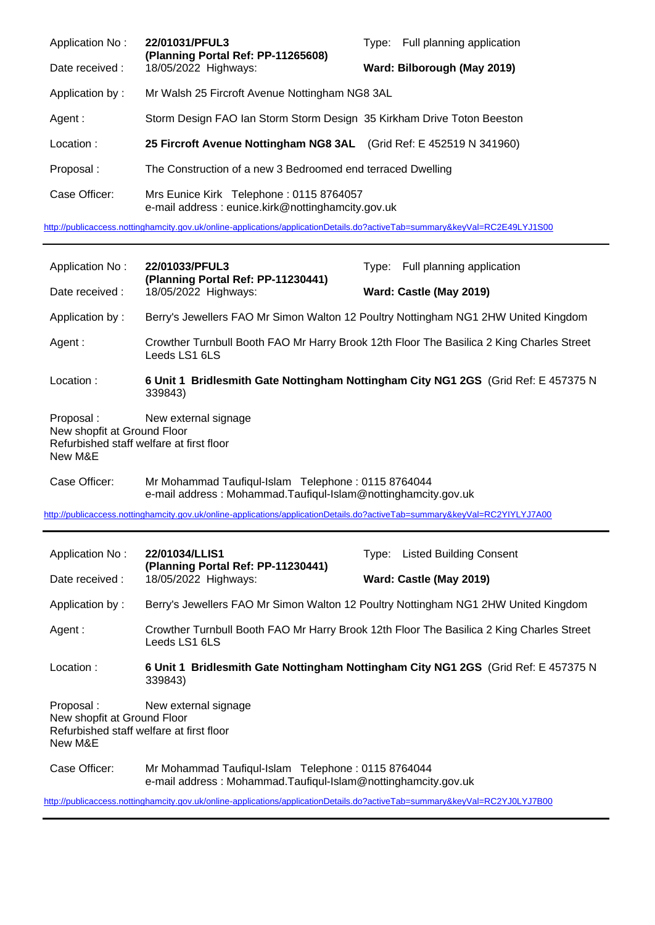| Application No: | 22/01031/PFUL3<br>(Planning Portal Ref: PP-11265608)<br>18/05/2022 Highways:                 | Type: Full planning application |
|-----------------|----------------------------------------------------------------------------------------------|---------------------------------|
| Date received:  |                                                                                              | Ward: Bilborough (May 2019)     |
| Application by: | Mr Walsh 25 Fircroft Avenue Nottingham NG8 3AL                                               |                                 |
| Agent :         | Storm Design FAO Ian Storm Storm Design 35 Kirkham Drive Toton Beeston                       |                                 |
| Location:       | 25 Fircroft Avenue Nottingham NG8 3AL (Grid Ref: E 452519 N 341960)                          |                                 |
| Proposal:       | The Construction of a new 3 Bedroomed end terraced Dwelling                                  |                                 |
| Case Officer:   | Mrs Eunice Kirk Telephone: 0115 8764057<br>e-mail address: eunice.kirk@nottinghamcity.gov.uk |                                 |

<http://publicaccess.nottinghamcity.gov.uk/online-applications/applicationDetails.do?activeTab=summary&keyVal=RC2E49LYJ1S00>

| Application No:                                                                                                         | 22/01033/PFUL3                                                                                                                                                                                                                                    | Type: Full planning application                                                          |  |  |
|-------------------------------------------------------------------------------------------------------------------------|---------------------------------------------------------------------------------------------------------------------------------------------------------------------------------------------------------------------------------------------------|------------------------------------------------------------------------------------------|--|--|
| Date received:                                                                                                          | (Planning Portal Ref: PP-11230441)<br>18/05/2022 Highways:                                                                                                                                                                                        | Ward: Castle (May 2019)                                                                  |  |  |
| Application by:                                                                                                         |                                                                                                                                                                                                                                                   | Berry's Jewellers FAO Mr Simon Walton 12 Poultry Nottingham NG1 2HW United Kingdom       |  |  |
| Agent:                                                                                                                  | Leeds LS1 6LS                                                                                                                                                                                                                                     | Crowther Turnbull Booth FAO Mr Harry Brook 12th Floor The Basilica 2 King Charles Street |  |  |
| Location:                                                                                                               | 339843)                                                                                                                                                                                                                                           | 6 Unit 1 Bridlesmith Gate Nottingham Nottingham City NG1 2GS (Grid Ref: E 457375 N       |  |  |
| Proposal:<br>New external signage<br>New shopfit at Ground Floor<br>Refurbished staff welfare at first floor<br>New M&E |                                                                                                                                                                                                                                                   |                                                                                          |  |  |
| Case Officer:                                                                                                           | Mr Mohammad Taufiqul-Islam Telephone: 0115 8764044<br>e-mail address: Mohammad.Taufiqul-Islam@nottinghamcity.gov.uk                                                                                                                               |                                                                                          |  |  |
|                                                                                                                         | http://publicaccess.nottinghamcity.gov.uk/online-applications/applicationDetails.do?activeTab=summary&keyVal=RC2YIYLYJ7A00                                                                                                                        |                                                                                          |  |  |
|                                                                                                                         |                                                                                                                                                                                                                                                   |                                                                                          |  |  |
| Application No:                                                                                                         | 22/01034/LLIS1                                                                                                                                                                                                                                    | Type: Listed Building Consent                                                            |  |  |
| Date received:                                                                                                          | (Planning Portal Ref: PP-11230441)<br>18/05/2022 Highways:                                                                                                                                                                                        | Ward: Castle (May 2019)                                                                  |  |  |
| Application by:                                                                                                         |                                                                                                                                                                                                                                                   | Berry's Jewellers FAO Mr Simon Walton 12 Poultry Nottingham NG1 2HW United Kingdom       |  |  |
| Agent:                                                                                                                  | Leeds LS1 6LS                                                                                                                                                                                                                                     | Crowther Turnbull Booth FAO Mr Harry Brook 12th Floor The Basilica 2 King Charles Street |  |  |
| Location:                                                                                                               | 339843)                                                                                                                                                                                                                                           | 6 Unit 1 Bridlesmith Gate Nottingham Nottingham City NG1 2GS (Grid Ref: E 457375 N       |  |  |
| Proposal:<br>New shopfit at Ground Floor<br>New M&E                                                                     | New external signage<br>Refurbished staff welfare at first floor                                                                                                                                                                                  |                                                                                          |  |  |
| Case Officer:                                                                                                           | Mr Mohammad Taufiqul-Islam Telephone: 0115 8764044<br>e-mail address: Mohammad.Taufiqul-Islam@nottinghamcity.gov.uk<br>http://publicaccess.nottinghamcity.gov.uk/online-applications/applicationDetails.do?activeTab=summary&keyVal=RC2YJ0LYJ7B00 |                                                                                          |  |  |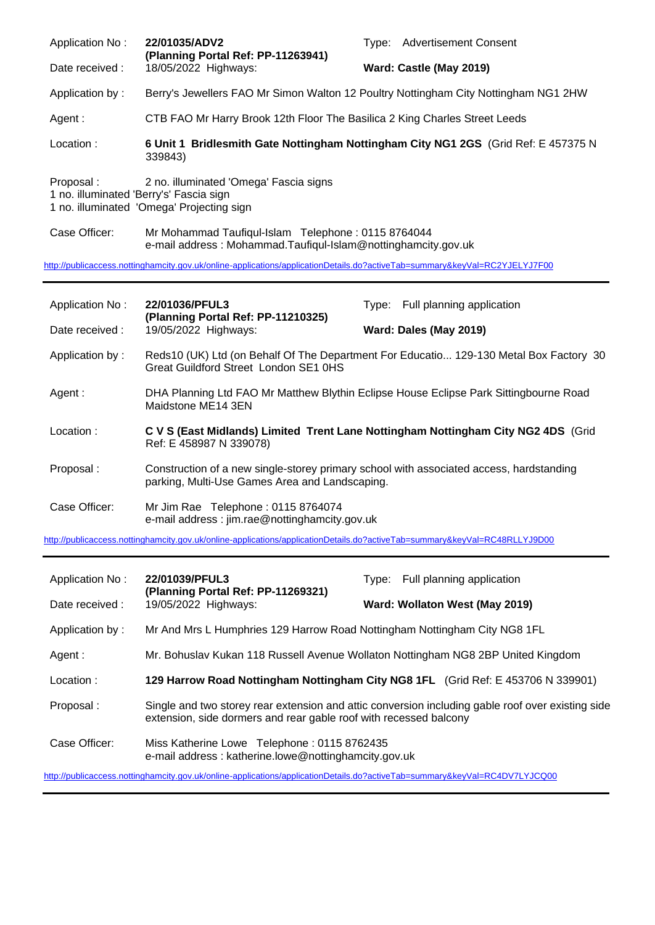| Application No:                                      | 22/01035/ADV2<br>(Planning Portal Ref: PP-11263941)                                                                 | Type: Advertisement Consent |
|------------------------------------------------------|---------------------------------------------------------------------------------------------------------------------|-----------------------------|
| Date received :                                      | 18/05/2022 Highways:                                                                                                | Ward: Castle (May 2019)     |
| Application by:                                      | Berry's Jewellers FAO Mr Simon Walton 12 Poultry Nottingham City Nottingham NG1 2HW                                 |                             |
| Agent :                                              | CTB FAO Mr Harry Brook 12th Floor The Basilica 2 King Charles Street Leeds                                          |                             |
| Location:                                            | 6 Unit 1 Bridlesmith Gate Nottingham Nottingham City NG1 2GS (Grid Ref: E 457375 N<br>339843)                       |                             |
| Proposal:<br>1 no. illuminated 'Berry's' Fascia sign | 2 no. illuminated 'Omega' Fascia signs<br>1 no. illuminated 'Omega' Projecting sign                                 |                             |
| Case Officer:                                        | Mr Mohammad Taufiqul-Islam Telephone: 0115 8764044<br>e-mail address: Mohammad.Taufiqul-Islam@nottinghamcity.gov.uk |                             |

<http://publicaccess.nottinghamcity.gov.uk/online-applications/applicationDetails.do?activeTab=summary&keyVal=RC2YJELYJ7F00>

| Application No: | 22/01036/PFUL3<br>(Planning Portal Ref: PP-11210325)<br>19/05/2022 Highways:                                                              | Type: Full planning application                                                        |
|-----------------|-------------------------------------------------------------------------------------------------------------------------------------------|----------------------------------------------------------------------------------------|
| Date received : |                                                                                                                                           | Ward: Dales (May 2019)                                                                 |
| Application by: | Great Guildford Street London SE1 0HS                                                                                                     | Reds10 (UK) Ltd (on Behalf Of The Department For Educatio 129-130 Metal Box Factory 30 |
| Agent:          | DHA Planning Ltd FAO Mr Matthew Blythin Eclipse House Eclipse Park Sittingbourne Road<br>Maidstone ME14 3EN                               |                                                                                        |
| Location:       | C V S (East Midlands) Limited Trent Lane Nottingham Nottingham City NG2 4DS (Grid<br>Ref: E 458987 N 339078)                              |                                                                                        |
| Proposal:       | Construction of a new single-storey primary school with associated access, hardstanding<br>parking, Multi-Use Games Area and Landscaping. |                                                                                        |
| Case Officer:   | Mr Jim Rae Telephone: 0115 8764074<br>e-mail address : jim.rae@nottinghamcity.gov.uk                                                      |                                                                                        |

<http://publicaccess.nottinghamcity.gov.uk/online-applications/applicationDetails.do?activeTab=summary&keyVal=RC48RLLYJ9D00>

| Application No: | 22/01039/PFUL3                                                                                                                                                         | Type: Full planning application                                                  |
|-----------------|------------------------------------------------------------------------------------------------------------------------------------------------------------------------|----------------------------------------------------------------------------------|
| Date received:  | (Planning Portal Ref: PP-11269321)<br>19/05/2022 Highways:                                                                                                             | Ward: Wollaton West (May 2019)                                                   |
| Application by: | Mr And Mrs L Humphries 129 Harrow Road Nottingham Nottingham City NG8 1FL                                                                                              |                                                                                  |
| Agent :         | Mr. Bohuslav Kukan 118 Russell Avenue Wollaton Nottingham NG8 2BP United Kingdom                                                                                       |                                                                                  |
| Location:       |                                                                                                                                                                        | 129 Harrow Road Nottingham Nottingham City NG8 1FL (Grid Ref: E 453706 N 339901) |
| Proposal:       | Single and two storey rear extension and attic conversion including gable roof over existing side<br>extension, side dormers and rear gable roof with recessed balcony |                                                                                  |
| Case Officer:   | Miss Katherine Lowe Telephone: 0115 8762435<br>e-mail address: katherine.lowe@nottinghamcity.gov.uk                                                                    |                                                                                  |
|                 | http://publicaccess.nottinghamcity.gov.uk/online-applications/applicationDetails.do?activeTab=summary&keyVal=RC4DV7LYJCQ00                                             |                                                                                  |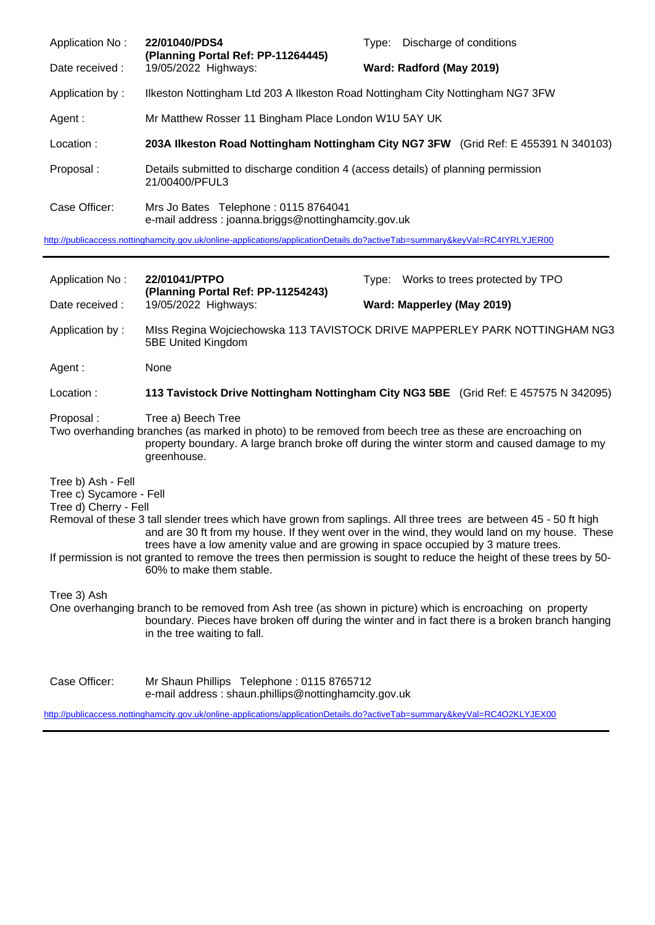| Application No: | 22/01040/PDS4<br>(Planning Portal Ref: PP-11264445)                                                  | Discharge of conditions<br>Tvpe:                                                    |
|-----------------|------------------------------------------------------------------------------------------------------|-------------------------------------------------------------------------------------|
| Date received : | 19/05/2022 Highways:                                                                                 | Ward: Radford (May 2019)                                                            |
| Application by: | Ilkeston Nottingham Ltd 203 A Ilkeston Road Nottingham City Nottingham NG7 3FW                       |                                                                                     |
| Agent:          | Mr Matthew Rosser 11 Bingham Place London W1U 5AY UK                                                 |                                                                                     |
| Location:       |                                                                                                      | 203A Ilkeston Road Nottingham Nottingham City NG7 3FW (Grid Ref: E 455391 N 340103) |
|                 |                                                                                                      |                                                                                     |
| Proposal:       | Details submitted to discharge condition 4 (access details) of planning permission<br>21/00400/PFUL3 |                                                                                     |

<http://publicaccess.nottinghamcity.gov.uk/online-applications/applicationDetails.do?activeTab=summary&keyVal=RC4IYRLYJER00>

| Application No:                                                        | 22/01041/PTPO                                                                                                                                                                                                                                                                                                                                                 | Type: Works to trees protected by TPO                                                           |
|------------------------------------------------------------------------|---------------------------------------------------------------------------------------------------------------------------------------------------------------------------------------------------------------------------------------------------------------------------------------------------------------------------------------------------------------|-------------------------------------------------------------------------------------------------|
| Date received :                                                        | (Planning Portal Ref: PP-11254243)<br>19/05/2022 Highways:                                                                                                                                                                                                                                                                                                    | Ward: Mapperley (May 2019)                                                                      |
| Application by:                                                        | 5BE United Kingdom                                                                                                                                                                                                                                                                                                                                            | MIss Regina Wojciechowska 113 TAVISTOCK DRIVE MAPPERLEY PARK NOTTINGHAM NG3                     |
| Agent:                                                                 | None                                                                                                                                                                                                                                                                                                                                                          |                                                                                                 |
| Location:                                                              |                                                                                                                                                                                                                                                                                                                                                               | 113 Tavistock Drive Nottingham Nottingham City NG3 5BE (Grid Ref: E 457575 N 342095)            |
| Proposal:                                                              | Tree a) Beech Tree<br>Two overhanding branches (as marked in photo) to be removed from beech tree as these are encroaching on<br>property boundary. A large branch broke off during the winter storm and caused damage to my<br>greenhouse.                                                                                                                   |                                                                                                 |
| Tree b) Ash - Fell<br>Tree c) Sycamore - Fell<br>Tree d) Cherry - Fell | Removal of these 3 tall slender trees which have grown from saplings. All three trees are between 45 - 50 ft high<br>trees have a low amenity value and are growing in space occupied by 3 mature trees.<br>If permission is not granted to remove the trees then permission is sought to reduce the height of these trees by 50-<br>60% to make them stable. | and are 30 ft from my house. If they went over in the wind, they would land on my house. These  |
| Tree 3) Ash                                                            | One overhanging branch to be removed from Ash tree (as shown in picture) which is encroaching on property<br>in the tree waiting to fall.                                                                                                                                                                                                                     | boundary. Pieces have broken off during the winter and in fact there is a broken branch hanging |
| Case Officer:                                                          | Mr Shaun Phillips Telephone: 0115 8765712<br>e-mail address: shaun.phillips@nottinghamcity.gov.uk                                                                                                                                                                                                                                                             |                                                                                                 |

<http://publicaccess.nottinghamcity.gov.uk/online-applications/applicationDetails.do?activeTab=summary&keyVal=RC4O2KLYJEX00>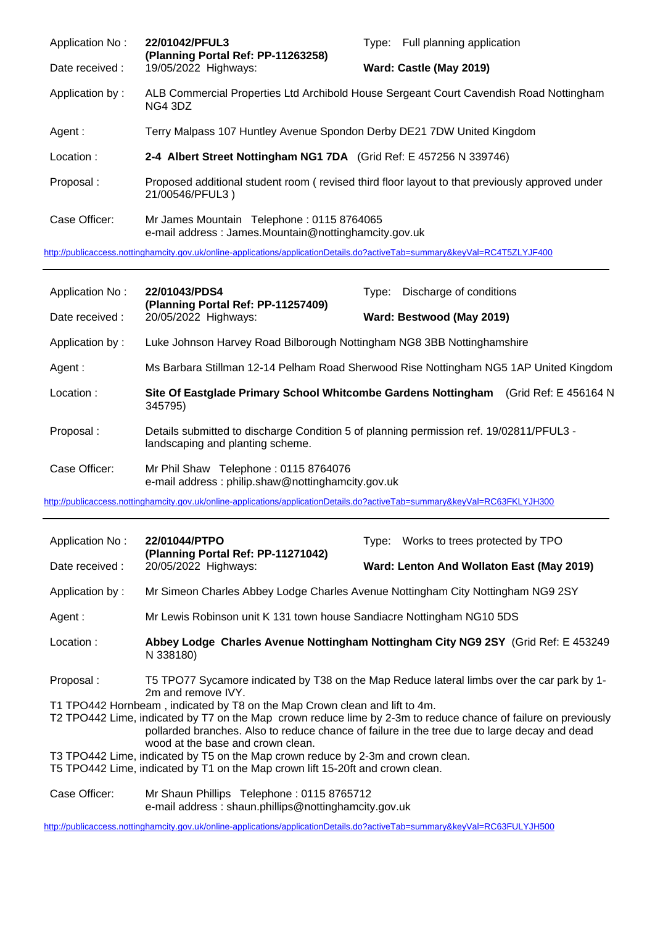| Application No: | 22/01042/PFUL3<br>(Planning Portal Ref: PP-11263258)                                              | Type: Full planning application                                                                |
|-----------------|---------------------------------------------------------------------------------------------------|------------------------------------------------------------------------------------------------|
| Date received : | 19/05/2022 Highways:                                                                              | Ward: Castle (May 2019)                                                                        |
| Application by: | NG4 3DZ                                                                                           | ALB Commercial Properties Ltd Archibold House Sergeant Court Cavendish Road Nottingham         |
| Agent:          | Terry Malpass 107 Huntley Avenue Spondon Derby DE21 7DW United Kingdom                            |                                                                                                |
| Location:       | 2-4 Albert Street Nottingham NG1 7DA (Grid Ref: E 457256 N 339746)                                |                                                                                                |
| Proposal:       | 21/00546/PFUL3)                                                                                   | Proposed additional student room (revised third floor layout to that previously approved under |
| Case Officer:   | Mr James Mountain Telephone: 0115 8764065<br>e-mail address: James.Mountain@nottinghamcity.gov.uk |                                                                                                |
|                 |                                                                                                   |                                                                                                |

<http://publicaccess.nottinghamcity.gov.uk/online-applications/applicationDetails.do?activeTab=summary&keyVal=RC4T5ZLYJF400>

| Application No: | 22/01043/PDS4                                                                             | Discharge of conditions<br>Type:                                                        |
|-----------------|-------------------------------------------------------------------------------------------|-----------------------------------------------------------------------------------------|
| Date received : | (Planning Portal Ref: PP-11257409)<br>20/05/2022 Highways:                                | Ward: Bestwood (May 2019)                                                               |
| Application by: | Luke Johnson Harvey Road Bilborough Nottingham NG8 3BB Nottinghamshire                    |                                                                                         |
| Agent:          |                                                                                           | Ms Barbara Stillman 12-14 Pelham Road Sherwood Rise Nottingham NG5 1AP United Kingdom   |
| Location:       | Site Of Eastglade Primary School Whitcombe Gardens Nottingham<br>345795)                  | (Grid Ref: E 456164 N                                                                   |
| Proposal:       | landscaping and planting scheme.                                                          | Details submitted to discharge Condition 5 of planning permission ref. 19/02811/PFUL3 - |
| Case Officer:   | Mr Phil Shaw Telephone: 0115 8764076<br>e-mail address: philip.shaw@nottinghamcity.gov.uk |                                                                                         |

<http://publicaccess.nottinghamcity.gov.uk/online-applications/applicationDetails.do?activeTab=summary&keyVal=RC63FKLYJH300>

| Application No:                                                                                                                                                                                                                                     | 22/01044/PTPO<br>(Planning Portal Ref: PP-11271042)                                                              | Type: Works to trees protected by TPO                                              |
|-----------------------------------------------------------------------------------------------------------------------------------------------------------------------------------------------------------------------------------------------------|------------------------------------------------------------------------------------------------------------------|------------------------------------------------------------------------------------|
| Date received :                                                                                                                                                                                                                                     | 20/05/2022 Highways:                                                                                             | Ward: Lenton And Wollaton East (May 2019)                                          |
| Application by:                                                                                                                                                                                                                                     |                                                                                                                  | Mr Simeon Charles Abbey Lodge Charles Avenue Nottingham City Nottingham NG9 2SY    |
| Agent :                                                                                                                                                                                                                                             | Mr Lewis Robinson unit K 131 town house Sandiacre Nottingham NG10 5DS                                            |                                                                                    |
| Location:                                                                                                                                                                                                                                           | N 338180)                                                                                                        | Abbey Lodge Charles Avenue Nottingham Nottingham City NG9 2SY (Grid Ref: E 453249) |
| Proposal:                                                                                                                                                                                                                                           | T5 TPO77 Sycamore indicated by T38 on the Map Reduce lateral limbs over the car park by 1-<br>2m and remove IVY. |                                                                                    |
| T1 TPO442 Hornbeam, indicated by T8 on the Map Crown clean and lift to 4m.                                                                                                                                                                          |                                                                                                                  |                                                                                    |
| T2 TPO442 Lime, indicated by T7 on the Map crown reduce lime by 2-3m to reduce chance of failure on previously<br>pollarded branches. Also to reduce chance of failure in the tree due to large decay and dead<br>wood at the base and crown clean. |                                                                                                                  |                                                                                    |
|                                                                                                                                                                                                                                                     | T3 TPO442 Lime, indicated by T5 on the Map crown reduce by 2-3m and crown clean.                                 |                                                                                    |
|                                                                                                                                                                                                                                                     | T5 TPO442 Lime, indicated by T1 on the Map crown lift 15-20ft and crown clean.                                   |                                                                                    |
| Case Officer:                                                                                                                                                                                                                                       | Mr Shaun Phillips Telephone: 0115 8765712                                                                        |                                                                                    |

e-mail address : shaun.phillips@nottinghamcity.gov.uk

<http://publicaccess.nottinghamcity.gov.uk/online-applications/applicationDetails.do?activeTab=summary&keyVal=RC63FULYJH500>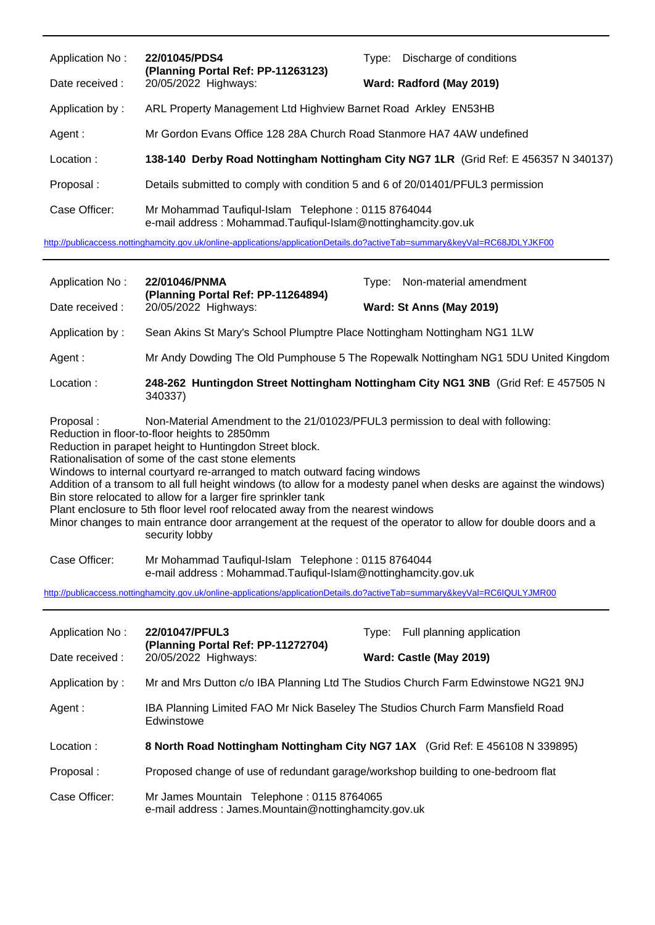| Application No:<br>Date received: | 22/01045/PDS4<br>(Planning Portal Ref: PP-11263123)<br>20/05/2022 Highways:                                                | Type: Discharge of conditions<br>Ward: Radford (May 2019)                           |
|-----------------------------------|----------------------------------------------------------------------------------------------------------------------------|-------------------------------------------------------------------------------------|
| Application by:                   | ARL Property Management Ltd Highview Barnet Road Arkley EN53HB                                                             |                                                                                     |
| Agent :                           | Mr Gordon Evans Office 128 28A Church Road Stanmore HA7 4AW undefined                                                      |                                                                                     |
| Location:                         |                                                                                                                            | 138-140 Derby Road Nottingham Nottingham City NG7 1LR (Grid Ref: E 456357 N 340137) |
| Proposal:                         | Details submitted to comply with condition 5 and 6 of 20/01401/PFUL3 permission                                            |                                                                                     |
| Case Officer:                     | Mr Mohammad Taufiqul-Islam Telephone: 0115 8764044<br>e-mail address: Mohammad.Taufiqul-Islam@nottinghamcity.gov.uk        |                                                                                     |
|                                   | http://publicaccess.nottinghamcity.gov.uk/online-applications/applicationDetails.do?activeTab=summary&keyVal=RC68JDLYJKF00 |                                                                                     |
| Application No:                   |                                                                                                                            |                                                                                     |
|                                   | 22/01046/PNMA                                                                                                              | Type: Non-material amendment                                                        |
| Date received:                    | (Planning Portal Ref: PP-11264894)<br>20/05/2022 Highways:                                                                 | Ward: St Anns (May 2019)                                                            |
| Application by:                   | Sean Akins St Mary's School Plumptre Place Nottingham Nottingham NG1 1LW                                                   |                                                                                     |
| Agent :                           |                                                                                                                            | Mr Andy Dowding The Old Pumphouse 5 The Ropewalk Nottingham NG1 5DU United Kingdom  |

- Proposal : Non-Material Amendment to the 21/01023/PFUL3 permission to deal with following:
- Reduction in floor-to-floor heights to 2850mm

Reduction in parapet height to Huntingdon Street block.

Rationalisation of some of the cast stone elements

Windows to internal courtyard re-arranged to match outward facing windows

Addition of a transom to all full height windows (to allow for a modesty panel when desks are against the windows) Bin store relocated to allow for a larger fire sprinkler tank

Plant enclosure to 5th floor level roof relocated away from the nearest windows

Minor changes to main entrance door arrangement at the request of the operator to allow for double doors and a security lobby

Case Officer: Mr Mohammad Taufiqul-Islam Telephone : 0115 8764044 e-mail address : Mohammad.Taufiqul-Islam@nottinghamcity.gov.uk

<http://publicaccess.nottinghamcity.gov.uk/online-applications/applicationDetails.do?activeTab=summary&keyVal=RC6IQULYJMR00>

| Application No: | 22/01047/PFUL3                                                                                    | Type: Full planning application                                                    |
|-----------------|---------------------------------------------------------------------------------------------------|------------------------------------------------------------------------------------|
| Date received : | (Planning Portal Ref: PP-11272704)<br>20/05/2022 Highways:                                        | Ward: Castle (May 2019)                                                            |
| Application by: |                                                                                                   | Mr and Mrs Dutton c/o IBA Planning Ltd The Studios Church Farm Edwinstowe NG21 9NJ |
| Agent:          | IBA Planning Limited FAO Mr Nick Baseley The Studios Church Farm Mansfield Road<br>Edwinstowe     |                                                                                    |
| Location:       |                                                                                                   | 8 North Road Nottingham Nottingham City NG7 1AX (Grid Ref: E 456108 N 339895)      |
| Proposal:       | Proposed change of use of redundant garage/workshop building to one-bedroom flat                  |                                                                                    |
| Case Officer:   | Mr James Mountain Telephone: 0115 8764065<br>e-mail address: James.Mountain@nottinghamcity.gov.uk |                                                                                    |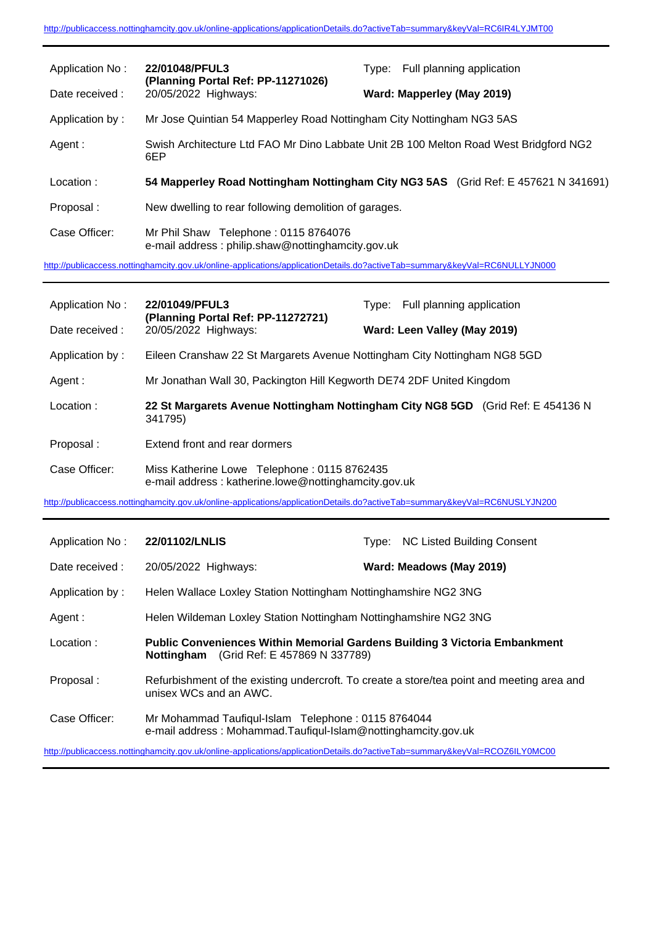| Application No: | 22/01048/PFUL3                                                                                                             | Full planning application<br>Tvpe:                                                 |
|-----------------|----------------------------------------------------------------------------------------------------------------------------|------------------------------------------------------------------------------------|
| Date received:  | (Planning Portal Ref: PP-11271026)<br>20/05/2022 Highways:                                                                 | Ward: Mapperley (May 2019)                                                         |
| Application by: | Mr Jose Quintian 54 Mapperley Road Nottingham City Nottingham NG3 5AS                                                      |                                                                                    |
| Agent:          | Swish Architecture Ltd FAO Mr Dino Labbate Unit 2B 100 Melton Road West Bridgford NG2<br>6EP                               |                                                                                    |
| Location:       |                                                                                                                            | 54 Mapperley Road Nottingham Nottingham City NG3 5AS (Grid Ref: E 457621 N 341691) |
| Proposal:       | New dwelling to rear following demolition of garages.                                                                      |                                                                                    |
| Case Officer:   | Mr Phil Shaw Telephone: 0115 8764076<br>e-mail address: philip.shaw@nottinghamcity.gov.uk                                  |                                                                                    |
|                 | http://publicaccess.nottinghamcity.gov.uk/online-applications/applicationDetails.do?activeTab=summary&keyVal=RC6NULLYJN000 |                                                                                    |

| Application No: | 22/01049/PFUL3                                                                                      | Full planning application<br>Tvpe: |
|-----------------|-----------------------------------------------------------------------------------------------------|------------------------------------|
| Date received:  | (Planning Portal Ref: PP-11272721)<br>20/05/2022 Highways:                                          | Ward: Leen Valley (May 2019)       |
| Application by: | Eileen Cranshaw 22 St Margarets Avenue Nottingham City Nottingham NG8 5GD                           |                                    |
| Agent :         | Mr Jonathan Wall 30, Packington Hill Kegworth DE74 2DF United Kingdom                               |                                    |
| Location:       | 22 St Margarets Avenue Nottingham Nottingham City NG8 5GD (Grid Ref: E 454136 N<br>341795)          |                                    |
| Proposal:       | Extend front and rear dormers                                                                       |                                    |
| Case Officer:   | Miss Katherine Lowe Telephone: 0115 8762435<br>e-mail address: katherine.lowe@nottinghamcity.gov.uk |                                    |

<http://publicaccess.nottinghamcity.gov.uk/online-applications/applicationDetails.do?activeTab=summary&keyVal=RC6NUSLYJN200>

| Application No: | 22/01102/LNLIS                                                                                                                       | <b>NC Listed Building Consent</b><br>Tvpe:                                                 |
|-----------------|--------------------------------------------------------------------------------------------------------------------------------------|--------------------------------------------------------------------------------------------|
| Date received : | 20/05/2022 Highways:                                                                                                                 | Ward: Meadows (May 2019)                                                                   |
| Application by: | Helen Wallace Loxley Station Nottingham Nottinghamshire NG2 3NG                                                                      |                                                                                            |
| Agent:          | Helen Wildeman Loxley Station Nottingham Nottinghamshire NG2 3NG                                                                     |                                                                                            |
| Location:       | <b>Public Conveniences Within Memorial Gardens Building 3 Victoria Embankment</b><br><b>Nottingham</b> (Grid Ref: E 457869 N 337789) |                                                                                            |
| Proposal:       | unisex WCs and an AWC.                                                                                                               | Refurbishment of the existing undercroft. To create a store/tea point and meeting area and |
| Case Officer:   | Mr Mohammad Taufiqul-Islam Telephone: 0115 8764044<br>e-mail address: Mohammad.Taufiqul-Islam@nottinghamcity.gov.uk                  |                                                                                            |
|                 | http://publicaccess.nottinghamcity.gov.uk/online-applications/applicationDetails.do?activeTab=summary&keyVal=RCOZ6ILY0MC00           |                                                                                            |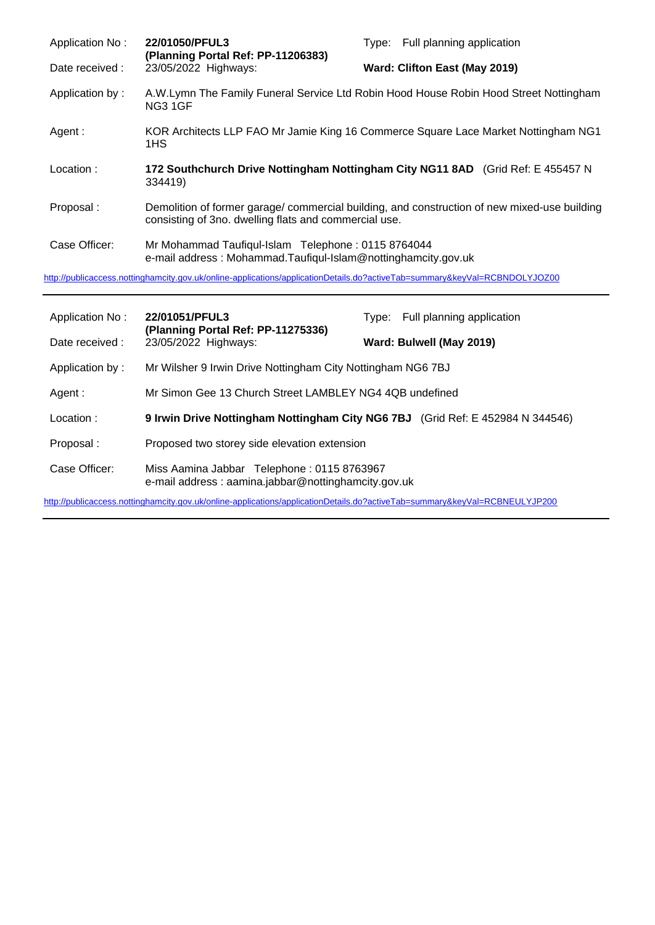| Application No: | 22/01050/PFUL3<br>(Planning Portal Ref: PP-11206383)                                                                       | Type: Full planning application                                                              |
|-----------------|----------------------------------------------------------------------------------------------------------------------------|----------------------------------------------------------------------------------------------|
| Date received : | 23/05/2022 Highways:                                                                                                       | Ward: Clifton East (May 2019)                                                                |
| Application by: | NG3 1GF                                                                                                                    | A.W.Lymn The Family Funeral Service Ltd Robin Hood House Robin Hood Street Nottingham        |
| Agent:          | KOR Architects LLP FAO Mr Jamie King 16 Commerce Square Lace Market Nottingham NG1<br>1HS                                  |                                                                                              |
| Location:       | 334419)                                                                                                                    | 172 Southchurch Drive Nottingham Nottingham City NG11 8AD (Grid Ref: E 455457 N              |
| Proposal:       | consisting of 3no. dwelling flats and commercial use.                                                                      | Demolition of former garage/ commercial building, and construction of new mixed-use building |
| Case Officer:   | Mr Mohammad Taufiqul-Islam Telephone: 0115 8764044<br>e-mail address: Mohammad.Taufiqul-Islam@nottinghamcity.gov.uk        |                                                                                              |
|                 | http://publicaccess.nottinghamcity.gov.uk/online-applications/applicationDetails.do?activeTab=summary&keyVal=RCBNDOLYJOZ00 |                                                                                              |

| Application No: | 22/01051/PFUL3<br>(Planning Portal Ref: PP-11275336)<br>23/05/2022 Highways:                      | Type: | Full planning application |
|-----------------|---------------------------------------------------------------------------------------------------|-------|---------------------------|
| Date received : |                                                                                                   |       | Ward: Bulwell (May 2019)  |
| Application by: | Mr Wilsher 9 Irwin Drive Nottingham City Nottingham NG6 7BJ                                       |       |                           |
| Agent:          | Mr Simon Gee 13 Church Street LAMBLEY NG4 4QB undefined                                           |       |                           |
| Location:       | 9 Irwin Drive Nottingham Nottingham City NG6 7BJ (Grid Ref: E 452984 N 344546)                    |       |                           |
| Proposal:       | Proposed two storey side elevation extension                                                      |       |                           |
| Case Officer:   | Miss Aamina Jabbar Telephone: 0115 8763967<br>e-mail address: aamina.jabbar@nottinghamcity.gov.uk |       |                           |

<http://publicaccess.nottinghamcity.gov.uk/online-applications/applicationDetails.do?activeTab=summary&keyVal=RCBNEULYJP200>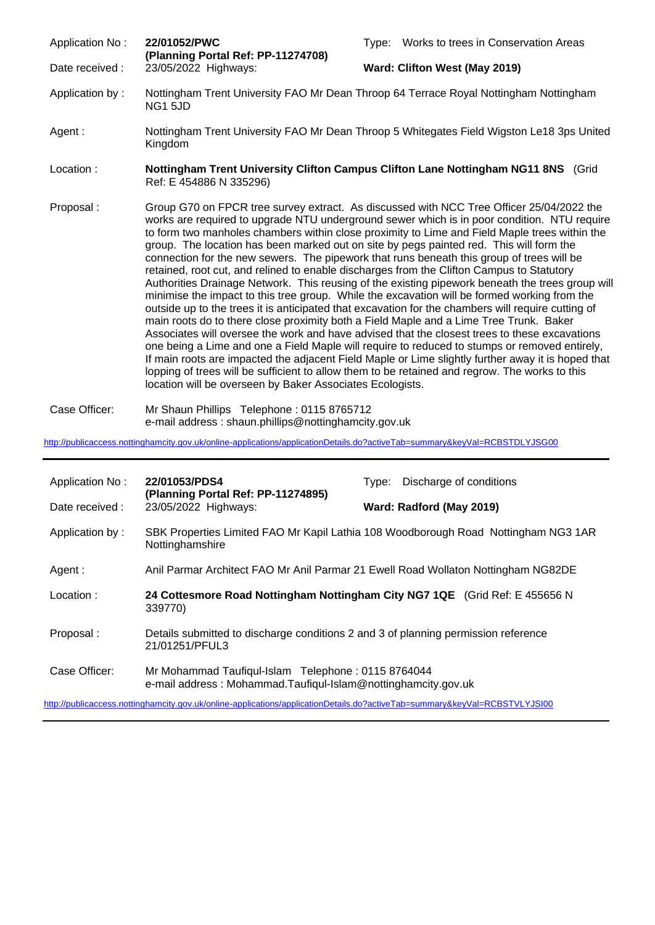Application No : **22/01052/PWC** Type: Works to trees in Conservation Areas **(Planning Portal Ref: PP-11274708)** Date received : 23/05/2022 Highways: **Ward: Clifton West (May 2019)** Application by : Nottingham Trent University FAO Mr Dean Throop 64 Terrace Royal Nottingham Nottingham NG1 5JD Agent : Nottingham Trent University FAO Mr Dean Throop 5 Whitegates Field Wigston Le18 3ps United Kingdom Location : **Nottingham Trent University Clifton Campus Clifton Lane Nottingham NG11 8NS** (Grid Ref: E 454886 N 335296) Proposal : Group G70 on FPCR tree survey extract. As discussed with NCC Tree Officer 25/04/2022 the works are required to upgrade NTU underground sewer which is in poor condition. NTU require to form two manholes chambers within close proximity to Lime and Field Maple trees within the group. The location has been marked out on site by pegs painted red. This will form the connection for the new sewers. The pipework that runs beneath this group of trees will be retained, root cut, and relined to enable discharges from the Clifton Campus to Statutory Authorities Drainage Network. This reusing of the existing pipework beneath the trees group will minimise the impact to this tree group. While the excavation will be formed working from the outside up to the trees it is anticipated that excavation for the chambers will require cutting of main roots do to there close proximity both a Field Maple and a Lime Tree Trunk. Baker Associates will oversee the work and have advised that the closest trees to these excavations one being a Lime and one a Field Maple will require to reduced to stumps or removed entirely, If main roots are impacted the adjacent Field Maple or Lime slightly further away it is hoped that lopping of trees will be sufficient to allow them to be retained and regrow. The works to this location will be overseen by Baker Associates Ecologists.

Case Officer: Mr Shaun Phillips Telephone : 0115 8765712 e-mail address : shaun.phillips@nottinghamcity.gov.uk

<http://publicaccess.nottinghamcity.gov.uk/online-applications/applicationDetails.do?activeTab=summary&keyVal=RCBSTDLYJSG00>

| Application No: | 22/01053/PDS4<br>(Planning Portal Ref: PP-11274895)                                                                 | Discharge of conditions<br>Tvpe:                                                   |  |
|-----------------|---------------------------------------------------------------------------------------------------------------------|------------------------------------------------------------------------------------|--|
| Date received : | 23/05/2022 Highways:                                                                                                | Ward: Radford (May 2019)                                                           |  |
| Application by: | Nottinghamshire                                                                                                     | SBK Properties Limited FAO Mr Kapil Lathia 108 Woodborough Road Nottingham NG3 1AR |  |
| Agent :         |                                                                                                                     | Anil Parmar Architect FAO Mr Anil Parmar 21 Ewell Road Wollaton Nottingham NG82DE  |  |
| Location:       | 24 Cottesmore Road Nottingham Nottingham City NG7 1QE (Grid Ref: E 455656 N<br>339770)                              |                                                                                    |  |
| Proposal:       | Details submitted to discharge conditions 2 and 3 of planning permission reference<br>21/01251/PFUL3                |                                                                                    |  |
| Case Officer:   | Mr Mohammad Taufiqul-Islam Telephone: 0115 8764044<br>e-mail address: Mohammad.Taufiqul-Islam@nottinghamcity.gov.uk |                                                                                    |  |

<http://publicaccess.nottinghamcity.gov.uk/online-applications/applicationDetails.do?activeTab=summary&keyVal=RCBSTVLYJSI00>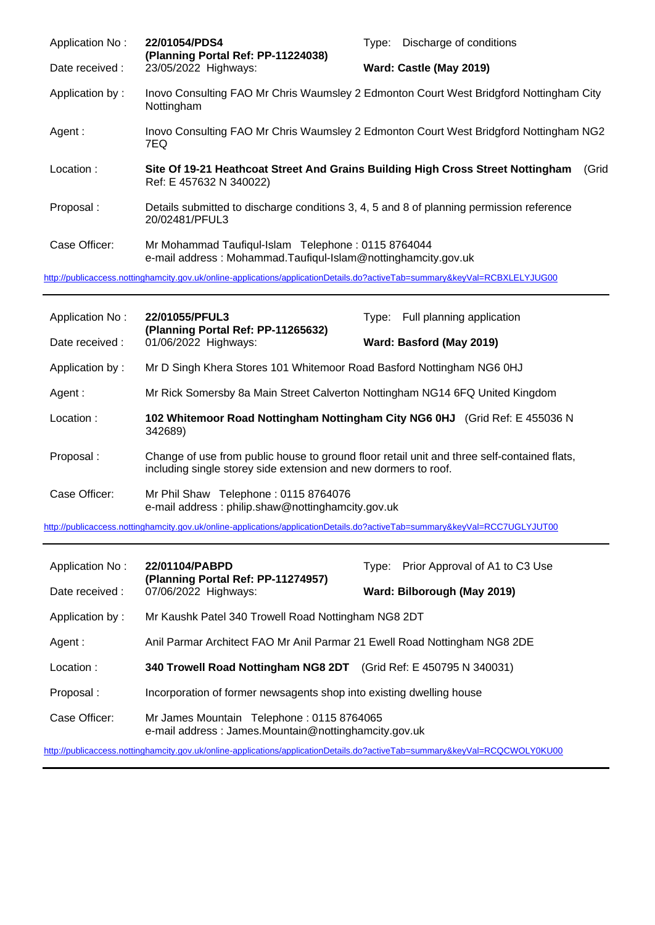| Application No: | 22/01054/PDS4<br>(Planning Portal Ref: PP-11224038)                                                                                        | Type: Discharge of conditions                                                          |
|-----------------|--------------------------------------------------------------------------------------------------------------------------------------------|----------------------------------------------------------------------------------------|
| Date received : | 23/05/2022 Highways:                                                                                                                       | Ward: Castle (May 2019)                                                                |
| Application by: | Nottingham                                                                                                                                 | Inovo Consulting FAO Mr Chris Waumsley 2 Edmonton Court West Bridgford Nottingham City |
| Agent:          | 7EQ                                                                                                                                        | Inovo Consulting FAO Mr Chris Waumsley 2 Edmonton Court West Bridgford Nottingham NG2  |
| Location:       | Site Of 19-21 Heathcoat Street And Grains Building High Cross Street Nottingham<br>Ref: E 457632 N 340022)                                 | (Grid                                                                                  |
| Proposal:       | Details submitted to discharge conditions 3, 4, 5 and 8 of planning permission reference<br>20/02481/PFUL3                                 |                                                                                        |
| Case Officer:   | Mr Mohammad Taufiqul-Islam Telephone: 0115 8764044<br>e-mail address: Mohammad.Taufiqul-Islam@nottinghamcity.gov.uk                        |                                                                                        |
|                 | $\alpha$ and $\alpha$ and $\alpha$ and $\alpha$ and $\alpha$ and $\alpha$ and $\alpha$ and $\alpha$ and $\alpha$ and $\alpha$ and $\alpha$ |                                                                                        |

<http://publicaccess.nottinghamcity.gov.uk/online-applications/applicationDetails.do?activeTab=summary&keyVal=RCBXLELYJUG00>

| Application No: | 22/01055/PFUL3<br>(Planning Portal Ref: PP-11265632)                                                                                                           | Type: Full planning application                                             |
|-----------------|----------------------------------------------------------------------------------------------------------------------------------------------------------------|-----------------------------------------------------------------------------|
| Date received:  | 01/06/2022 Highways:                                                                                                                                           | Ward: Basford (May 2019)                                                    |
| Application by: | Mr D Singh Khera Stores 101 Whitemoor Road Basford Nottingham NG6 0HJ                                                                                          |                                                                             |
| Agent:          | Mr Rick Somersby 8a Main Street Calverton Nottingham NG14 6FQ United Kingdom                                                                                   |                                                                             |
| Location:       | 342689)                                                                                                                                                        | 102 Whitemoor Road Nottingham Nottingham City NG6 0HJ (Grid Ref: E 455036 N |
| Proposal:       | Change of use from public house to ground floor retail unit and three self-contained flats,<br>including single storey side extension and new dormers to roof. |                                                                             |
| Case Officer:   | Mr Phil Shaw Telephone: 0115 8764076<br>e-mail address: philip.shaw@nottinghamcity.gov.uk                                                                      |                                                                             |

<http://publicaccess.nottinghamcity.gov.uk/online-applications/applicationDetails.do?activeTab=summary&keyVal=RCC7UGLYJUT00>

| Application No: | 22/01104/PABPD<br>(Planning Portal Ref: PP-11274957)<br>07/06/2022 Highways:                      | Type: Prior Approval of A1 to C3 Use |
|-----------------|---------------------------------------------------------------------------------------------------|--------------------------------------|
| Date received : |                                                                                                   | Ward: Bilborough (May 2019)          |
| Application by: | Mr Kaushk Patel 340 Trowell Road Nottingham NG8 2DT                                               |                                      |
| Agent :         | Anil Parmar Architect FAO Mr Anil Parmar 21 Ewell Road Nottingham NG8 2DE                         |                                      |
| Location:       | 340 Trowell Road Nottingham NG8 2DT (Grid Ref: E 450795 N 340031)                                 |                                      |
| Proposal:       | Incorporation of former newsagents shop into existing dwelling house                              |                                      |
| Case Officer:   | Mr James Mountain Telephone: 0115 8764065<br>e-mail address: James.Mountain@nottinghamcity.gov.uk |                                      |

<http://publicaccess.nottinghamcity.gov.uk/online-applications/applicationDetails.do?activeTab=summary&keyVal=RCQCWOLY0KU00>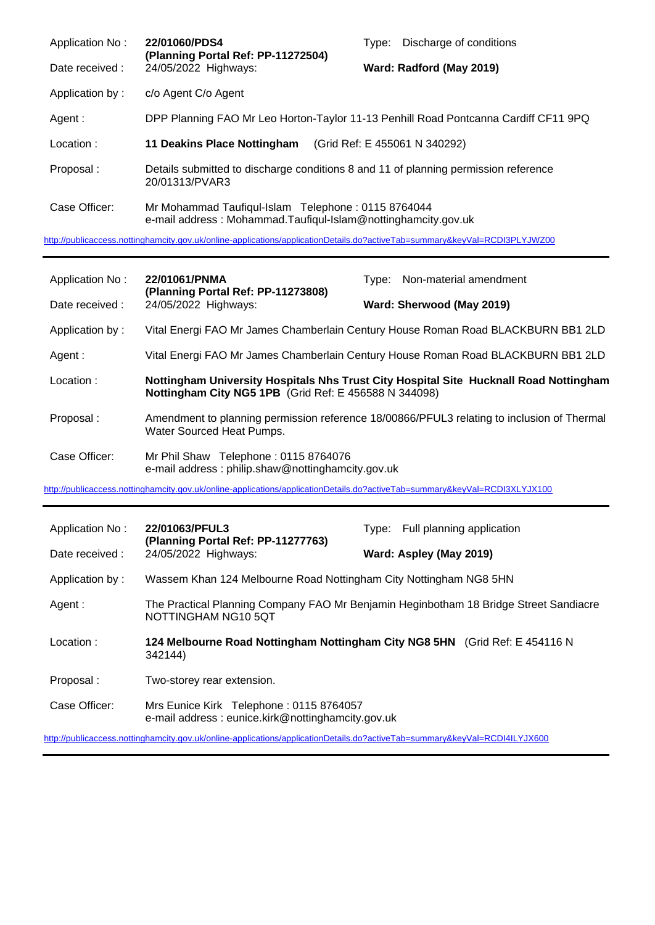| Application No: | 22/01060/PDS4<br>(Planning Portal Ref: PP-11272504)                                                                 | Tvpe: | Discharge of conditions       |
|-----------------|---------------------------------------------------------------------------------------------------------------------|-------|-------------------------------|
| Date received : | 24/05/2022 Highways:                                                                                                |       | Ward: Radford (May 2019)      |
| Application by: | c/o Agent C/o Agent                                                                                                 |       |                               |
| Agent:          | DPP Planning FAO Mr Leo Horton-Taylor 11-13 Penhill Road Pontcanna Cardiff CF11 9PQ                                 |       |                               |
| Location:       | 11 Deakins Place Nottingham                                                                                         |       | (Grid Ref: E 455061 N 340292) |
| Proposal:       | Details submitted to discharge conditions 8 and 11 of planning permission reference<br>20/01313/PVAR3               |       |                               |
| Case Officer:   | Mr Mohammad Taufiqul-Islam Telephone: 0115 8764044<br>e-mail address: Mohammad.Taufiqul-Islam@nottinghamcity.gov.uk |       |                               |

<http://publicaccess.nottinghamcity.gov.uk/online-applications/applicationDetails.do?activeTab=summary&keyVal=RCDI3PLYJWZ00>

| Application No: | 22/01061/PNMA<br>(Planning Portal Ref: PP-11273808)                                                                        | Type: Non-material amendment                                                               |
|-----------------|----------------------------------------------------------------------------------------------------------------------------|--------------------------------------------------------------------------------------------|
| Date received:  | 24/05/2022 Highways:                                                                                                       | Ward: Sherwood (May 2019)                                                                  |
| Application by: |                                                                                                                            | Vital Energi FAO Mr James Chamberlain Century House Roman Road BLACKBURN BB1 2LD           |
| Agent:          |                                                                                                                            | Vital Energi FAO Mr James Chamberlain Century House Roman Road BLACKBURN BB1 2LD           |
| Location:       | Nottingham City NG5 1PB (Grid Ref: E 456588 N 344098)                                                                      | Nottingham University Hospitals Nhs Trust City Hospital Site Hucknall Road Nottingham      |
| Proposal:       | Water Sourced Heat Pumps.                                                                                                  | Amendment to planning permission reference 18/00866/PFUL3 relating to inclusion of Thermal |
| Case Officer:   | Mr Phil Shaw Telephone: 0115 8764076<br>e-mail address: philip.shaw@nottinghamcity.gov.uk                                  |                                                                                            |
|                 | http://publicaccess.nottinghamcity.gov.uk/online-applications/applicationDetails.do?activeTab=summary&keyVal=RCDI3XLYJX100 |                                                                                            |
|                 |                                                                                                                            |                                                                                            |
| Application No: | 22/01063/PFUL3                                                                                                             | Type: Full planning application                                                            |
| Date received : | (Planning Portal Ref: PP-11277763)<br>24/05/2022 Highways:                                                                 | Ward: Aspley (May 2019)                                                                    |
| Application by: | Wassem Khan 124 Melbourne Road Nottingham City Nottingham NG8 5HN                                                          |                                                                                            |
| Agent:          | NOTTINGHAM NG10 5QT                                                                                                        | The Practical Planning Company FAO Mr Benjamin Heginbotham 18 Bridge Street Sandiacre      |
| Location:       | 342144)                                                                                                                    | 124 Melbourne Road Nottingham Nottingham City NG8 5HN (Grid Ref: E 454116 N                |
| Proposal:       | Two-storey rear extension.                                                                                                 |                                                                                            |

<http://publicaccess.nottinghamcity.gov.uk/online-applications/applicationDetails.do?activeTab=summary&keyVal=RCDI4ILYJX600>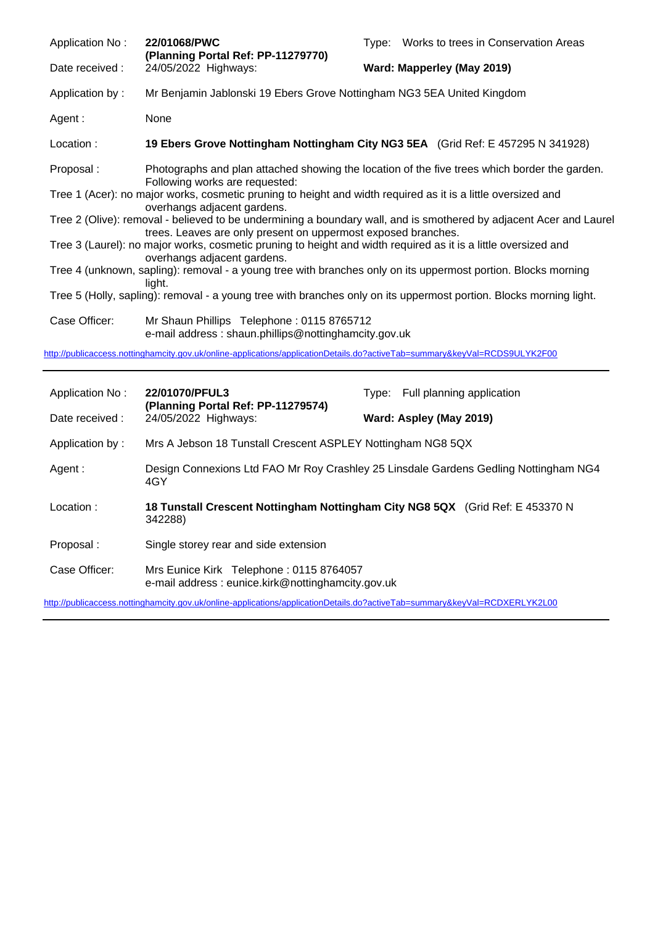| <b>Application No:</b>                                                                                                                                                          | 22/01068/PWC                                                                                                                                   |                            | Type: Works to trees in Conservation Areas |  |
|---------------------------------------------------------------------------------------------------------------------------------------------------------------------------------|------------------------------------------------------------------------------------------------------------------------------------------------|----------------------------|--------------------------------------------|--|
| Date received :                                                                                                                                                                 | (Planning Portal Ref: PP-11279770)<br>24/05/2022 Highways:                                                                                     | Ward: Mapperley (May 2019) |                                            |  |
| Application by:                                                                                                                                                                 | Mr Benjamin Jablonski 19 Ebers Grove Nottingham NG3 5EA United Kingdom                                                                         |                            |                                            |  |
| Agent:                                                                                                                                                                          | None                                                                                                                                           |                            |                                            |  |
| Location:                                                                                                                                                                       | 19 Ebers Grove Nottingham Nottingham City NG3 5EA (Grid Ref: E 457295 N 341928)                                                                |                            |                                            |  |
| Proposal:                                                                                                                                                                       | Photographs and plan attached showing the location of the five trees which border the garden.                                                  |                            |                                            |  |
|                                                                                                                                                                                 | Following works are requested:<br>Tree 1 (Acer): no major works, cosmetic pruning to height and width required as it is a little oversized and |                            |                                            |  |
| overhangs adjacent gardens.<br>Tree 2 (Olive): removal - believed to be undermining a boundary wall, and is smothered by adjacent Acer and Laurel                               |                                                                                                                                                |                            |                                            |  |
| trees. Leaves are only present on uppermost exposed branches.<br>Tree 3 (Laurel): no major works, cosmetic pruning to height and width required as it is a little oversized and |                                                                                                                                                |                            |                                            |  |
| overhangs adjacent gardens.<br>Tree 4 (unknown, sapling): removal - a young tree with branches only on its uppermost portion. Blocks morning                                    |                                                                                                                                                |                            |                                            |  |
| light.<br>Tree 5 (Holly, sapling): removal - a young tree with branches only on its uppermost portion. Blocks morning light.                                                    |                                                                                                                                                |                            |                                            |  |
| Case Officer:                                                                                                                                                                   | Mr Shaun Phillips Telephone: 0115 8765712<br>e-mail address: shaun.phillips@nottinghamcity.gov.uk                                              |                            |                                            |  |
|                                                                                                                                                                                 | http://publicaccess.nottinghamcity.gov.uk/online-applications/applicationDetails.do?activeTab=summary&keyVal=RCDS9ULYK2F00                     |                            |                                            |  |
| Application No:                                                                                                                                                                 | 22/01070/PFUL3                                                                                                                                 | Type:                      | Full planning application                  |  |
| Date received :                                                                                                                                                                 | (Planning Portal Ref: PP-11279574)<br>24/05/2022 Highways:                                                                                     |                            | Ward: Aspley (May 2019)                    |  |
| Application by:                                                                                                                                                                 | Mrs A Jebson 18 Tunstall Crescent ASPLEY Nottingham NG8 5QX                                                                                    |                            |                                            |  |
|                                                                                                                                                                                 |                                                                                                                                                |                            |                                            |  |

- Agent : Design Connexions Ltd FAO Mr Roy Crashley 25 Linsdale Gardens Gedling Nottingham NG4 4GY
- Location : **18 Tunstall Crescent Nottingham Nottingham City NG8 5QX** (Grid Ref: E 453370 N 342288)
- Proposal : Single storey rear and side extension

 $\overline{a}$ 

Case Officer: Mrs Eunice Kirk Telephone : 0115 8764057 e-mail address : eunice.kirk@nottinghamcity.gov.uk

<http://publicaccess.nottinghamcity.gov.uk/online-applications/applicationDetails.do?activeTab=summary&keyVal=RCDXERLYK2L00>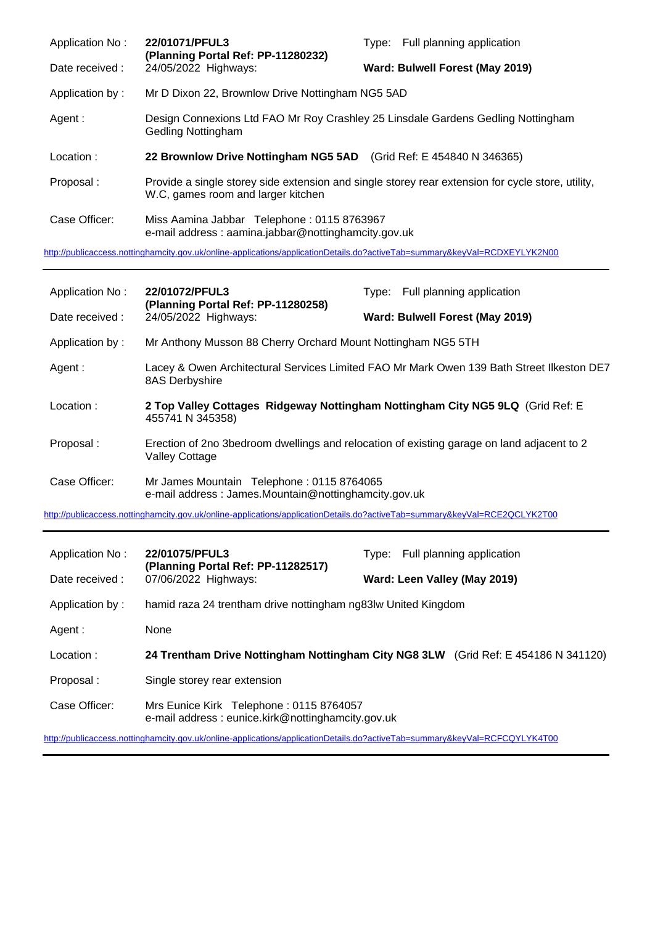| Application No:                                                                                                            | 22/01071/PFUL3<br>(Planning Portal Ref: PP-11280232)<br>24/05/2022 Highways:                      | Type: Full planning application                                                                   |  |
|----------------------------------------------------------------------------------------------------------------------------|---------------------------------------------------------------------------------------------------|---------------------------------------------------------------------------------------------------|--|
| Date received:                                                                                                             |                                                                                                   | Ward: Bulwell Forest (May 2019)                                                                   |  |
| Application by:                                                                                                            | Mr D Dixon 22, Brownlow Drive Nottingham NG5 5AD                                                  |                                                                                                   |  |
| Agent :                                                                                                                    | Gedling Nottingham                                                                                | Design Connexions Ltd FAO Mr Roy Crashley 25 Linsdale Gardens Gedling Nottingham                  |  |
| Location:                                                                                                                  | 22 Brownlow Drive Nottingham NG5 5AD (Grid Ref: E 454840 N 346365)                                |                                                                                                   |  |
| Proposal:                                                                                                                  | W.C, games room and larger kitchen                                                                | Provide a single storey side extension and single storey rear extension for cycle store, utility, |  |
| Case Officer:                                                                                                              | Miss Aamina Jabbar Telephone: 0115 8763967<br>e-mail address: aamina.jabbar@nottinghamcity.gov.uk |                                                                                                   |  |
| http://publicaccess.nottinghamcity.gov.uk/online-applications/applicationDetails.do?activeTab=summary&keyVal=RCDXEYLYK2N00 |                                                                                                   |                                                                                                   |  |

Application No : **22/01072/PFUL3** Type: Full planning application **(Planning Portal Ref: PP-11280258)** Date received : 24/05/2022 Highways: **Ward: Bulwell Forest (May 2019)** Application by : Mr Anthony Musson 88 Cherry Orchard Mount Nottingham NG5 5TH Agent : Lacey & Owen Architectural Services Limited FAO Mr Mark Owen 139 Bath Street Ilkeston DE7 8AS Derbyshire Location : **2 Top Valley Cottages Ridgeway Nottingham Nottingham City NG5 9LQ** (Grid Ref: E 455741 N 345358) Proposal : Erection of 2no 3bedroom dwellings and relocation of existing garage on land adjacent to 2 Valley Cottage Case Officer: Mr James Mountain Telephone : 0115 8764065 e-mail address : James.Mountain@nottinghamcity.gov.uk

<http://publicaccess.nottinghamcity.gov.uk/online-applications/applicationDetails.do?activeTab=summary&keyVal=RCE2QCLYK2T00>

| Application No:                                                                                                            | 22/01075/PFUL3                                                                               | Full planning application<br>Tvpe: |
|----------------------------------------------------------------------------------------------------------------------------|----------------------------------------------------------------------------------------------|------------------------------------|
| Date received :                                                                                                            | (Planning Portal Ref: PP-11282517)<br>07/06/2022 Highways:                                   | Ward: Leen Valley (May 2019)       |
| Application by:                                                                                                            | hamid raza 24 trentham drive nottingham ng83lw United Kingdom                                |                                    |
| Agent :                                                                                                                    | None                                                                                         |                                    |
| Location:                                                                                                                  | 24 Trentham Drive Nottingham Nottingham City NG8 3LW (Grid Ref: E 454186 N 341120)           |                                    |
| Proposal:                                                                                                                  | Single storey rear extension                                                                 |                                    |
| Case Officer:                                                                                                              | Mrs Eunice Kirk Telephone: 0115 8764057<br>e-mail address: eunice.kirk@nottinghamcity.gov.uk |                                    |
| http://publicaccess.nottinghamcity.gov.uk/online-applications/applicationDetails.do?activeTab=summary&keyVal=RCFCQYLYK4T00 |                                                                                              |                                    |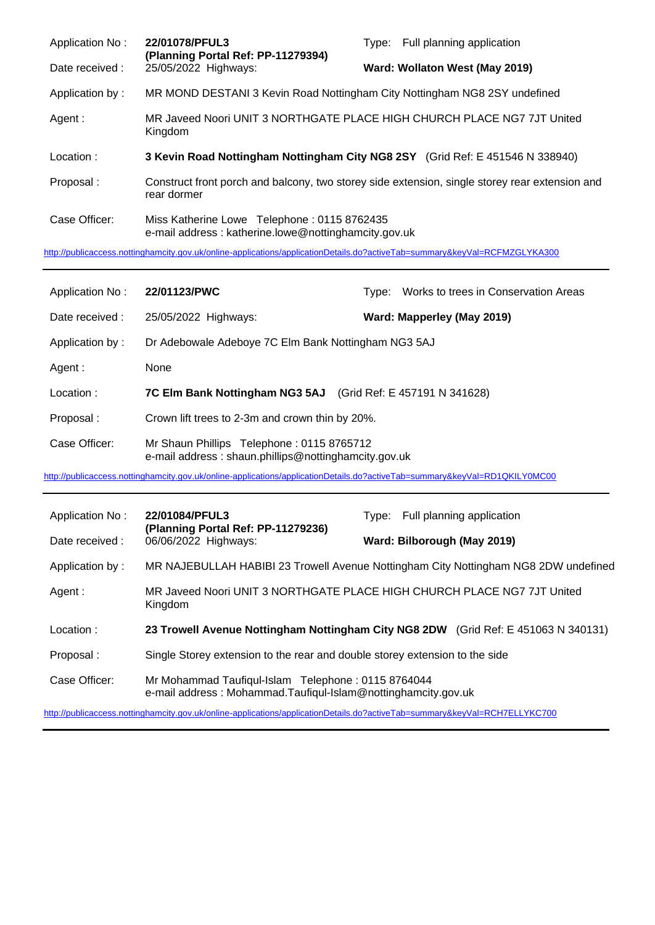| Application No: | 22/01078/PFUL3<br>(Planning Portal Ref: PP-11279394)                                                | Type: Full planning application                                                                |
|-----------------|-----------------------------------------------------------------------------------------------------|------------------------------------------------------------------------------------------------|
| Date received : | 25/05/2022 Highways:                                                                                | Ward: Wollaton West (May 2019)                                                                 |
| Application by: | MR MOND DESTANI 3 Kevin Road Nottingham City Nottingham NG8 2SY undefined                           |                                                                                                |
| Agent :         | Kingdom                                                                                             | MR Javeed Noori UNIT 3 NORTHGATE PLACE HIGH CHURCH PLACE NG7 7JT United                        |
| Location:       |                                                                                                     | 3 Kevin Road Nottingham Nottingham City NG8 2SY (Grid Ref: E 451546 N 338940)                  |
| Proposal:       | rear dormer                                                                                         | Construct front porch and balcony, two storey side extension, single storey rear extension and |
| Case Officer:   | Miss Katherine Lowe Telephone: 0115 8762435<br>e-mail address: katherine.lowe@nottinghamcity.gov.uk |                                                                                                |

<http://publicaccess.nottinghamcity.gov.uk/online-applications/applicationDetails.do?activeTab=summary&keyVal=RCFMZGLYKA300>

| Application No:                                                                                                            | 22/01123/PWC                                                                                      | Type: | Works to trees in Conservation Areas |
|----------------------------------------------------------------------------------------------------------------------------|---------------------------------------------------------------------------------------------------|-------|--------------------------------------|
| Date received:                                                                                                             | 25/05/2022 Highways:                                                                              |       | Ward: Mapperley (May 2019)           |
| Application by:                                                                                                            | Dr Adebowale Adeboye 7C Elm Bank Nottingham NG3 5AJ                                               |       |                                      |
| Agent :                                                                                                                    | None                                                                                              |       |                                      |
| Location:                                                                                                                  | 7C Elm Bank Nottingham NG3 5AJ                                                                    |       | (Grid Ref: E 457191 N 341628)        |
| Proposal:                                                                                                                  | Crown lift trees to 2-3m and crown thin by 20%.                                                   |       |                                      |
| Case Officer:                                                                                                              | Mr Shaun Phillips Telephone: 0115 8765712<br>e-mail address: shaun.phillips@nottinghamcity.gov.uk |       |                                      |
| http://publicaccess.nottinghamcity.gov.uk/online-applications/applicationDetails.do?activeTab=summary&keyVal=RD1QKILY0MC00 |                                                                                                   |       |                                      |

| Application No: | 22/01084/PFUL3<br>(Planning Portal Ref: PP-11279236)                                                                | Full planning application<br>Tvpe: |
|-----------------|---------------------------------------------------------------------------------------------------------------------|------------------------------------|
| Date received:  | 06/06/2022 Highways:                                                                                                | Ward: Bilborough (May 2019)        |
| Application by: | MR NAJEBULLAH HABIBI 23 Trowell Avenue Nottingham City Nottingham NG8 2DW undefined                                 |                                    |
| Agent :         | MR Javeed Noori UNIT 3 NORTHGATE PLACE HIGH CHURCH PLACE NG7 7JT United<br>Kingdom                                  |                                    |
| Location:       | 23 Trowell Avenue Nottingham Nottingham City NG8 2DW (Grid Ref: E 451063 N 340131)                                  |                                    |
| Proposal:       | Single Storey extension to the rear and double storey extension to the side                                         |                                    |
| Case Officer:   | Mr Mohammad Taufiqul-Islam Telephone: 0115 8764044<br>e-mail address: Mohammad.Taufiqul-Islam@nottinghamcity.gov.uk |                                    |

<http://publicaccess.nottinghamcity.gov.uk/online-applications/applicationDetails.do?activeTab=summary&keyVal=RCH7ELLYKC700>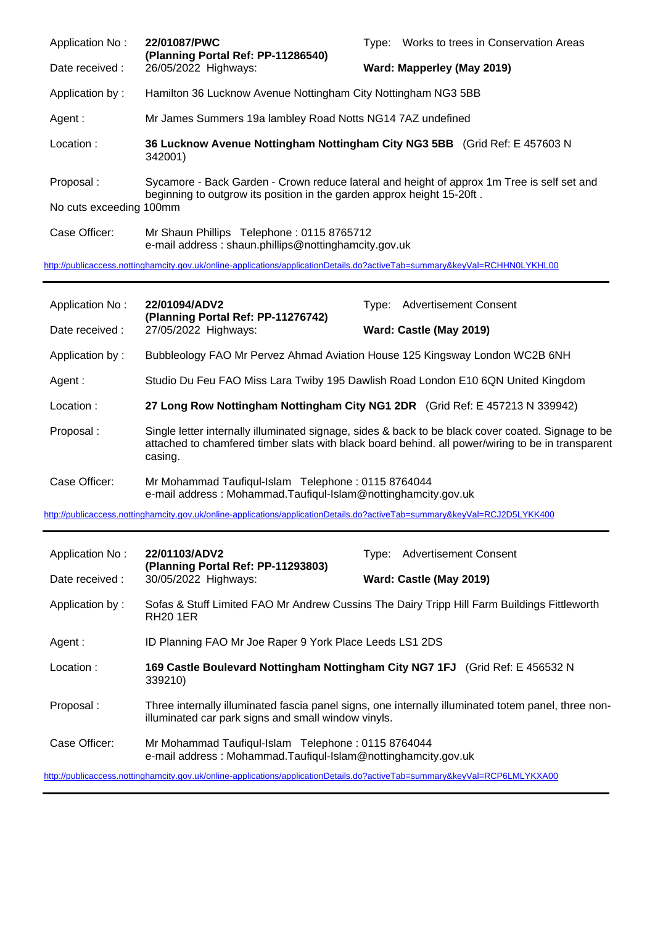| Application No:         | 22/01087/PWC<br>(Planning Portal Ref: PP-11286540)                                                                                                                   | Tvpe: | Works to trees in Conservation Areas |
|-------------------------|----------------------------------------------------------------------------------------------------------------------------------------------------------------------|-------|--------------------------------------|
| Date received :         | 26/05/2022 Highways:                                                                                                                                                 |       | Ward: Mapperley (May 2019)           |
| Application by:         | Hamilton 36 Lucknow Avenue Nottingham City Nottingham NG3 5BB                                                                                                        |       |                                      |
| Agent:                  | Mr James Summers 19a lambley Road Notts NG14 7AZ undefined                                                                                                           |       |                                      |
| Location:               | 36 Lucknow Avenue Nottingham Nottingham City NG3 5BB (Grid Ref: E 457603 N<br>342001)                                                                                |       |                                      |
| Proposal:               | Sycamore - Back Garden - Crown reduce lateral and height of approx 1m Tree is self set and<br>beginning to outgrow its position in the garden approx height 15-20ft. |       |                                      |
| No cuts exceeding 100mm |                                                                                                                                                                      |       |                                      |
| Case Officer:           | Mr Shaun Phillips Telephone: 0115 8765712<br>e-mail address: shaun.phillips@nottinghamcity.gov.uk                                                                    |       |                                      |
|                         |                                                                                                                                                                      |       |                                      |

<http://publicaccess.nottinghamcity.gov.uk/online-applications/applicationDetails.do?activeTab=summary&keyVal=RCHHN0LYKHL00>

| Application No:<br>22/01094/ADV2<br>(Planning Portal Ref: PP-11276742)                                                     | Type: Advertisement Consent                                                                                                                                                                                        |                                                                                                     |  |
|----------------------------------------------------------------------------------------------------------------------------|--------------------------------------------------------------------------------------------------------------------------------------------------------------------------------------------------------------------|-----------------------------------------------------------------------------------------------------|--|
| Date received :                                                                                                            | 27/05/2022 Highways:                                                                                                                                                                                               | Ward: Castle (May 2019)                                                                             |  |
| Application by:                                                                                                            |                                                                                                                                                                                                                    | Bubbleology FAO Mr Pervez Ahmad Aviation House 125 Kingsway London WC2B 6NH                         |  |
| Agent:                                                                                                                     | Studio Du Feu FAO Miss Lara Twiby 195 Dawlish Road London E10 6QN United Kingdom                                                                                                                                   |                                                                                                     |  |
| Location:                                                                                                                  | 27 Long Row Nottingham Nottingham City NG1 2DR (Grid Ref: E 457213 N 339942)                                                                                                                                       |                                                                                                     |  |
| Proposal:                                                                                                                  | Single letter internally illuminated signage, sides & back to be black cover coated. Signage to be<br>attached to chamfered timber slats with black board behind. all power/wiring to be in transparent<br>casing. |                                                                                                     |  |
| Case Officer:                                                                                                              | Mr Mohammad Taufiqul-Islam Telephone: 0115 8764044<br>e-mail address: Mohammad.Taufiqul-Islam@nottinghamcity.gov.uk                                                                                                |                                                                                                     |  |
| http://publicaccess.nottinghamcity.gov.uk/online-applications/applicationDetails.do?activeTab=summary&keyVal=RCJ2D5LYKK400 |                                                                                                                                                                                                                    |                                                                                                     |  |
|                                                                                                                            |                                                                                                                                                                                                                    |                                                                                                     |  |
|                                                                                                                            |                                                                                                                                                                                                                    |                                                                                                     |  |
| Application No:                                                                                                            | 22/01103/ADV2<br>(Planning Portal Ref: PP-11293803)                                                                                                                                                                | Type: Advertisement Consent                                                                         |  |
| Date received :                                                                                                            | 30/05/2022 Highways:                                                                                                                                                                                               | Ward: Castle (May 2019)                                                                             |  |
| Application by:                                                                                                            | <b>RH20 1ER</b>                                                                                                                                                                                                    | Sofas & Stuff Limited FAO Mr Andrew Cussins The Dairy Tripp Hill Farm Buildings Fittleworth         |  |
| Agent:                                                                                                                     | ID Planning FAO Mr Joe Raper 9 York Place Leeds LS1 2DS                                                                                                                                                            |                                                                                                     |  |
| Location:                                                                                                                  | 339210)                                                                                                                                                                                                            | 169 Castle Boulevard Nottingham Nottingham City NG7 1FJ (Grid Ref: E 456532 N                       |  |
| Proposal:                                                                                                                  | illuminated car park signs and small window vinyls.                                                                                                                                                                | Three internally illuminated fascia panel signs, one internally illuminated totem panel, three non- |  |
| Case Officer:                                                                                                              | Mr Mohammad Taufiqul-Islam Telephone: 0115 8764044<br>e-mail address: Mohammad.Taufiqul-Islam@nottinghamcity.gov.uk                                                                                                |                                                                                                     |  |